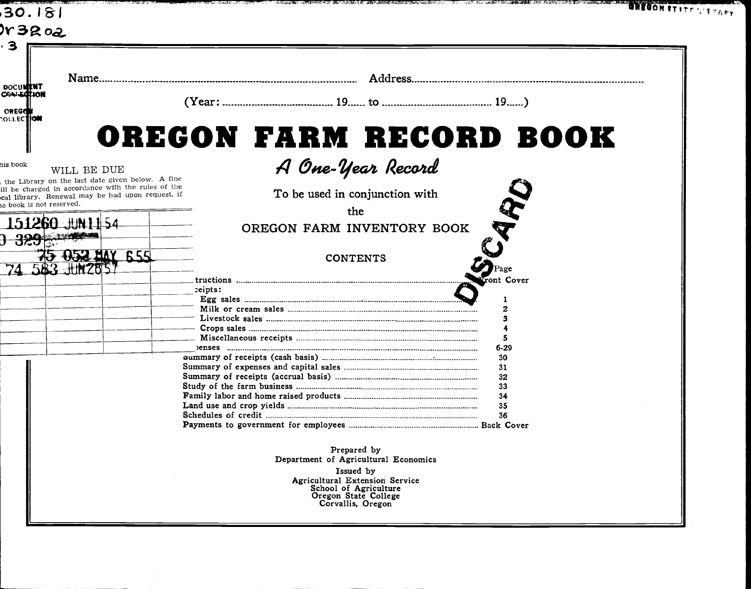|                                                                                                  |            | OREGON FARM RECORD BOOK                                 |            |  |
|--------------------------------------------------------------------------------------------------|------------|---------------------------------------------------------|------------|--|
| WILL BE DUE<br>he Library on the last date given below. A fine                                   |            | A One-Year Record                                       |            |  |
| be charged in accordance with the rules of the<br>l library. Renewal may be had upon request, if |            | To be used in conjunction with                          |            |  |
|                                                                                                  |            | the                                                     |            |  |
|                                                                                                  |            | OREGON FARM INVENTORY BOOK                              | Ş          |  |
| 52 MAY 655                                                                                       |            | <b>CONTENTS</b>                                         |            |  |
|                                                                                                  |            |                                                         | Font Cover |  |
|                                                                                                  | $ceipts$ : |                                                         |            |  |
|                                                                                                  |            |                                                         |            |  |
|                                                                                                  |            |                                                         |            |  |
|                                                                                                  |            |                                                         |            |  |
|                                                                                                  |            |                                                         | $6 - 29$   |  |
|                                                                                                  |            |                                                         | 30         |  |
|                                                                                                  |            |                                                         | 31<br>32   |  |
|                                                                                                  |            |                                                         | 33         |  |
|                                                                                                  |            |                                                         | 34         |  |
|                                                                                                  |            |                                                         | 35         |  |
|                                                                                                  |            |                                                         | 36         |  |
|                                                                                                  |            |                                                         |            |  |
|                                                                                                  |            | Prepared by                                             |            |  |
|                                                                                                  |            | Department of Agricultural Economics                    |            |  |
|                                                                                                  |            | Issued by                                               |            |  |
|                                                                                                  |            | Agricultural Extension Service<br>School of Agriculture |            |  |
|                                                                                                  |            | Oregon State College<br>Corvallis, Oregon               |            |  |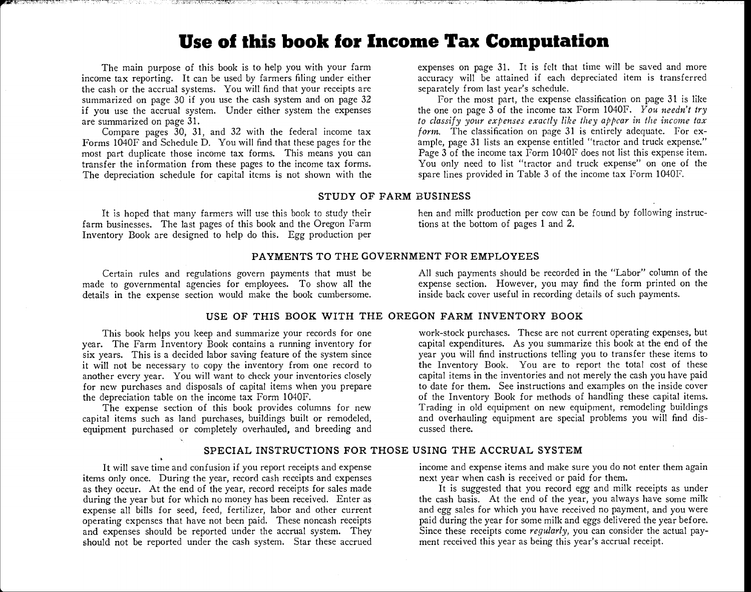### Use of this book for Income Tax Computation

The main purpose of this book is to help you with your farm income tax reporting. It can be used by farmers filing under either the cash or the accrual systems. You will find that your receipts are summarized on page 30 if you use the cash system and on page 32 if you use the accrual system. Under either system the expenses are summarized on page 31.

Compare pages 30, 31, and 32 with the federal income tax Forms 1040F and Schedule D. You will find that these pages for the most part duplicate those income tax forms. This means you can transfer the information from these pages to the income tax forms. The depreciation schedule for capital items is not shown with the expenses on page 31. It is felt that time will be saved and more accuracy will be attained if each depreciated item is transferred separately from last year's schedule.

For the most part, the expense classification on page 31 is like the one on page 3 of the income tax Form 1040F. You needn't try to classify your expenses exactly like they appear in the income tax form. The classification on page 31 is entirely adequate. For example, page 31 lists an expense entitled "tractor and truck expense." Page 3 of the income tax Form 1040F does not list this expense item. You only need to list "tractor and truck expense" on one of the spare lines provided in Table 3 of the income tax Form 1040F.

#### STUDY OF FARM BUSINESS

farm businesses. The last pages of this book and the Oregon Farm Inventory Book are designed to help do this. Egg production per

It is hoped that many farmers will use this book to study their hen and milk production per cow can be found by following instruction per comparation of pages. The last pages of this book and the Oregon Farm tions at the b

#### PAYMENTS TO THE GOVERNMENT FOR EMPLOYEES

Certain rules and regulations govern payments that must be All such payments should be recorded in the "Labor" column of the<br>e to governmental agencies for employees. To show all the expense section. However, you may find made to governmental agencies for employees. To show all the expense section. However, you may find the form printed on the state of such payments. details in the expense section would make the book cumbersome.

#### USE OF THIS BOOK WITH THE OREGON FARM INVENTORY BOOK

This book helps you keep and summarize your records for one year. The Farm Inventory Book contains a running inventory for six years. This is a decided labor saving feature of the system since it will not be necessary to copy the inventory from one record to another every year. You will want to check your inventories closely for new purchases and disposals of capital items when you prepare the depreciation table on the income tax Form 1040F.

The expense section of this book provides columns for new capital items such as land purchases, buildings built or remodeled, equipment purchased or completely overhauled, and breeding and

work-stock purchases. These are not current operating expenses, but capital expenditures. As you summarize this book at the end of the year you will find instructions telling you to transfer these items to the Inventory Book. You are to report the total cost of these capital items in the inventories and not merely the cash you have paid to date for them. See instructions and examples on the inside cover of the Inventory Book for methods of handling these capital items. Trading in old equipment on new equipment, remodeling buildings and overhauling equipment are special problems you will find discussed there.

#### SPECIAL INSTRUCTIONS FOR THOSE USING THE ACCRUAL SYSTEM

It will save time and confusion if you report receipts and expense items only once. During the year, record cash receipts and expenses as they occur. At the end of the year, record receipts for sales made during the year but for which no money has been received. Enter as expense all bills for seed, feed, fertilizer, labor and other current operating expenses that have not been paid. These noncash receipts and expenses should be reported under the accrual system. They should not be reported under the cash system. Star these accrued income and expense items and make sure you do not enter them again next year when cash is received or paid for them.

It is suggested that you record egg and milk receipts as under the cash basis. At the end of the year, you always have some milk and egg sales for which you have received no payment, and you were paid during the year for some milk and eggs delivered the year before. Since these receipts come regularly, you can consider the actual payment received this year as being this year's accrual receipt.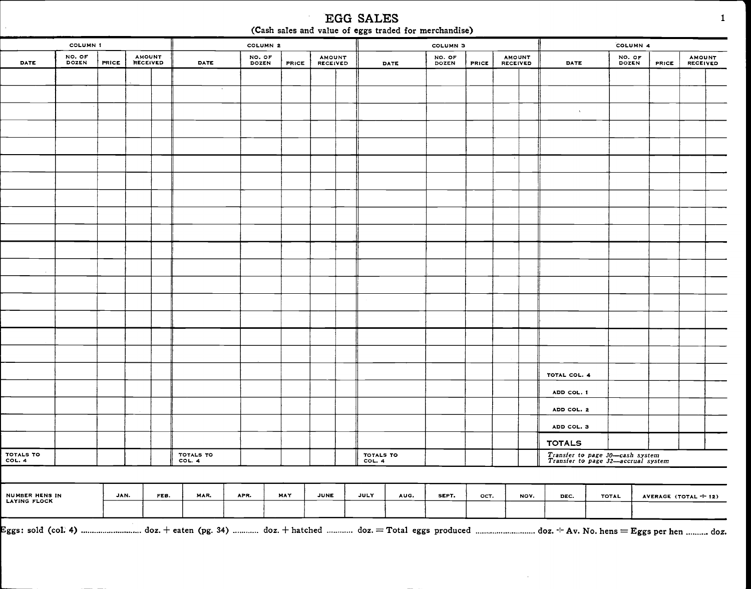|                                | <b>COLUMN 1</b> |       |                                  |      |           | COLUMN <sub>2</sub> |              |                                  |                     |             | COLUMN <sub>3</sub> |       |                                  |                                                                       | COLUMN 4        |                        |                                  |
|--------------------------------|-----------------|-------|----------------------------------|------|-----------|---------------------|--------------|----------------------------------|---------------------|-------------|---------------------|-------|----------------------------------|-----------------------------------------------------------------------|-----------------|------------------------|----------------------------------|
| DATE                           | NO. OF<br>DOZEN | PRICE | <b>AMOUNT</b><br><b>RECEIVED</b> |      | DATE      | NO. OF<br>DOZEN     | <b>PRICE</b> | <b>AMOUNT</b><br><b>RECEIVED</b> |                     | <b>DATE</b> | NO. OF<br>DOZEN     | PRICE | <b>AMOUNT</b><br><b>RECEIVED</b> | DATE                                                                  | NO. OF<br>DOZEN | <b>PRICE</b>           | <b>AMOUNT</b><br><b>RECEIVED</b> |
|                                |                 |       |                                  |      |           |                     |              |                                  |                     |             |                     |       |                                  |                                                                       |                 |                        |                                  |
|                                |                 |       |                                  |      | $\sim$    |                     |              |                                  |                     |             |                     |       |                                  |                                                                       |                 |                        |                                  |
|                                |                 |       |                                  |      |           |                     |              |                                  |                     |             |                     |       |                                  | $\Delta \tau$                                                         |                 |                        |                                  |
|                                |                 |       |                                  |      |           |                     |              |                                  |                     |             |                     |       |                                  |                                                                       |                 |                        |                                  |
|                                |                 |       |                                  |      |           |                     |              |                                  |                     |             |                     |       |                                  |                                                                       |                 |                        |                                  |
|                                |                 |       |                                  |      |           |                     |              |                                  |                     |             |                     |       |                                  |                                                                       |                 |                        |                                  |
|                                |                 |       |                                  |      |           |                     |              |                                  |                     |             |                     |       |                                  |                                                                       |                 |                        |                                  |
|                                |                 |       |                                  |      |           |                     |              |                                  |                     |             |                     |       |                                  |                                                                       |                 |                        |                                  |
|                                |                 |       |                                  |      |           |                     |              |                                  |                     |             |                     |       |                                  |                                                                       |                 |                        |                                  |
|                                |                 |       |                                  |      |           |                     |              |                                  |                     |             |                     |       |                                  |                                                                       |                 |                        |                                  |
|                                |                 |       |                                  |      |           |                     |              |                                  |                     |             |                     |       |                                  |                                                                       |                 |                        |                                  |
|                                |                 |       |                                  |      |           |                     |              |                                  |                     |             |                     |       |                                  |                                                                       |                 |                        |                                  |
|                                |                 |       |                                  |      |           |                     |              |                                  |                     |             |                     |       |                                  |                                                                       |                 |                        |                                  |
|                                |                 |       |                                  |      |           |                     |              |                                  |                     |             |                     |       |                                  |                                                                       |                 |                        |                                  |
|                                |                 |       |                                  |      |           |                     |              |                                  |                     |             |                     |       |                                  |                                                                       |                 |                        |                                  |
|                                |                 |       |                                  |      |           |                     |              |                                  |                     |             |                     |       |                                  |                                                                       |                 |                        |                                  |
|                                |                 |       |                                  |      |           |                     |              |                                  |                     |             |                     |       |                                  |                                                                       |                 |                        |                                  |
|                                |                 |       |                                  |      |           |                     |              |                                  |                     |             |                     |       |                                  | TOTAL COL. 4                                                          |                 |                        |                                  |
|                                |                 |       |                                  |      |           |                     |              |                                  |                     |             |                     |       |                                  | ADD COL. I                                                            |                 |                        |                                  |
|                                |                 |       |                                  |      |           |                     |              |                                  |                     |             |                     |       |                                  | ADD COL. 2                                                            |                 |                        |                                  |
|                                |                 |       |                                  |      |           |                     |              |                                  |                     |             |                     |       |                                  | ADD COL. 3                                                            |                 |                        |                                  |
|                                |                 |       |                                  |      | TOTALS TO |                     |              |                                  |                     |             |                     |       |                                  | <b>TOTALS</b>                                                         |                 |                        |                                  |
| TOTALS TO<br>COL. 4            |                 |       |                                  |      | COL. 4    |                     |              |                                  | TOTALS TO<br>COL. 4 |             |                     |       |                                  | Transfer to page 30-cash system<br>Transfer to page 32-accrual system |                 |                        |                                  |
|                                |                 | JAN.  |                                  | FEB. | MAR.      | APR.                | MAY          | JUNE                             | <b>JULY</b>         | AUG.        | SEPT.               | OCT.  | NOV.                             |                                                                       |                 |                        |                                  |
| NUMBER HENS IN<br>LAYING FLOCK |                 |       |                                  |      |           |                     |              |                                  |                     |             |                     |       |                                  | DEC.                                                                  | TOTAL           | AVERAGE (TOTAL $+$ 12) |                                  |

EGG SALES  $\sim$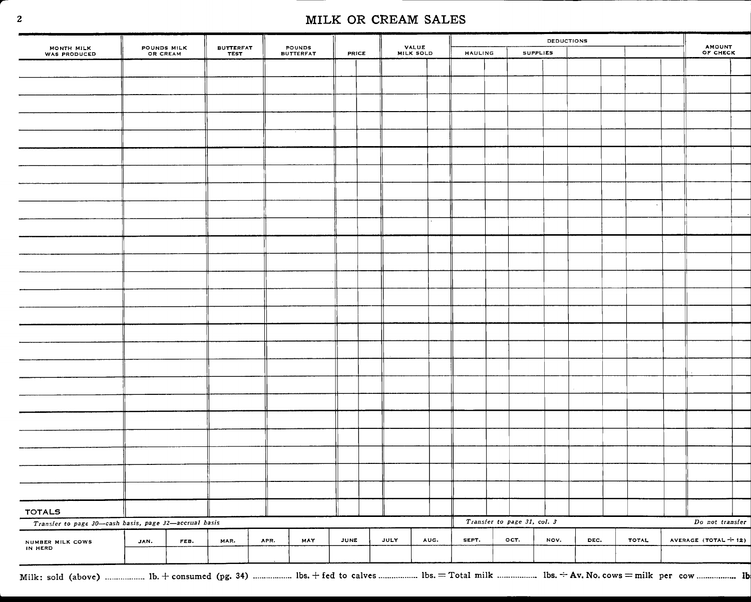|                                                                                                                          |                         |      |                                 |      |                            |              |             |                    |                |                             | <b>DEDUCTIONS</b> |      |               | <b>AMOUNT</b>        |
|--------------------------------------------------------------------------------------------------------------------------|-------------------------|------|---------------------------------|------|----------------------------|--------------|-------------|--------------------|----------------|-----------------------------|-------------------|------|---------------|----------------------|
| MONTH MILK<br>WAS PRODUCED                                                                                               | POUNDS MILK<br>OR CREAM |      | <b>BUTTERFAT</b><br><b>TEST</b> |      | POUNDS<br><b>BUTTERFAT</b> | <b>PRICE</b> |             | VALUE<br>MILK SOLD | <b>HAULING</b> |                             | <b>SUPPLIES</b>   |      |               | OF CHECK             |
|                                                                                                                          |                         |      |                                 |      |                            |              |             |                    |                |                             |                   |      |               |                      |
|                                                                                                                          |                         |      |                                 |      |                            |              |             |                    |                |                             |                   |      |               |                      |
|                                                                                                                          |                         |      |                                 |      |                            |              |             |                    |                |                             |                   |      |               |                      |
|                                                                                                                          |                         |      |                                 |      |                            |              |             |                    |                |                             |                   |      |               |                      |
|                                                                                                                          |                         |      |                                 |      |                            |              |             |                    |                |                             |                   |      |               |                      |
|                                                                                                                          |                         |      |                                 |      |                            |              |             |                    |                |                             |                   |      |               |                      |
|                                                                                                                          |                         |      |                                 |      |                            |              |             |                    |                |                             |                   |      |               |                      |
|                                                                                                                          |                         |      |                                 |      |                            |              |             |                    |                |                             |                   |      |               |                      |
|                                                                                                                          |                         |      |                                 |      |                            |              |             |                    |                |                             |                   |      | $\mathcal{A}$ |                      |
|                                                                                                                          |                         |      |                                 |      |                            |              |             |                    |                |                             |                   |      |               |                      |
|                                                                                                                          |                         |      |                                 |      |                            |              |             |                    |                |                             |                   |      |               |                      |
|                                                                                                                          |                         |      |                                 |      |                            |              |             |                    |                |                             |                   |      |               |                      |
|                                                                                                                          |                         |      |                                 |      |                            |              |             |                    |                |                             |                   |      |               |                      |
|                                                                                                                          |                         |      |                                 |      |                            |              |             |                    |                |                             |                   |      |               |                      |
|                                                                                                                          |                         |      |                                 |      |                            |              |             |                    |                |                             |                   |      |               |                      |
|                                                                                                                          |                         |      |                                 |      |                            |              |             |                    |                |                             |                   |      |               |                      |
|                                                                                                                          |                         |      |                                 |      |                            |              |             |                    |                |                             |                   |      |               |                      |
|                                                                                                                          |                         |      |                                 |      |                            |              |             |                    |                |                             |                   |      |               |                      |
|                                                                                                                          |                         |      |                                 |      |                            |              |             |                    |                |                             |                   |      |               |                      |
|                                                                                                                          |                         |      |                                 |      |                            |              |             |                    |                |                             |                   |      |               |                      |
|                                                                                                                          |                         |      |                                 |      |                            |              |             |                    |                |                             |                   |      |               |                      |
|                                                                                                                          |                         |      |                                 |      |                            |              |             |                    |                |                             |                   |      |               |                      |
|                                                                                                                          |                         |      |                                 |      |                            |              |             |                    |                |                             |                   |      |               |                      |
|                                                                                                                          |                         |      |                                 |      |                            |              |             |                    |                |                             |                   |      |               |                      |
|                                                                                                                          |                         |      |                                 |      |                            |              |             |                    |                |                             |                   |      |               |                      |
| <b>TOTALS</b>                                                                                                            |                         |      |                                 |      |                            |              |             |                    |                |                             |                   |      |               |                      |
| Transfer to page 30-cash basis, page 32-accrual basis                                                                    |                         |      |                                 |      |                            |              |             |                    |                | Transfer to page 31, col. 3 |                   |      |               | Do not transfer      |
| NUMBER MILK COWS<br>IN HERD                                                                                              | JAN.                    | FEB. | MAR.                            | APR. | MAY                        | JUNE         | <b>JULY</b> | AUG.               | SEPT.          | OCT.                        | NOV.              | DEC. | TOTAL         | AVERAGE (TOTAL + 12) |
| Milk: sold (above)  1b. + consumed (pg. 34)  lbs. + fed to calves  1bs. = Total milk  1bs. ÷ Av. No. cows = milk per cow |                         |      |                                 |      |                            |              |             |                    |                |                             |                   |      |               |                      |

 .................. lb. + consumed (pg. 34) .................. lbs. + fed to calves .................. lbs. = Total milk .................. lbs. -- Ày. No. cows = milk per cow........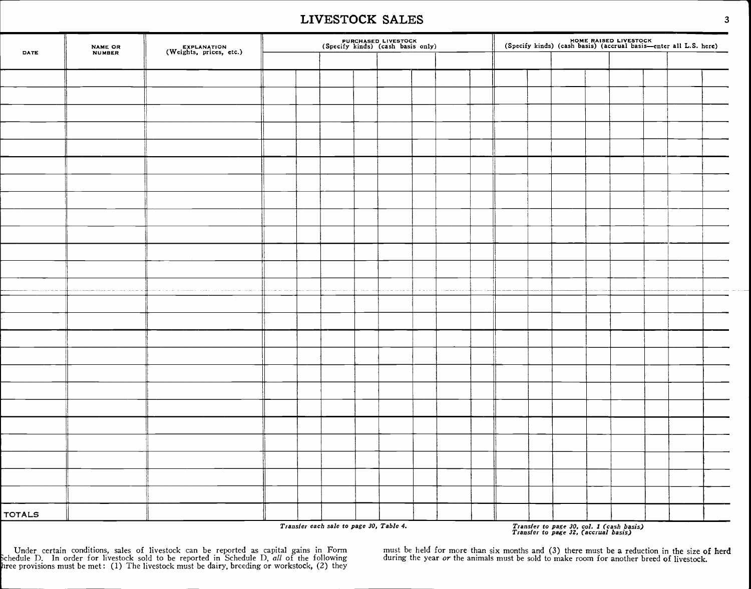#### LIVESTOCK SALES

| DATE          | NAME OR<br>NUMBER | EXPLANATION<br>(Weights, prices, etc.) |  |                                         | PURCHASED LIVESTOCK<br>(Specify kinds) (cash basis only) |  |  |  |                                                                                  | HOME RAISED LIVESTOCK<br>(Specify kinds) (cash basis) (accrual basis—enter all L.S. here) |  |
|---------------|-------------------|----------------------------------------|--|-----------------------------------------|----------------------------------------------------------|--|--|--|----------------------------------------------------------------------------------|-------------------------------------------------------------------------------------------|--|
|               |                   |                                        |  |                                         |                                                          |  |  |  |                                                                                  |                                                                                           |  |
|               |                   |                                        |  |                                         |                                                          |  |  |  |                                                                                  |                                                                                           |  |
|               |                   |                                        |  |                                         |                                                          |  |  |  |                                                                                  |                                                                                           |  |
|               |                   |                                        |  |                                         |                                                          |  |  |  |                                                                                  |                                                                                           |  |
|               |                   |                                        |  |                                         |                                                          |  |  |  |                                                                                  |                                                                                           |  |
|               |                   |                                        |  |                                         |                                                          |  |  |  |                                                                                  |                                                                                           |  |
|               |                   |                                        |  |                                         |                                                          |  |  |  |                                                                                  |                                                                                           |  |
|               |                   |                                        |  |                                         |                                                          |  |  |  |                                                                                  |                                                                                           |  |
|               |                   |                                        |  |                                         |                                                          |  |  |  |                                                                                  |                                                                                           |  |
|               |                   |                                        |  |                                         |                                                          |  |  |  |                                                                                  |                                                                                           |  |
|               |                   |                                        |  |                                         |                                                          |  |  |  |                                                                                  |                                                                                           |  |
|               |                   |                                        |  |                                         |                                                          |  |  |  |                                                                                  |                                                                                           |  |
|               |                   |                                        |  |                                         |                                                          |  |  |  |                                                                                  |                                                                                           |  |
|               |                   |                                        |  |                                         |                                                          |  |  |  |                                                                                  |                                                                                           |  |
|               |                   |                                        |  |                                         |                                                          |  |  |  |                                                                                  |                                                                                           |  |
|               |                   |                                        |  |                                         |                                                          |  |  |  |                                                                                  |                                                                                           |  |
|               |                   |                                        |  |                                         |                                                          |  |  |  |                                                                                  |                                                                                           |  |
|               |                   |                                        |  |                                         |                                                          |  |  |  |                                                                                  |                                                                                           |  |
|               |                   |                                        |  |                                         |                                                          |  |  |  |                                                                                  |                                                                                           |  |
|               |                   |                                        |  |                                         |                                                          |  |  |  |                                                                                  |                                                                                           |  |
|               |                   |                                        |  |                                         |                                                          |  |  |  |                                                                                  |                                                                                           |  |
|               |                   |                                        |  |                                         |                                                          |  |  |  |                                                                                  |                                                                                           |  |
|               |                   |                                        |  |                                         |                                                          |  |  |  |                                                                                  |                                                                                           |  |
|               |                   |                                        |  |                                         |                                                          |  |  |  |                                                                                  |                                                                                           |  |
|               |                   |                                        |  |                                         |                                                          |  |  |  |                                                                                  |                                                                                           |  |
|               |                   |                                        |  |                                         |                                                          |  |  |  |                                                                                  |                                                                                           |  |
|               |                   |                                        |  |                                         |                                                          |  |  |  |                                                                                  |                                                                                           |  |
| <b>TOTALS</b> |                   |                                        |  | Transfer each sale to page 30, Table 4. |                                                          |  |  |  | Transfer to page 30, col. 1 (cash basis)<br>Transfer to page 32, (accrual basis) |                                                                                           |  |

Under certain conditions, sales of livestock can be reported as capital gains in Form must be held for more than six months and (3) there must be a reduction in the size of herd<br>Schedule D. In order for livestock sold to b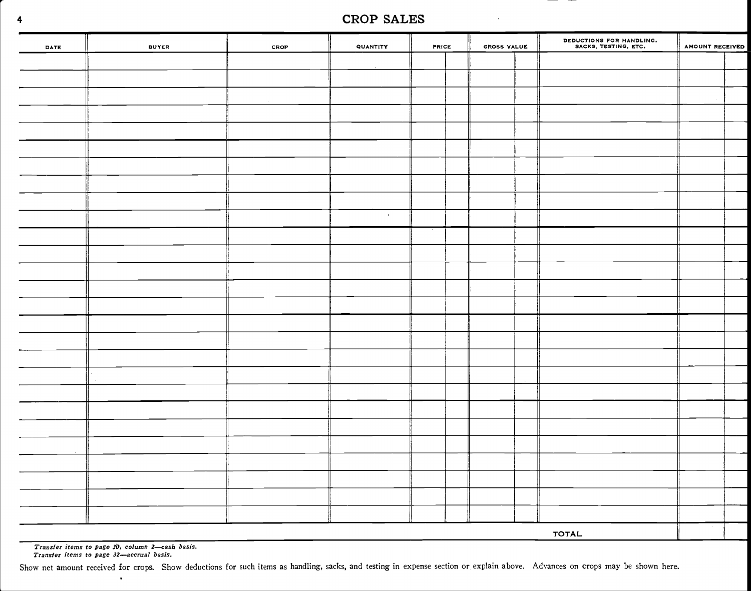#### <sup>4</sup> CROP SALES

| DATE | <b>BUYER</b> | CROP | QUANTITY | <b>PRICE</b> | GROSS VALUE | DEDUCTIONS FOR HANDLING.<br>SACKS, TESTING, ETC. | AMOUNT RECEIVED |  |
|------|--------------|------|----------|--------------|-------------|--------------------------------------------------|-----------------|--|
|      |              |      |          |              |             |                                                  |                 |  |
|      |              |      |          |              |             |                                                  |                 |  |
|      |              |      |          |              |             |                                                  |                 |  |
|      |              |      |          |              |             |                                                  |                 |  |
|      |              |      |          |              |             |                                                  |                 |  |
|      |              |      |          |              |             |                                                  |                 |  |
|      |              |      |          |              |             |                                                  |                 |  |
|      |              |      |          |              |             |                                                  |                 |  |
|      |              |      |          |              |             |                                                  |                 |  |
|      |              |      | $\sim$   |              |             |                                                  |                 |  |
|      |              |      |          |              |             |                                                  |                 |  |
|      |              |      |          |              |             |                                                  |                 |  |
|      |              |      |          |              |             |                                                  |                 |  |
|      |              |      |          |              |             |                                                  |                 |  |
|      |              |      |          |              |             |                                                  |                 |  |
|      |              |      |          |              |             |                                                  |                 |  |
|      |              |      |          |              |             |                                                  |                 |  |
|      |              |      |          |              |             |                                                  |                 |  |
|      |              |      |          |              |             |                                                  |                 |  |
|      |              |      |          |              |             |                                                  |                 |  |
|      |              |      |          |              |             |                                                  |                 |  |
|      |              |      |          |              |             |                                                  |                 |  |
|      |              |      |          |              |             |                                                  |                 |  |
|      |              |      |          |              |             |                                                  |                 |  |
|      |              |      |          |              |             |                                                  |                 |  |
|      |              |      |          |              |             |                                                  |                 |  |
|      |              |      |          |              |             |                                                  |                 |  |
|      |              |      |          |              |             | <b>TOTAL</b>                                     |                 |  |

Transfer items to page 30, column 2-cash basis.<br>Transfer items to page 32-accrual basis.

 $\ddot{\phantom{0}}$ 

Show net amount received for crops. Show deductions for such items as handling, sacks, and testing in expense section or explain above. Advances on crops may be shown here.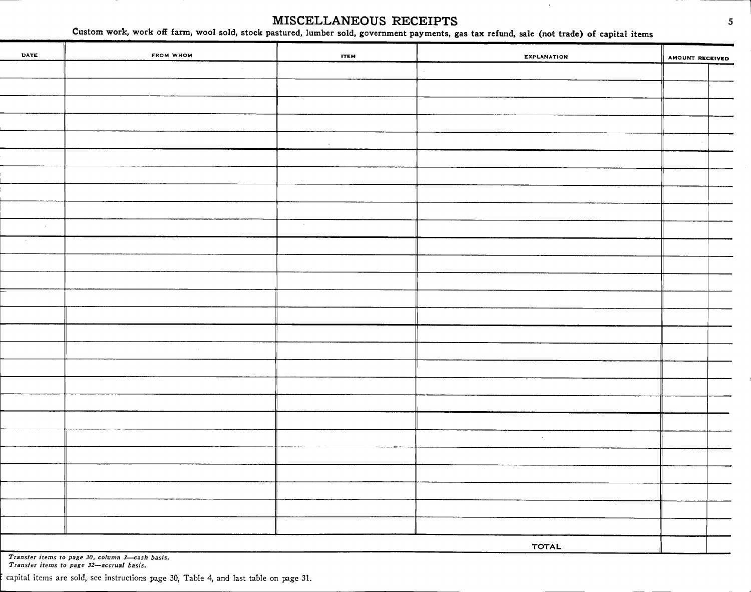# MISCELLANEOUS RECEIPTS 5

MISCELLANEOUS RECEIPTS<br>Custom work, work off farm, wool sold, stock pastured, lumber sold, government payments, gas tax refund, sale (not trade) of capital items

|                                                                                             |                                                                                       | MISCELLANEOUS RECEIPTS | Custom work, work off farm, wool sold, stock pastured, lumber sold, government payments, gas tax refund, sale (not trade) of capital items | 5                      |
|---------------------------------------------------------------------------------------------|---------------------------------------------------------------------------------------|------------------------|--------------------------------------------------------------------------------------------------------------------------------------------|------------------------|
| DATE                                                                                        | FROM WHOM                                                                             | <b>ITEM</b>            | <b>EXPLANATION</b>                                                                                                                         | <b>AMOUNT RECEIVED</b> |
|                                                                                             |                                                                                       |                        |                                                                                                                                            |                        |
|                                                                                             |                                                                                       |                        |                                                                                                                                            |                        |
|                                                                                             |                                                                                       |                        |                                                                                                                                            |                        |
|                                                                                             |                                                                                       |                        |                                                                                                                                            |                        |
|                                                                                             |                                                                                       | $\sim$                 |                                                                                                                                            |                        |
|                                                                                             |                                                                                       |                        |                                                                                                                                            |                        |
|                                                                                             |                                                                                       |                        |                                                                                                                                            |                        |
|                                                                                             |                                                                                       |                        |                                                                                                                                            |                        |
|                                                                                             |                                                                                       |                        |                                                                                                                                            |                        |
| $\sim$                                                                                      |                                                                                       | $\sim$                 |                                                                                                                                            |                        |
|                                                                                             |                                                                                       |                        |                                                                                                                                            |                        |
|                                                                                             |                                                                                       |                        |                                                                                                                                            |                        |
|                                                                                             |                                                                                       |                        |                                                                                                                                            |                        |
|                                                                                             |                                                                                       |                        |                                                                                                                                            |                        |
|                                                                                             |                                                                                       |                        |                                                                                                                                            |                        |
|                                                                                             |                                                                                       |                        |                                                                                                                                            |                        |
|                                                                                             |                                                                                       |                        |                                                                                                                                            |                        |
|                                                                                             |                                                                                       |                        |                                                                                                                                            |                        |
|                                                                                             |                                                                                       |                        |                                                                                                                                            |                        |
|                                                                                             |                                                                                       |                        |                                                                                                                                            |                        |
|                                                                                             |                                                                                       |                        |                                                                                                                                            |                        |
|                                                                                             |                                                                                       |                        | $\sim$                                                                                                                                     |                        |
|                                                                                             |                                                                                       |                        |                                                                                                                                            |                        |
|                                                                                             |                                                                                       |                        |                                                                                                                                            |                        |
|                                                                                             |                                                                                       |                        |                                                                                                                                            |                        |
|                                                                                             |                                                                                       |                        |                                                                                                                                            |                        |
|                                                                                             |                                                                                       |                        |                                                                                                                                            |                        |
|                                                                                             |                                                                                       |                        |                                                                                                                                            |                        |
| Transfer items to page 30, column 3-cash basis.<br>Transfer items to page 32-accrual basis. |                                                                                       |                        | <b>TOTAL</b>                                                                                                                               |                        |
|                                                                                             | capital items are sold, see instructions page 30, Table 4, and last table on page 31. |                        |                                                                                                                                            |                        |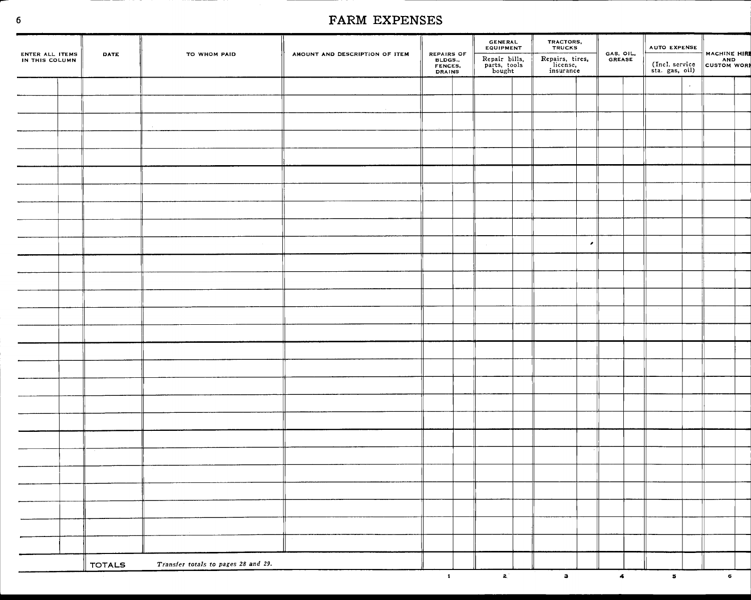| ENTER ALL ITEMS<br>IN THIS COLUMN | DATE          | TO WHOM PAID                        | AMOUNT AND DESCRIPTION OF ITEM | REPAIRS OF<br>BLDGS.,<br>FENCES,<br>DRAINS | GENERAL<br>EQUIPMENT                     | TRACTORS,<br>TRUCKS                      | GAS, OIL.<br>GREASE  | AUTO EXPENSE                     |         | MACHINE HIR    |
|-----------------------------------|---------------|-------------------------------------|--------------------------------|--------------------------------------------|------------------------------------------|------------------------------------------|----------------------|----------------------------------|---------|----------------|
|                                   |               |                                     |                                |                                            | Repair bills,<br>parts, tools<br>bought  | Repairs, tires,<br>license,<br>insurance |                      | (Incl. service<br>sta. gas, oil) |         |                |
|                                   |               |                                     |                                |                                            |                                          |                                          |                      |                                  | $\cdot$ |                |
|                                   |               |                                     |                                |                                            |                                          |                                          |                      |                                  |         |                |
|                                   |               |                                     |                                |                                            |                                          |                                          |                      |                                  |         |                |
|                                   |               |                                     |                                |                                            |                                          |                                          |                      |                                  |         |                |
|                                   |               |                                     |                                |                                            |                                          |                                          |                      |                                  |         |                |
|                                   |               |                                     |                                |                                            |                                          |                                          |                      |                                  |         |                |
|                                   |               |                                     |                                |                                            |                                          |                                          |                      |                                  |         |                |
|                                   |               |                                     |                                |                                            |                                          |                                          |                      |                                  |         |                |
|                                   |               |                                     |                                |                                            |                                          |                                          |                      |                                  |         |                |
|                                   |               |                                     |                                |                                            |                                          | $\epsilon$                               |                      |                                  |         |                |
|                                   |               |                                     |                                |                                            |                                          |                                          |                      |                                  |         |                |
|                                   |               |                                     |                                |                                            |                                          |                                          |                      |                                  |         |                |
|                                   |               |                                     |                                |                                            |                                          |                                          |                      |                                  |         |                |
|                                   |               |                                     |                                |                                            |                                          |                                          |                      |                                  |         |                |
|                                   |               |                                     |                                |                                            |                                          |                                          |                      |                                  |         |                |
|                                   |               |                                     |                                |                                            |                                          |                                          |                      |                                  |         |                |
|                                   |               |                                     |                                |                                            |                                          |                                          |                      |                                  |         |                |
|                                   |               |                                     |                                |                                            |                                          |                                          |                      |                                  |         |                |
|                                   |               |                                     |                                |                                            |                                          |                                          |                      |                                  |         |                |
|                                   |               |                                     |                                |                                            |                                          |                                          |                      |                                  |         |                |
|                                   |               |                                     |                                |                                            |                                          |                                          |                      |                                  |         |                |
|                                   |               |                                     |                                |                                            |                                          |                                          |                      |                                  |         |                |
|                                   |               |                                     |                                |                                            |                                          |                                          |                      |                                  |         |                |
|                                   |               |                                     |                                |                                            |                                          |                                          |                      |                                  |         |                |
|                                   |               |                                     |                                |                                            |                                          |                                          |                      |                                  |         |                |
|                                   |               |                                     |                                |                                            |                                          |                                          |                      |                                  |         |                |
|                                   |               |                                     |                                |                                            |                                          |                                          |                      |                                  |         |                |
|                                   |               |                                     |                                |                                            |                                          |                                          |                      |                                  |         |                |
|                                   | <b>TOTALS</b> | Transfer totals to pages 28 and 29. |                                |                                            |                                          |                                          |                      |                                  |         |                |
|                                   |               |                                     |                                | $\mathbf{1}$                               | $\mathbf{2}^{\mathcal{N}}_{\mathcal{N}}$ | $\mathbf{a}$                             | $\blacktriangleleft$ | $\,$ 5 $\,$                      |         | 6 <sub>1</sub> |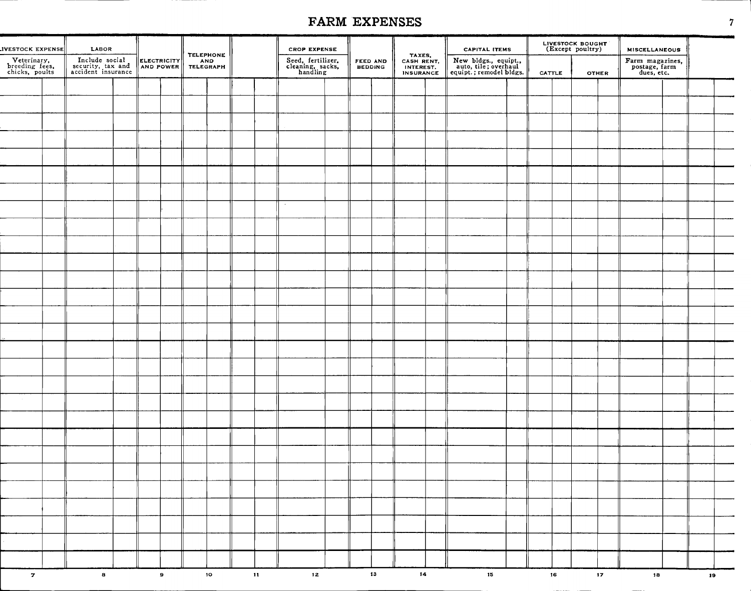. . . . <u>. . . . . . . . . . . .</u>

|                                                 |                                                           |                          |                                             | FARM EXPENSES<br><b>CROP EXPENSE</b> |                                                   |                            |                                                       |                                                                         |                                      |                                                | $\boldsymbol{7}$ |
|-------------------------------------------------|-----------------------------------------------------------|--------------------------|---------------------------------------------|--------------------------------------|---------------------------------------------------|----------------------------|-------------------------------------------------------|-------------------------------------------------------------------------|--------------------------------------|------------------------------------------------|------------------|
| <b>IVESTOCK EXPENSE</b>                         | LABOR                                                     |                          |                                             |                                      |                                                   |                            |                                                       | <b>CAPITAL ITEMS</b>                                                    | LIVESTOCK BOUGHT<br>(Except poultry) | <b>MISCELLANEOUS</b>                           |                  |
| Veterinary,<br>breeding fees,<br>chicks, poults | Include social<br>security, tax and<br>accident insurance | ELECTRICITY<br>AND POWER | <b>TELEPHONE</b><br><b>AND</b><br>TELEGRAPH |                                      | Seed, fertilizer,<br>cleaning, sacks,<br>handling | <b>FEED AND</b><br>BEDDING | TAXES,<br>CASH RENT,<br>INTEREST.<br><b>INSURANCE</b> | New bldgs., equipt.,<br>auto, tile; overhaul<br>equipt.; remodel bldgs. | CATTLE<br><b>OTHER</b>               | Farm magazines,<br>postage, farm<br>dues, etc. |                  |
|                                                 |                                                           |                          |                                             |                                      |                                                   |                            |                                                       |                                                                         |                                      |                                                |                  |
|                                                 |                                                           |                          |                                             |                                      |                                                   |                            |                                                       |                                                                         |                                      |                                                |                  |
|                                                 |                                                           |                          |                                             |                                      |                                                   |                            |                                                       |                                                                         |                                      |                                                |                  |
|                                                 |                                                           |                          |                                             |                                      |                                                   |                            |                                                       |                                                                         |                                      |                                                |                  |
|                                                 |                                                           |                          |                                             |                                      |                                                   |                            |                                                       |                                                                         |                                      |                                                |                  |
|                                                 |                                                           |                          |                                             |                                      |                                                   |                            |                                                       |                                                                         |                                      |                                                |                  |
|                                                 |                                                           |                          |                                             |                                      |                                                   |                            |                                                       |                                                                         |                                      |                                                |                  |
|                                                 |                                                           |                          |                                             |                                      |                                                   |                            |                                                       |                                                                         |                                      |                                                |                  |
|                                                 |                                                           |                          |                                             |                                      |                                                   |                            |                                                       |                                                                         |                                      |                                                |                  |
|                                                 |                                                           |                          |                                             |                                      |                                                   |                            |                                                       |                                                                         |                                      |                                                |                  |
|                                                 |                                                           |                          |                                             |                                      |                                                   |                            |                                                       |                                                                         |                                      |                                                |                  |
|                                                 |                                                           |                          |                                             |                                      |                                                   |                            |                                                       |                                                                         |                                      |                                                |                  |
|                                                 |                                                           |                          |                                             |                                      |                                                   |                            |                                                       |                                                                         |                                      |                                                |                  |
|                                                 |                                                           |                          |                                             |                                      |                                                   |                            |                                                       |                                                                         |                                      |                                                |                  |
|                                                 |                                                           |                          |                                             |                                      |                                                   |                            |                                                       |                                                                         |                                      |                                                |                  |
|                                                 |                                                           |                          |                                             |                                      |                                                   |                            |                                                       |                                                                         |                                      |                                                |                  |
|                                                 |                                                           |                          |                                             |                                      |                                                   |                            |                                                       |                                                                         |                                      |                                                |                  |
|                                                 |                                                           |                          |                                             |                                      |                                                   |                            |                                                       |                                                                         |                                      |                                                |                  |
|                                                 |                                                           |                          |                                             |                                      |                                                   |                            |                                                       |                                                                         |                                      |                                                |                  |
|                                                 |                                                           |                          |                                             |                                      |                                                   |                            |                                                       |                                                                         |                                      |                                                |                  |
|                                                 |                                                           |                          |                                             |                                      |                                                   |                            |                                                       |                                                                         |                                      |                                                |                  |
|                                                 |                                                           |                          |                                             |                                      |                                                   |                            |                                                       |                                                                         |                                      |                                                |                  |
|                                                 |                                                           |                          |                                             |                                      |                                                   |                            |                                                       |                                                                         |                                      |                                                |                  |
|                                                 |                                                           |                          |                                             |                                      |                                                   |                            |                                                       |                                                                         |                                      |                                                |                  |
|                                                 |                                                           |                          |                                             |                                      |                                                   |                            |                                                       |                                                                         |                                      |                                                |                  |
|                                                 |                                                           |                          |                                             |                                      |                                                   |                            |                                                       |                                                                         |                                      |                                                |                  |
|                                                 |                                                           |                          |                                             |                                      |                                                   |                            |                                                       |                                                                         |                                      |                                                |                  |
| $\mathbf{z}$                                    | $\mathbf{a}$                                              | $\bullet$                | 10 <sup>10</sup>                            | $\mathbf{H}$ and $\mathbf{H}$        | 12                                                | $13$ and $13$              | $14 -$                                                | 15                                                                      | $16 -$<br>$17 -$                     | 18                                             | 19 <sup>°</sup>  |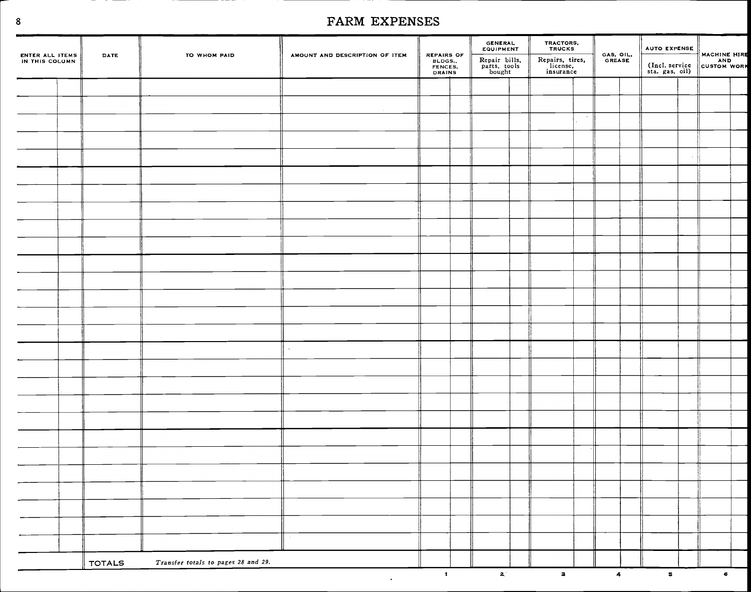| ENTER ALL ITEMS<br>IN THIS COLUMN | DATE          | TO WHOM PAID                        | AMOUNT AND DESCRIPTION OF ITEM |                                            | GENERAL<br>EQUIPMENT                    | TRACTORS,<br>TRUCKS                      |        | GAS, OIL.<br>GREASE |            | AUTO EXPENSE                     |              |  |
|-----------------------------------|---------------|-------------------------------------|--------------------------------|--------------------------------------------|-----------------------------------------|------------------------------------------|--------|---------------------|------------|----------------------------------|--------------|--|
|                                   |               |                                     |                                | REPAIRS OF<br>BLDGS.,<br>FENCES,<br>DRAINS | Repair bills,<br>parts, tools<br>bought | Repairs, tires,<br>license,<br>insurance |        |                     |            | (Incl. service<br>sta. gas, oil) | MACHINE HIRE |  |
|                                   |               |                                     |                                |                                            |                                         |                                          |        |                     |            |                                  |              |  |
|                                   |               |                                     |                                |                                            |                                         |                                          |        |                     |            |                                  |              |  |
|                                   |               |                                     |                                |                                            |                                         |                                          | $\sim$ |                     |            |                                  |              |  |
|                                   |               |                                     |                                |                                            |                                         |                                          |        |                     |            |                                  |              |  |
|                                   |               |                                     |                                |                                            |                                         |                                          |        |                     |            |                                  |              |  |
|                                   |               |                                     |                                |                                            |                                         |                                          |        |                     |            |                                  |              |  |
|                                   |               |                                     |                                |                                            |                                         |                                          |        |                     |            |                                  |              |  |
|                                   |               |                                     |                                |                                            |                                         |                                          |        |                     |            |                                  |              |  |
|                                   |               |                                     |                                |                                            |                                         |                                          |        |                     |            |                                  |              |  |
|                                   |               |                                     |                                |                                            |                                         |                                          |        |                     |            |                                  |              |  |
|                                   |               |                                     |                                |                                            |                                         |                                          |        |                     |            |                                  |              |  |
|                                   |               |                                     |                                |                                            |                                         |                                          |        |                     |            |                                  |              |  |
|                                   |               |                                     |                                |                                            |                                         |                                          |        |                     |            |                                  |              |  |
|                                   |               |                                     |                                |                                            |                                         |                                          |        |                     |            |                                  |              |  |
|                                   |               |                                     |                                |                                            |                                         |                                          |        |                     |            |                                  |              |  |
|                                   |               |                                     | $\cdot$                        |                                            |                                         |                                          |        |                     |            |                                  |              |  |
|                                   |               |                                     |                                |                                            |                                         |                                          |        |                     |            |                                  |              |  |
|                                   |               |                                     |                                |                                            |                                         |                                          |        |                     |            |                                  |              |  |
|                                   |               |                                     |                                |                                            |                                         |                                          |        |                     |            |                                  |              |  |
|                                   |               |                                     |                                |                                            |                                         |                                          |        |                     |            |                                  |              |  |
|                                   |               |                                     |                                |                                            |                                         |                                          |        |                     |            |                                  |              |  |
|                                   |               |                                     |                                |                                            |                                         |                                          |        |                     |            |                                  |              |  |
|                                   |               |                                     |                                |                                            |                                         |                                          |        |                     |            |                                  |              |  |
|                                   |               |                                     |                                |                                            |                                         |                                          |        |                     |            |                                  |              |  |
|                                   |               |                                     |                                |                                            |                                         |                                          |        |                     |            |                                  |              |  |
|                                   |               |                                     |                                |                                            |                                         |                                          |        |                     |            |                                  |              |  |
|                                   |               |                                     |                                |                                            |                                         |                                          |        |                     |            |                                  |              |  |
|                                   |               |                                     |                                |                                            |                                         |                                          |        |                     |            |                                  |              |  |
|                                   | <b>TOTALS</b> | Transfer totals to pages 28 and 29. |                                | $\mathbf{1}$                               | $\mathbf{z}^*$                          | $\mathbf{a}$                             |        |                     | $\ddot{a}$ | $\overline{\mathbf{5}}$          | $\bullet$    |  |
|                                   |               |                                     |                                |                                            |                                         |                                          |        |                     |            |                                  |              |  |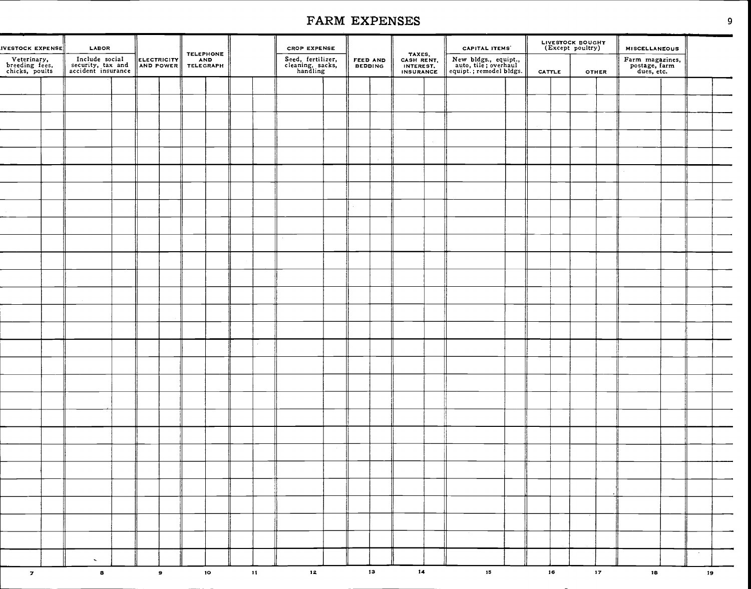| IVESTOCK EXPENSE                                | LABOR                                                     |  |             | <b>TELEPHONE</b> |                 |               | <b>CROP EXPENSE</b>                               |  |                     |                                                | <b>CAPITAL ITEMS</b>                                                    |               | LIVESTOCK BOUGHT<br>(Except poultry) |                 | <b>MISCELLANEOUS</b>                           |        |  |
|-------------------------------------------------|-----------------------------------------------------------|--|-------------|------------------|-----------------|---------------|---------------------------------------------------|--|---------------------|------------------------------------------------|-------------------------------------------------------------------------|---------------|--------------------------------------|-----------------|------------------------------------------------|--------|--|
| Veterinary,<br>breeding fees,<br>chicks, poults | Include social<br>security, tax and<br>accident insurance |  | ELECTRICITY | AND<br>TELEGRAPH |                 |               | Seed, fertilizer,<br>cleaning, sacks,<br>handling |  | FEED AND<br>BEDDING | TAXES,<br>CASH RENT,<br>INTEREST,<br>INSURANCE | New bldgs., equipt.,<br>auto, tile; overhaul<br>equipt.; remodel bldgs. | <b>CATTLE</b> |                                      | <b>OTHER</b>    | Farm magazines,<br>postage, farm<br>dues, etc. |        |  |
|                                                 |                                                           |  |             |                  |                 |               |                                                   |  |                     |                                                |                                                                         |               |                                      |                 |                                                |        |  |
|                                                 |                                                           |  |             |                  |                 |               |                                                   |  |                     |                                                |                                                                         |               |                                      |                 |                                                |        |  |
|                                                 |                                                           |  |             |                  |                 |               |                                                   |  |                     |                                                |                                                                         |               |                                      |                 |                                                |        |  |
|                                                 |                                                           |  |             |                  |                 |               |                                                   |  |                     |                                                |                                                                         |               |                                      |                 |                                                |        |  |
|                                                 |                                                           |  |             |                  |                 |               |                                                   |  |                     |                                                |                                                                         |               |                                      |                 |                                                |        |  |
|                                                 |                                                           |  |             |                  |                 |               |                                                   |  |                     |                                                |                                                                         |               |                                      |                 |                                                |        |  |
|                                                 |                                                           |  |             |                  |                 |               |                                                   |  |                     |                                                |                                                                         |               |                                      |                 |                                                |        |  |
|                                                 |                                                           |  |             |                  |                 |               |                                                   |  |                     |                                                |                                                                         |               |                                      |                 |                                                |        |  |
|                                                 |                                                           |  |             |                  |                 |               |                                                   |  |                     |                                                |                                                                         |               |                                      |                 |                                                |        |  |
|                                                 |                                                           |  |             |                  |                 |               |                                                   |  |                     |                                                |                                                                         |               |                                      |                 |                                                |        |  |
|                                                 |                                                           |  |             |                  |                 |               |                                                   |  |                     |                                                |                                                                         |               |                                      |                 |                                                |        |  |
|                                                 |                                                           |  |             |                  |                 |               |                                                   |  |                     |                                                |                                                                         |               |                                      |                 |                                                |        |  |
|                                                 |                                                           |  |             |                  |                 |               |                                                   |  |                     |                                                |                                                                         |               |                                      |                 |                                                |        |  |
|                                                 |                                                           |  |             |                  |                 |               |                                                   |  |                     |                                                |                                                                         |               |                                      |                 |                                                |        |  |
|                                                 |                                                           |  |             |                  |                 |               |                                                   |  |                     |                                                |                                                                         |               |                                      |                 |                                                |        |  |
|                                                 |                                                           |  |             |                  |                 |               |                                                   |  |                     |                                                |                                                                         |               |                                      |                 |                                                |        |  |
|                                                 |                                                           |  |             |                  |                 |               |                                                   |  |                     |                                                |                                                                         |               |                                      |                 |                                                |        |  |
|                                                 |                                                           |  |             |                  |                 |               |                                                   |  |                     |                                                |                                                                         |               |                                      |                 |                                                |        |  |
|                                                 |                                                           |  |             |                  |                 |               |                                                   |  |                     |                                                |                                                                         |               |                                      |                 |                                                |        |  |
|                                                 |                                                           |  |             |                  |                 |               |                                                   |  |                     |                                                |                                                                         |               |                                      |                 |                                                |        |  |
|                                                 |                                                           |  |             |                  |                 |               |                                                   |  |                     |                                                |                                                                         |               |                                      |                 |                                                |        |  |
|                                                 |                                                           |  |             |                  |                 |               |                                                   |  |                     |                                                |                                                                         |               |                                      |                 |                                                |        |  |
|                                                 |                                                           |  |             |                  |                 |               |                                                   |  |                     |                                                |                                                                         |               |                                      |                 |                                                |        |  |
|                                                 |                                                           |  |             |                  |                 |               |                                                   |  |                     |                                                |                                                                         |               |                                      |                 |                                                |        |  |
|                                                 |                                                           |  |             |                  |                 |               |                                                   |  |                     |                                                |                                                                         |               |                                      |                 |                                                |        |  |
|                                                 |                                                           |  |             |                  |                 |               |                                                   |  |                     |                                                |                                                                         |               |                                      |                 |                                                |        |  |
|                                                 |                                                           |  |             |                  |                 |               |                                                   |  |                     |                                                |                                                                         |               |                                      |                 |                                                |        |  |
|                                                 | $\sim$                                                    |  |             |                  |                 |               |                                                   |  |                     |                                                |                                                                         |               |                                      |                 |                                                | $\sim$ |  |
| $\boldsymbol{\sigma}$                           | $\mathbf{s}$                                              |  | $\bullet$   |                  | 10 <sub>1</sub> | $\mathbf{11}$ | 12                                                |  | 13                  | 14                                             | 15                                                                      | 16            |                                      | 17 <sub>z</sub> | 18                                             | 19     |  |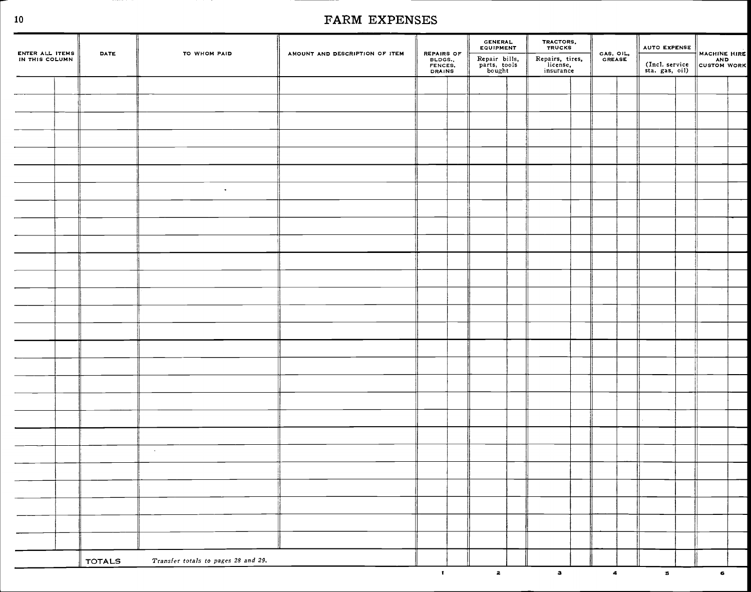|                                   | DATE          | TO WHOM PAID                        | AMOUNT AND DESCRIPTION OF ITEM | REPAIRS OF                        | <b>GENERAL</b><br>EQUIPMENT             | TRACTORS,<br>TRUCKS                      |                         | AUTO EXPENSE                     | MACHINE HIRE |  |
|-----------------------------------|---------------|-------------------------------------|--------------------------------|-----------------------------------|-----------------------------------------|------------------------------------------|-------------------------|----------------------------------|--------------|--|
| ENTER ALL ITEMS<br>IN THIS COLUMN |               |                                     |                                | BLDGS<br>FENCES.<br><b>DRAINS</b> | Repair bills,<br>parts, tools<br>bought | Repairs, tires,<br>license,<br>insurance | GAS, OIL,<br>GREASE     | (Incl. service<br>sta. gas, oil) | CUSTOM WORK  |  |
|                                   |               |                                     |                                |                                   |                                         |                                          |                         |                                  |              |  |
|                                   |               |                                     |                                |                                   |                                         |                                          |                         |                                  |              |  |
|                                   |               |                                     |                                |                                   |                                         |                                          |                         |                                  |              |  |
|                                   |               |                                     |                                |                                   |                                         |                                          |                         |                                  |              |  |
|                                   |               |                                     |                                |                                   |                                         |                                          |                         |                                  |              |  |
|                                   |               |                                     |                                |                                   |                                         |                                          |                         |                                  |              |  |
|                                   |               | $\bullet$                           |                                |                                   |                                         |                                          |                         |                                  |              |  |
|                                   |               |                                     |                                |                                   |                                         |                                          |                         |                                  |              |  |
|                                   |               |                                     |                                |                                   |                                         |                                          |                         |                                  |              |  |
|                                   |               |                                     |                                |                                   |                                         |                                          |                         |                                  |              |  |
|                                   |               |                                     |                                |                                   |                                         |                                          |                         |                                  |              |  |
|                                   |               |                                     |                                |                                   |                                         |                                          |                         |                                  |              |  |
|                                   |               |                                     |                                |                                   |                                         |                                          |                         |                                  |              |  |
|                                   |               |                                     |                                |                                   |                                         |                                          |                         |                                  |              |  |
|                                   |               |                                     |                                |                                   |                                         |                                          |                         |                                  |              |  |
|                                   |               |                                     |                                |                                   |                                         |                                          |                         |                                  |              |  |
|                                   |               |                                     |                                |                                   |                                         |                                          |                         |                                  |              |  |
|                                   |               |                                     |                                |                                   |                                         |                                          |                         |                                  |              |  |
|                                   |               |                                     |                                |                                   |                                         |                                          |                         |                                  |              |  |
|                                   |               |                                     |                                |                                   |                                         |                                          |                         |                                  |              |  |
|                                   |               |                                     |                                |                                   |                                         |                                          |                         |                                  |              |  |
|                                   |               | $\sim 10^{-1}$                      |                                |                                   |                                         |                                          |                         |                                  |              |  |
|                                   |               |                                     |                                |                                   |                                         |                                          |                         |                                  |              |  |
|                                   |               |                                     |                                |                                   |                                         |                                          |                         |                                  |              |  |
|                                   |               |                                     |                                |                                   |                                         |                                          |                         |                                  |              |  |
|                                   |               |                                     |                                |                                   |                                         |                                          |                         |                                  |              |  |
|                                   |               |                                     |                                |                                   |                                         |                                          |                         |                                  |              |  |
|                                   | <b>TOTALS</b> | Transfer totals to pages 28 and 29. |                                |                                   |                                         |                                          |                         |                                  |              |  |
|                                   |               |                                     |                                | $\mathbf{t}$                      | $\mathbf{z}$                            | $\bullet$                                | $\overline{\mathbf{A}}$ | $\mathbf{B}$                     | $\epsilon$   |  |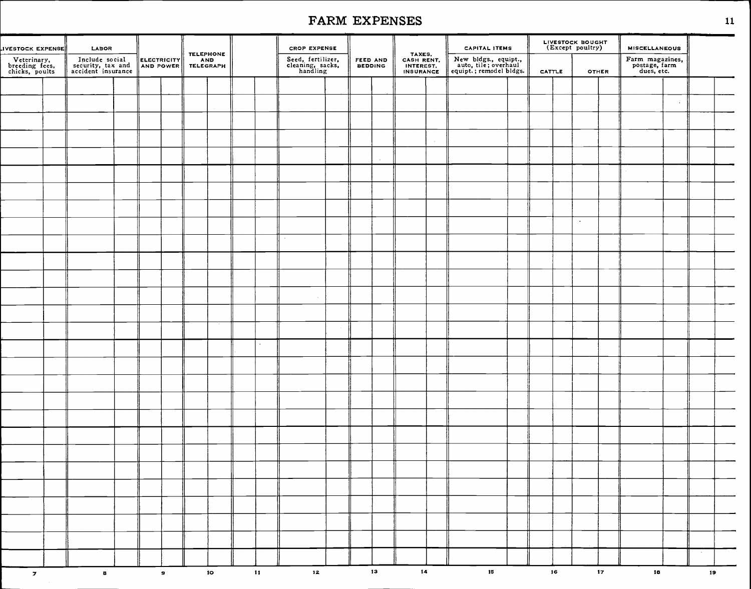| IVESTOCK EXPENSE                                | LABOR                                                     |  |             | <b>TELEPHONE</b> |                 |               | <b>CROP EXPENSE</b>                               |                     |    |                                                | <b>CAPITAL ITEMS</b>                                                    |        | LIVESTOCK BOUGHT<br>(Except poultry) |                 | <b>MISCELLANEOUS</b>                           |                 |                 |  |
|-------------------------------------------------|-----------------------------------------------------------|--|-------------|------------------|-----------------|---------------|---------------------------------------------------|---------------------|----|------------------------------------------------|-------------------------------------------------------------------------|--------|--------------------------------------|-----------------|------------------------------------------------|-----------------|-----------------|--|
| Veterinary,<br>breeding fees,<br>chicks, poults | Include social<br>security, tax and<br>accident insurance |  | ELECTRICITY | AND<br>TELEGRAPH |                 |               | Seed, fertilizer,<br>cleaning, sacks,<br>handling | FEED AND<br>BEDDING |    | TAXES,<br>CASH RENT,<br>INTEREST,<br>INSURANCE | New bldgs., equipt.,<br>auto, tile; overhaul<br>equipt.; remodel bldgs. | CATTLE | <b>OTHER</b>                         |                 | Farm magazines,<br>postage, farm<br>dues, etc. |                 |                 |  |
|                                                 |                                                           |  |             |                  |                 |               |                                                   |                     |    |                                                |                                                                         |        |                                      |                 |                                                |                 |                 |  |
|                                                 |                                                           |  |             |                  |                 |               |                                                   |                     |    |                                                |                                                                         |        |                                      |                 |                                                | $\mathcal{A}$ . |                 |  |
|                                                 |                                                           |  |             |                  |                 |               |                                                   |                     |    |                                                |                                                                         |        |                                      |                 |                                                |                 |                 |  |
|                                                 |                                                           |  |             |                  |                 |               |                                                   |                     |    |                                                |                                                                         |        |                                      |                 |                                                |                 |                 |  |
|                                                 |                                                           |  |             |                  |                 |               |                                                   |                     |    |                                                |                                                                         |        |                                      |                 |                                                |                 |                 |  |
|                                                 |                                                           |  |             |                  |                 |               |                                                   |                     |    |                                                |                                                                         |        |                                      |                 |                                                |                 |                 |  |
|                                                 |                                                           |  |             |                  |                 |               |                                                   |                     |    |                                                |                                                                         |        |                                      |                 |                                                |                 |                 |  |
|                                                 |                                                           |  |             |                  |                 |               |                                                   |                     |    |                                                |                                                                         |        |                                      |                 |                                                |                 |                 |  |
|                                                 |                                                           |  |             |                  |                 |               |                                                   |                     |    |                                                |                                                                         |        | $\sim$                               |                 |                                                |                 |                 |  |
|                                                 |                                                           |  |             |                  |                 |               | $\sim$                                            |                     |    |                                                |                                                                         |        |                                      |                 |                                                |                 |                 |  |
|                                                 |                                                           |  |             |                  |                 |               |                                                   |                     |    |                                                |                                                                         |        |                                      |                 |                                                |                 |                 |  |
|                                                 |                                                           |  |             |                  |                 |               |                                                   |                     |    |                                                |                                                                         |        |                                      |                 |                                                |                 |                 |  |
|                                                 |                                                           |  |             |                  |                 |               | $\sim$                                            |                     |    |                                                |                                                                         |        |                                      |                 |                                                |                 |                 |  |
|                                                 |                                                           |  |             |                  |                 |               |                                                   |                     |    |                                                |                                                                         |        |                                      |                 |                                                |                 |                 |  |
|                                                 |                                                           |  |             |                  |                 |               |                                                   |                     |    |                                                |                                                                         |        |                                      |                 |                                                |                 |                 |  |
|                                                 |                                                           |  |             |                  |                 |               |                                                   |                     |    |                                                |                                                                         |        |                                      |                 |                                                |                 |                 |  |
|                                                 |                                                           |  |             |                  |                 |               |                                                   |                     |    |                                                |                                                                         |        |                                      |                 |                                                |                 |                 |  |
|                                                 |                                                           |  |             |                  |                 |               |                                                   |                     |    |                                                |                                                                         |        |                                      |                 |                                                |                 |                 |  |
|                                                 |                                                           |  |             |                  |                 |               |                                                   |                     |    |                                                |                                                                         |        |                                      |                 |                                                |                 |                 |  |
|                                                 |                                                           |  |             |                  |                 |               |                                                   |                     |    |                                                |                                                                         |        |                                      |                 |                                                |                 |                 |  |
|                                                 |                                                           |  |             |                  |                 |               |                                                   |                     |    |                                                |                                                                         |        |                                      |                 |                                                |                 |                 |  |
|                                                 |                                                           |  |             |                  |                 |               |                                                   |                     |    |                                                |                                                                         |        |                                      |                 |                                                |                 |                 |  |
|                                                 |                                                           |  |             |                  |                 |               |                                                   |                     |    |                                                |                                                                         |        |                                      |                 |                                                |                 |                 |  |
|                                                 |                                                           |  |             |                  |                 |               |                                                   |                     |    |                                                |                                                                         |        |                                      |                 |                                                |                 |                 |  |
|                                                 |                                                           |  |             |                  |                 |               |                                                   |                     |    |                                                |                                                                         |        |                                      |                 |                                                |                 |                 |  |
|                                                 |                                                           |  |             |                  |                 |               |                                                   |                     |    |                                                |                                                                         |        |                                      |                 |                                                |                 |                 |  |
|                                                 |                                                           |  |             |                  |                 |               |                                                   |                     |    |                                                |                                                                         |        |                                      |                 |                                                |                 |                 |  |
|                                                 |                                                           |  |             |                  |                 |               |                                                   |                     |    |                                                |                                                                         |        |                                      |                 |                                                |                 | $\sim$          |  |
| $\overline{z}$                                  | $\mathbf{a}$                                              |  | $\bullet$   |                  | 10 <sub>o</sub> | $\mathbf{11}$ | $\bf{12}$                                         |                     | 13 | $\overline{14}$                                | 15                                                                      | 16     |                                      | 17 <sub>2</sub> | 18                                             |                 | 19 <sub>1</sub> |  |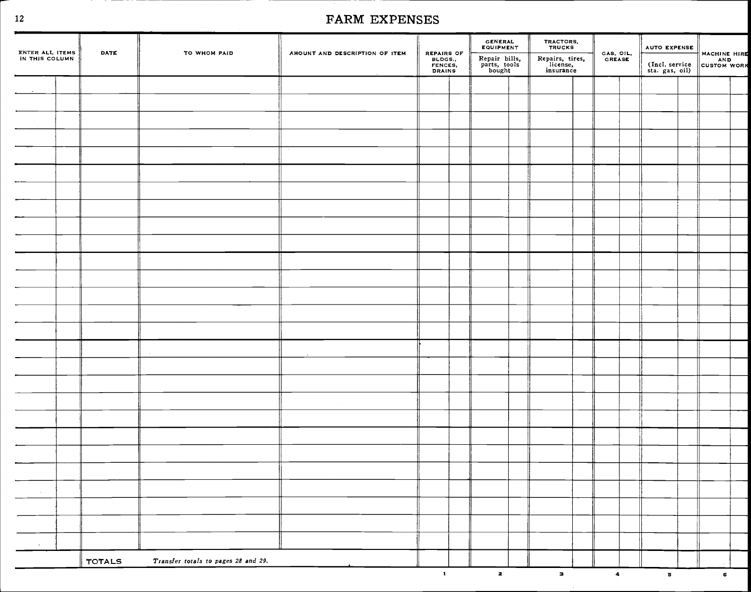|                                   | <b>DATE</b>   |                                     | AMOUNT AND DESCRIPTION OF ITEM |                                            | GENERAL<br>EQUIPMENT                    | TRACTORS,<br>TRUCKS                      |                         | AUTO EXPENSE                     |              |  |
|-----------------------------------|---------------|-------------------------------------|--------------------------------|--------------------------------------------|-----------------------------------------|------------------------------------------|-------------------------|----------------------------------|--------------|--|
| ENTER ALL ITEMS<br>IN THIS COLUMN |               | TO WHOM PAID                        |                                | REPAIRS OF<br>BLDGS.,<br>FENCES,<br>DRAINS | Repair bills,<br>parts, tools<br>bought | Repairs, tires,<br>license,<br>insurance | GAS, OIL,<br>GREASE     | (Incl. service<br>sta. gas, oil) | MACHINE HIRE |  |
|                                   |               |                                     |                                |                                            |                                         |                                          |                         |                                  |              |  |
|                                   |               |                                     |                                |                                            |                                         |                                          |                         |                                  |              |  |
|                                   |               |                                     |                                |                                            |                                         |                                          |                         |                                  |              |  |
|                                   |               |                                     |                                |                                            |                                         |                                          |                         |                                  |              |  |
|                                   |               |                                     |                                |                                            |                                         |                                          |                         |                                  |              |  |
|                                   |               |                                     |                                |                                            |                                         |                                          |                         |                                  |              |  |
|                                   |               |                                     |                                |                                            |                                         |                                          |                         |                                  |              |  |
|                                   |               |                                     |                                |                                            |                                         |                                          |                         |                                  |              |  |
|                                   |               |                                     |                                |                                            |                                         |                                          |                         |                                  |              |  |
|                                   |               |                                     |                                |                                            |                                         |                                          |                         |                                  |              |  |
|                                   |               |                                     |                                |                                            |                                         |                                          |                         |                                  |              |  |
|                                   |               |                                     |                                |                                            |                                         |                                          |                         |                                  |              |  |
|                                   |               |                                     |                                |                                            |                                         |                                          |                         |                                  |              |  |
|                                   |               |                                     |                                |                                            |                                         |                                          |                         |                                  |              |  |
|                                   |               |                                     |                                |                                            |                                         |                                          |                         |                                  |              |  |
|                                   |               |                                     |                                |                                            |                                         |                                          |                         |                                  |              |  |
|                                   |               |                                     |                                |                                            |                                         |                                          |                         |                                  |              |  |
|                                   |               |                                     |                                |                                            |                                         |                                          |                         |                                  |              |  |
|                                   |               |                                     |                                |                                            |                                         |                                          |                         |                                  |              |  |
|                                   |               |                                     |                                |                                            |                                         |                                          |                         |                                  |              |  |
|                                   |               |                                     |                                |                                            |                                         |                                          |                         |                                  |              |  |
|                                   |               |                                     |                                |                                            |                                         |                                          |                         |                                  |              |  |
|                                   |               |                                     |                                |                                            |                                         |                                          |                         |                                  |              |  |
| $\sim 10^{11}$ km s $^{-1}$       |               |                                     |                                |                                            |                                         |                                          |                         |                                  |              |  |
|                                   |               |                                     |                                |                                            |                                         |                                          |                         |                                  |              |  |
|                                   |               |                                     |                                |                                            |                                         |                                          |                         |                                  |              |  |
| $\sim$                            |               |                                     |                                |                                            |                                         |                                          |                         |                                  |              |  |
|                                   | <b>TOTALS</b> | Transfer totals to pages 28 and 29. |                                |                                            |                                         |                                          |                         |                                  |              |  |
|                                   |               |                                     |                                | $\mathbf{1}$                               | $\overline{\mathbf{z}}$                 | $\overline{\mathbf{3}}$                  | $\overline{\mathbf{4}}$ | $5^{\circ}$                      | $\epsilon$   |  |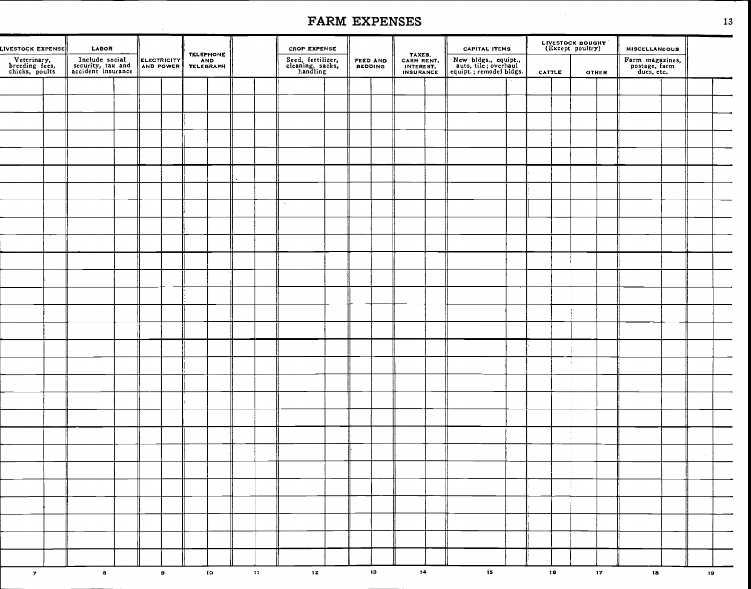| LIVESTOCK EXPENSE                               | <b>LABOR</b>                                              |  |             |                               |               | <b>CROP EXPENSE</b>                               |                     |    |                                                       | <b>CAPITAL ITEMS</b>                                                    |        |    | LIVESTOCK BOUGHT |                 | <b>MISCELLANEOUS</b>                           |    |  |
|-------------------------------------------------|-----------------------------------------------------------|--|-------------|-------------------------------|---------------|---------------------------------------------------|---------------------|----|-------------------------------------------------------|-------------------------------------------------------------------------|--------|----|------------------|-----------------|------------------------------------------------|----|--|
| Veterinary,<br>breeding fees,<br>chicks, poults | Include social<br>security, tax and<br>accident insurance |  | ELECTRICITY | TELEPHONE<br>AND<br>TELEGRAPH |               | Seed, fertilizer,<br>cleaning, sacks,<br>handling | FEED AND<br>BEDDING |    | TAXES,<br>CASH RENT,<br>INTEREST.<br><b>INSURANCE</b> | New bldgs., equipt.,<br>auto, tile; overhaul<br>equipt.; remodel bldgs. | CATTLE |    |                  | <b>OTHER</b>    | Farm magazines,<br>postage, farm<br>dues, etc. |    |  |
|                                                 |                                                           |  |             |                               |               |                                                   |                     |    |                                                       |                                                                         |        |    |                  |                 |                                                |    |  |
|                                                 |                                                           |  |             |                               |               |                                                   |                     |    |                                                       |                                                                         |        |    |                  |                 |                                                |    |  |
|                                                 |                                                           |  |             |                               |               |                                                   |                     |    |                                                       |                                                                         |        |    |                  |                 |                                                |    |  |
|                                                 |                                                           |  |             |                               |               |                                                   |                     |    |                                                       |                                                                         |        |    |                  |                 |                                                |    |  |
|                                                 |                                                           |  |             |                               |               |                                                   |                     |    |                                                       |                                                                         |        |    |                  |                 |                                                |    |  |
|                                                 |                                                           |  |             |                               |               |                                                   |                     |    |                                                       |                                                                         |        |    |                  |                 |                                                |    |  |
|                                                 |                                                           |  |             |                               |               |                                                   |                     |    |                                                       |                                                                         |        |    |                  |                 |                                                |    |  |
|                                                 |                                                           |  |             |                               |               | $\bullet$                                         |                     |    |                                                       |                                                                         |        |    |                  |                 |                                                |    |  |
|                                                 |                                                           |  |             |                               |               |                                                   |                     |    |                                                       |                                                                         |        |    |                  |                 |                                                |    |  |
|                                                 |                                                           |  |             |                               |               |                                                   |                     |    |                                                       |                                                                         |        |    |                  |                 |                                                |    |  |
|                                                 |                                                           |  |             |                               |               |                                                   |                     |    |                                                       |                                                                         |        |    |                  |                 |                                                |    |  |
|                                                 |                                                           |  |             |                               |               |                                                   |                     |    |                                                       |                                                                         |        |    |                  |                 |                                                |    |  |
|                                                 |                                                           |  |             |                               |               |                                                   |                     |    |                                                       |                                                                         |        |    |                  |                 |                                                |    |  |
|                                                 |                                                           |  |             |                               |               |                                                   |                     |    |                                                       |                                                                         |        |    |                  |                 |                                                |    |  |
|                                                 |                                                           |  |             |                               |               |                                                   |                     |    |                                                       |                                                                         |        |    |                  |                 |                                                |    |  |
|                                                 |                                                           |  |             |                               |               |                                                   |                     |    |                                                       |                                                                         |        |    |                  |                 |                                                |    |  |
|                                                 |                                                           |  |             |                               |               |                                                   |                     |    |                                                       |                                                                         |        |    |                  |                 |                                                |    |  |
|                                                 |                                                           |  |             |                               |               |                                                   |                     |    |                                                       |                                                                         |        |    |                  |                 |                                                |    |  |
|                                                 |                                                           |  |             |                               |               |                                                   |                     |    |                                                       |                                                                         |        |    |                  |                 |                                                |    |  |
|                                                 |                                                           |  |             |                               |               |                                                   |                     |    |                                                       |                                                                         |        |    |                  |                 |                                                |    |  |
|                                                 |                                                           |  |             |                               |               |                                                   |                     |    |                                                       |                                                                         |        |    |                  |                 |                                                |    |  |
|                                                 |                                                           |  |             |                               |               |                                                   |                     |    |                                                       |                                                                         |        |    |                  |                 |                                                |    |  |
|                                                 |                                                           |  |             |                               |               |                                                   |                     |    |                                                       |                                                                         |        |    |                  |                 |                                                |    |  |
|                                                 |                                                           |  |             |                               |               |                                                   |                     |    |                                                       |                                                                         |        |    |                  |                 |                                                |    |  |
|                                                 |                                                           |  |             |                               |               |                                                   |                     |    |                                                       |                                                                         |        |    |                  |                 |                                                |    |  |
|                                                 |                                                           |  |             |                               |               |                                                   |                     |    |                                                       |                                                                         |        |    |                  |                 |                                                |    |  |
|                                                 |                                                           |  |             |                               |               |                                                   |                     |    |                                                       |                                                                         |        |    |                  |                 |                                                |    |  |
|                                                 |                                                           |  |             |                               |               |                                                   |                     |    |                                                       |                                                                         |        |    |                  |                 |                                                |    |  |
|                                                 |                                                           |  |             |                               |               |                                                   |                     |    |                                                       |                                                                         |        |    |                  |                 |                                                |    |  |
| $\mathbf{z}$                                    | $\pmb{B}$                                                 |  | $\bullet$   | $\mathbf{10}$                 | $\mathbf{11}$ | 12 <sub>1</sub>                                   |                     | 13 | 14                                                    | $\mathbf{15}^-$                                                         |        | 16 |                  | 17 <sub>2</sub> | 18 <sub>1</sub>                                | 19 |  |
|                                                 |                                                           |  |             |                               |               |                                                   |                     |    |                                                       |                                                                         |        |    |                  |                 |                                                |    |  |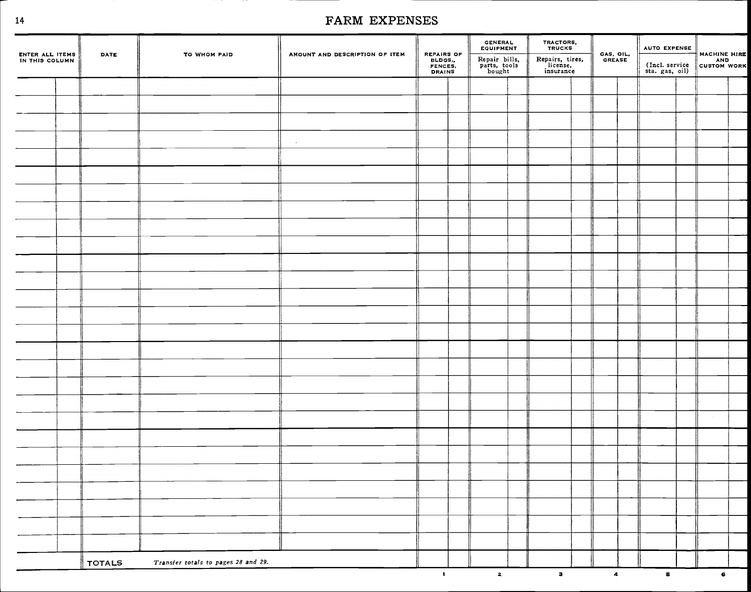| ENTER ALL ITEMS<br>IN THIS COLUMN | <b>DATE</b>   | TO WHOM PAID                        | AMOUNT AND DESCRIPTION OF ITEM | REPAIRS OF<br>BLDGS.,<br>FENCES,<br>DRAINS | GENERAL<br>EQUIPMENT<br>Repair bills,<br>parts, tools<br>bought | TRACTORS,<br>TRUCKS<br>Repairs, tires,<br>license,<br>insurance | GAS, OIL,<br>GREASE  | <b>AUTO EXPENSE</b><br>MACHINE HIRE<br>(Incl. service AND<br>sta. gas, oil) CUSTOM WORK |            |  |
|-----------------------------------|---------------|-------------------------------------|--------------------------------|--------------------------------------------|-----------------------------------------------------------------|-----------------------------------------------------------------|----------------------|-----------------------------------------------------------------------------------------|------------|--|
|                                   |               |                                     |                                |                                            |                                                                 |                                                                 |                      |                                                                                         |            |  |
|                                   |               |                                     |                                |                                            |                                                                 |                                                                 |                      |                                                                                         |            |  |
|                                   |               |                                     |                                |                                            |                                                                 |                                                                 |                      |                                                                                         |            |  |
|                                   |               |                                     | $\sim$                         |                                            |                                                                 |                                                                 |                      |                                                                                         |            |  |
|                                   |               |                                     |                                |                                            |                                                                 |                                                                 |                      |                                                                                         |            |  |
|                                   |               |                                     |                                |                                            |                                                                 |                                                                 |                      |                                                                                         |            |  |
|                                   |               |                                     |                                |                                            |                                                                 |                                                                 |                      |                                                                                         |            |  |
|                                   |               |                                     |                                |                                            |                                                                 |                                                                 |                      |                                                                                         |            |  |
|                                   |               |                                     |                                |                                            |                                                                 |                                                                 |                      |                                                                                         |            |  |
|                                   |               |                                     |                                |                                            |                                                                 |                                                                 |                      |                                                                                         |            |  |
|                                   |               |                                     |                                |                                            |                                                                 |                                                                 |                      |                                                                                         |            |  |
|                                   |               |                                     |                                |                                            |                                                                 |                                                                 |                      |                                                                                         |            |  |
|                                   |               |                                     |                                |                                            |                                                                 |                                                                 |                      |                                                                                         |            |  |
|                                   |               |                                     |                                |                                            |                                                                 |                                                                 |                      |                                                                                         |            |  |
|                                   |               |                                     |                                |                                            |                                                                 |                                                                 |                      |                                                                                         |            |  |
|                                   |               |                                     |                                |                                            |                                                                 |                                                                 |                      |                                                                                         |            |  |
|                                   |               |                                     |                                |                                            |                                                                 |                                                                 |                      |                                                                                         |            |  |
|                                   |               |                                     |                                |                                            |                                                                 |                                                                 |                      |                                                                                         |            |  |
|                                   |               |                                     |                                |                                            |                                                                 |                                                                 |                      |                                                                                         |            |  |
|                                   |               |                                     |                                |                                            |                                                                 |                                                                 |                      |                                                                                         |            |  |
|                                   |               |                                     |                                |                                            |                                                                 |                                                                 |                      |                                                                                         |            |  |
|                                   |               |                                     |                                |                                            |                                                                 |                                                                 |                      |                                                                                         |            |  |
|                                   |               |                                     |                                |                                            |                                                                 |                                                                 |                      |                                                                                         |            |  |
|                                   |               |                                     |                                |                                            |                                                                 |                                                                 |                      |                                                                                         |            |  |
|                                   |               |                                     |                                |                                            |                                                                 |                                                                 |                      |                                                                                         |            |  |
|                                   |               |                                     |                                |                                            |                                                                 |                                                                 |                      |                                                                                         |            |  |
|                                   |               |                                     |                                |                                            |                                                                 |                                                                 |                      |                                                                                         |            |  |
|                                   | <b>TOTALS</b> | Transfer totals to pages 28 and 29. |                                |                                            |                                                                 |                                                                 |                      |                                                                                         |            |  |
|                                   |               |                                     |                                | $\mathbf{L}$                               | $\overline{\mathbf{2}}$                                         | $\mathbf{a}$                                                    | $\blacktriangleleft$ | $\overline{\mathbf{5}}$                                                                 | $\epsilon$ |  |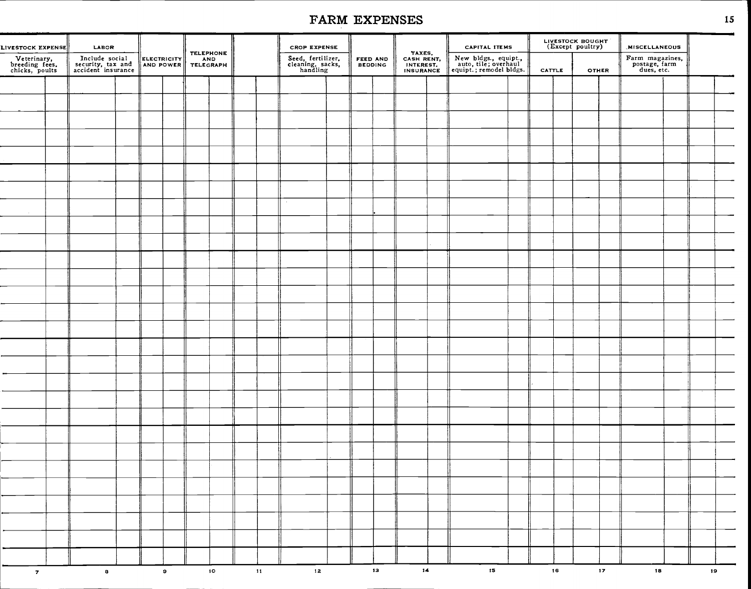| LIVESTOCK EXPENSE<br>Veterinary,<br>breeding fees,<br>chicks, poults | LABOR<br>Include social<br>security, tax and<br>accident insurance | ELECTRICITY |           | TELEPHONE<br>AND<br>TELEGRAPH |    |               | <b>CROP EXPENSE</b><br>Seed, fertilizer,<br>cleaning, sacks,<br>handling | FEED AND<br>BEDDING |    | TAXES,<br>CASH RENT,<br>INTEREST,<br>INSURANCE | <b>CAPITAL ITEMS</b><br>New bldgs., equipt.,<br>auto, tile; overhaul<br>equipt.; remodel bldgs. |        | LIVESTOCK BOUGHT<br>(Except poultry) |                 | <b>MISCELLANEOUS</b><br>Farm magazines,<br>postage, farm<br>dues, etc. |    |  |
|----------------------------------------------------------------------|--------------------------------------------------------------------|-------------|-----------|-------------------------------|----|---------------|--------------------------------------------------------------------------|---------------------|----|------------------------------------------------|-------------------------------------------------------------------------------------------------|--------|--------------------------------------|-----------------|------------------------------------------------------------------------|----|--|
|                                                                      |                                                                    |             |           |                               |    |               |                                                                          |                     |    |                                                |                                                                                                 | CATTLE | <b>OTHER</b>                         |                 |                                                                        |    |  |
|                                                                      |                                                                    |             |           |                               |    |               |                                                                          |                     |    |                                                |                                                                                                 |        |                                      |                 |                                                                        |    |  |
|                                                                      |                                                                    |             |           |                               |    |               |                                                                          |                     |    |                                                |                                                                                                 |        |                                      |                 |                                                                        |    |  |
|                                                                      |                                                                    |             |           |                               |    |               |                                                                          |                     |    |                                                |                                                                                                 |        |                                      |                 |                                                                        |    |  |
|                                                                      |                                                                    |             |           |                               |    |               |                                                                          |                     |    |                                                |                                                                                                 |        |                                      |                 |                                                                        |    |  |
|                                                                      |                                                                    |             |           |                               |    |               |                                                                          |                     |    |                                                |                                                                                                 |        |                                      |                 |                                                                        |    |  |
|                                                                      |                                                                    |             |           |                               |    |               |                                                                          |                     |    |                                                |                                                                                                 |        |                                      |                 |                                                                        |    |  |
|                                                                      |                                                                    |             |           |                               |    |               |                                                                          |                     |    |                                                |                                                                                                 |        |                                      |                 |                                                                        |    |  |
|                                                                      |                                                                    |             |           |                               |    |               |                                                                          |                     |    |                                                |                                                                                                 |        |                                      |                 |                                                                        |    |  |
|                                                                      |                                                                    |             |           |                               |    |               |                                                                          |                     |    |                                                |                                                                                                 |        |                                      |                 |                                                                        |    |  |
|                                                                      |                                                                    |             |           |                               |    |               |                                                                          |                     |    |                                                |                                                                                                 |        |                                      |                 |                                                                        |    |  |
|                                                                      |                                                                    |             |           |                               |    |               |                                                                          |                     |    |                                                |                                                                                                 |        |                                      |                 |                                                                        |    |  |
|                                                                      |                                                                    |             |           |                               |    |               |                                                                          |                     |    |                                                |                                                                                                 |        |                                      |                 |                                                                        |    |  |
|                                                                      |                                                                    |             |           |                               |    |               |                                                                          |                     |    |                                                |                                                                                                 |        |                                      |                 |                                                                        |    |  |
|                                                                      |                                                                    |             |           |                               |    |               |                                                                          |                     |    |                                                |                                                                                                 |        |                                      |                 |                                                                        |    |  |
|                                                                      |                                                                    |             |           |                               |    |               |                                                                          |                     |    |                                                |                                                                                                 |        |                                      |                 |                                                                        |    |  |
|                                                                      |                                                                    |             |           |                               |    |               |                                                                          |                     |    |                                                |                                                                                                 |        |                                      |                 |                                                                        |    |  |
|                                                                      |                                                                    |             |           |                               |    |               |                                                                          |                     |    |                                                |                                                                                                 |        |                                      |                 |                                                                        |    |  |
|                                                                      |                                                                    |             |           |                               |    |               |                                                                          |                     |    |                                                |                                                                                                 |        |                                      |                 |                                                                        |    |  |
|                                                                      |                                                                    |             |           |                               |    |               |                                                                          |                     |    |                                                |                                                                                                 |        |                                      |                 |                                                                        |    |  |
|                                                                      |                                                                    |             |           |                               |    |               |                                                                          |                     |    |                                                |                                                                                                 |        |                                      |                 |                                                                        |    |  |
|                                                                      |                                                                    |             |           |                               |    |               |                                                                          |                     |    |                                                |                                                                                                 |        |                                      |                 |                                                                        |    |  |
|                                                                      |                                                                    |             |           |                               |    |               |                                                                          |                     |    |                                                |                                                                                                 |        |                                      |                 |                                                                        |    |  |
|                                                                      |                                                                    |             |           |                               |    |               |                                                                          |                     |    |                                                |                                                                                                 |        |                                      |                 |                                                                        |    |  |
|                                                                      |                                                                    |             |           |                               |    |               |                                                                          |                     |    |                                                |                                                                                                 |        |                                      |                 |                                                                        |    |  |
|                                                                      |                                                                    |             |           |                               |    |               |                                                                          |                     |    |                                                |                                                                                                 |        |                                      |                 |                                                                        |    |  |
|                                                                      |                                                                    |             |           |                               |    |               |                                                                          |                     |    |                                                |                                                                                                 |        |                                      |                 |                                                                        |    |  |
|                                                                      |                                                                    |             |           |                               |    |               |                                                                          |                     |    |                                                |                                                                                                 |        |                                      |                 |                                                                        |    |  |
|                                                                      |                                                                    |             |           |                               |    |               |                                                                          |                     |    |                                                |                                                                                                 |        |                                      |                 |                                                                        |    |  |
|                                                                      |                                                                    |             |           |                               |    |               |                                                                          |                     |    |                                                |                                                                                                 |        |                                      |                 |                                                                        |    |  |
|                                                                      |                                                                    |             |           |                               |    |               |                                                                          |                     |    |                                                |                                                                                                 |        |                                      |                 |                                                                        |    |  |
|                                                                      |                                                                    |             |           |                               |    |               |                                                                          |                     |    |                                                |                                                                                                 |        |                                      |                 |                                                                        |    |  |
|                                                                      |                                                                    |             |           |                               |    |               |                                                                          |                     |    |                                                |                                                                                                 |        |                                      |                 |                                                                        |    |  |
| $\overline{\mathbf{z}}$                                              | $\bullet$                                                          |             | $\pmb{9}$ |                               | 10 | $\mathbf{11}$ | $\mathbf{12}$                                                            |                     | 13 | 14                                             | 15 <sub>1</sub>                                                                                 | 16     |                                      | 17 <sub>2</sub> | 18                                                                     | 19 |  |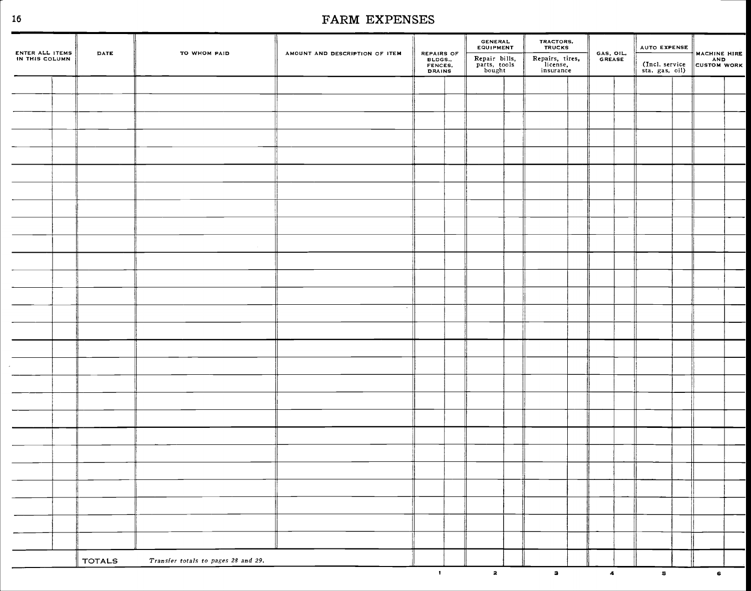| ENTER ALL ITEMS<br>IN THIS COLUMN | DATE          | TO WHOM PAID                        | AMOUNT AND DESCRIPTION OF ITEM | REPAIRS OF<br>BLDGS.,<br>FENCES,<br>DRAINS | GENERAL<br>EQUIPMENT<br>Repair bills,<br>parts, tools<br>bought | TRACTORS,<br>TRUCKS<br>Repairs, tires,<br>license,<br>insurance | GAS, OIL.<br><b>GREASE</b> | AUTO EXPENSE<br>(Incl. service<br>sta. gas, oil) | MACHINE HIRE |  |
|-----------------------------------|---------------|-------------------------------------|--------------------------------|--------------------------------------------|-----------------------------------------------------------------|-----------------------------------------------------------------|----------------------------|--------------------------------------------------|--------------|--|
|                                   |               |                                     |                                |                                            |                                                                 |                                                                 |                            |                                                  |              |  |
|                                   |               |                                     |                                |                                            |                                                                 |                                                                 |                            |                                                  |              |  |
|                                   |               |                                     |                                |                                            |                                                                 |                                                                 |                            |                                                  |              |  |
|                                   |               |                                     |                                |                                            |                                                                 |                                                                 |                            |                                                  |              |  |
|                                   |               |                                     |                                |                                            |                                                                 |                                                                 |                            |                                                  |              |  |
|                                   |               |                                     |                                |                                            |                                                                 |                                                                 |                            |                                                  |              |  |
|                                   |               |                                     |                                |                                            |                                                                 |                                                                 |                            |                                                  |              |  |
|                                   |               |                                     |                                |                                            |                                                                 |                                                                 |                            |                                                  |              |  |
|                                   |               |                                     |                                |                                            |                                                                 |                                                                 |                            |                                                  |              |  |
|                                   |               |                                     |                                |                                            |                                                                 |                                                                 |                            |                                                  |              |  |
|                                   |               |                                     |                                |                                            |                                                                 |                                                                 |                            |                                                  |              |  |
|                                   |               |                                     |                                |                                            |                                                                 |                                                                 |                            |                                                  |              |  |
|                                   |               |                                     |                                |                                            |                                                                 |                                                                 |                            |                                                  |              |  |
|                                   |               |                                     | $\cdot$                        |                                            |                                                                 |                                                                 |                            |                                                  |              |  |
|                                   |               |                                     |                                |                                            |                                                                 |                                                                 |                            |                                                  |              |  |
|                                   |               |                                     |                                |                                            |                                                                 |                                                                 |                            |                                                  |              |  |
|                                   |               |                                     |                                |                                            |                                                                 |                                                                 |                            |                                                  |              |  |
|                                   |               |                                     |                                |                                            |                                                                 |                                                                 |                            |                                                  |              |  |
|                                   |               |                                     |                                |                                            |                                                                 |                                                                 |                            |                                                  |              |  |
|                                   |               |                                     |                                |                                            |                                                                 |                                                                 |                            |                                                  |              |  |
|                                   |               |                                     |                                |                                            |                                                                 |                                                                 |                            |                                                  |              |  |
|                                   |               |                                     |                                |                                            |                                                                 |                                                                 |                            |                                                  |              |  |
|                                   |               |                                     |                                |                                            |                                                                 |                                                                 |                            |                                                  |              |  |
|                                   |               |                                     |                                |                                            |                                                                 |                                                                 |                            |                                                  |              |  |
|                                   |               |                                     |                                |                                            |                                                                 |                                                                 |                            |                                                  |              |  |
|                                   |               |                                     |                                |                                            |                                                                 |                                                                 |                            |                                                  |              |  |
|                                   |               |                                     |                                |                                            |                                                                 |                                                                 |                            |                                                  |              |  |
|                                   | <b>TOTALS</b> | Transfer totals to pages 28 and 29. |                                |                                            |                                                                 |                                                                 |                            |                                                  |              |  |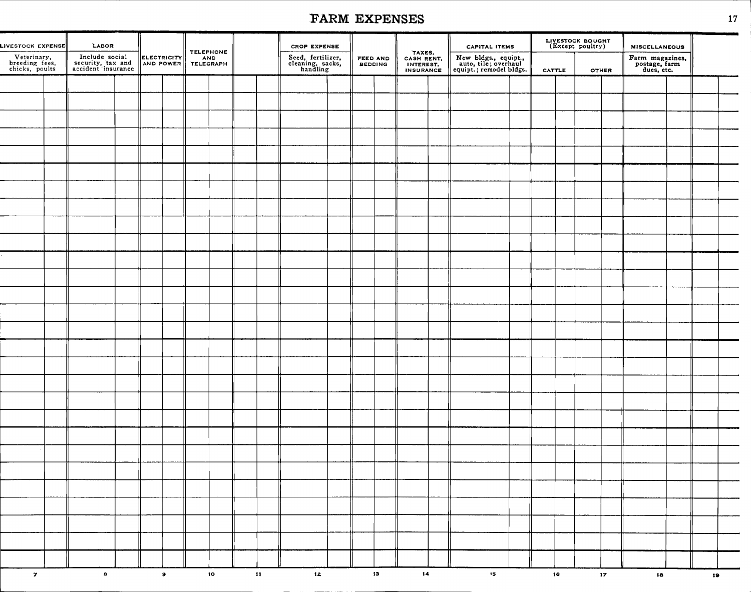# FARM EXPENSES 17 FARM EXPENSES

|                                                                        |                                                                    |                                 |                                      |                            |                                                                          | FARM EXPENSES                     |                                                |                                                                                                 |                                      |                                                                        | 17 |
|------------------------------------------------------------------------|--------------------------------------------------------------------|---------------------------------|--------------------------------------|----------------------------|--------------------------------------------------------------------------|-----------------------------------|------------------------------------------------|-------------------------------------------------------------------------------------------------|--------------------------------------|------------------------------------------------------------------------|----|
| LIVESTOCK EXPENSE  <br>Veterinary,<br>breeding fees,<br>chicks, poults | LABOR<br>Include social<br>security, tax and<br>accident insurance | <b>ELECTRICITY</b><br>AND POWER | <b>TELEPHONE</b><br>AND<br>TELEGRAPH |                            | <b>CROP EXPENSE</b><br>Seed, fertilizer,<br>cleaning, sacks,<br>handling | <b>FEED AND</b><br><b>BEDDING</b> | TAXES,<br>CASH RENT,<br>INTEREST,<br>INSURANCE | <b>CAPITAL ITEMS</b><br>New bldgs., equipt.,<br>auto, tile; overhaul<br>equipt.; remodel bldgs. | LIVESTOCK BOUGHT<br>(Except poultry) | <b>MISCELLANEOUS</b><br>Farm magazines,<br>postage, farm<br>dues, etc. |    |
|                                                                        |                                                                    |                                 |                                      |                            |                                                                          |                                   |                                                |                                                                                                 | CATTLE<br><b>OTHER</b>               |                                                                        |    |
|                                                                        |                                                                    |                                 |                                      |                            |                                                                          |                                   |                                                |                                                                                                 |                                      |                                                                        |    |
|                                                                        |                                                                    |                                 |                                      |                            |                                                                          |                                   |                                                |                                                                                                 |                                      |                                                                        |    |
|                                                                        |                                                                    |                                 |                                      |                            |                                                                          |                                   |                                                |                                                                                                 |                                      |                                                                        |    |
|                                                                        |                                                                    |                                 |                                      |                            |                                                                          |                                   |                                                |                                                                                                 |                                      |                                                                        |    |
|                                                                        |                                                                    |                                 |                                      |                            |                                                                          |                                   |                                                |                                                                                                 |                                      |                                                                        |    |
|                                                                        |                                                                    |                                 |                                      |                            |                                                                          |                                   |                                                |                                                                                                 |                                      |                                                                        |    |
|                                                                        |                                                                    |                                 |                                      |                            |                                                                          |                                   |                                                |                                                                                                 |                                      |                                                                        |    |
|                                                                        |                                                                    |                                 |                                      |                            |                                                                          |                                   |                                                |                                                                                                 |                                      |                                                                        |    |
|                                                                        |                                                                    |                                 |                                      |                            |                                                                          |                                   |                                                |                                                                                                 |                                      |                                                                        |    |
|                                                                        |                                                                    |                                 |                                      |                            |                                                                          |                                   |                                                |                                                                                                 |                                      |                                                                        |    |
|                                                                        |                                                                    |                                 |                                      |                            |                                                                          |                                   |                                                |                                                                                                 |                                      |                                                                        |    |
|                                                                        |                                                                    |                                 |                                      |                            |                                                                          |                                   |                                                |                                                                                                 |                                      |                                                                        |    |
|                                                                        |                                                                    |                                 |                                      |                            |                                                                          |                                   |                                                |                                                                                                 |                                      |                                                                        |    |
|                                                                        |                                                                    |                                 |                                      |                            |                                                                          |                                   |                                                |                                                                                                 |                                      |                                                                        |    |
|                                                                        |                                                                    |                                 |                                      |                            |                                                                          |                                   |                                                |                                                                                                 |                                      |                                                                        |    |
|                                                                        |                                                                    |                                 |                                      |                            |                                                                          |                                   |                                                |                                                                                                 |                                      |                                                                        |    |
|                                                                        |                                                                    |                                 |                                      |                            |                                                                          |                                   |                                                |                                                                                                 |                                      |                                                                        |    |
|                                                                        |                                                                    |                                 |                                      |                            |                                                                          |                                   |                                                |                                                                                                 |                                      |                                                                        |    |
|                                                                        |                                                                    |                                 |                                      |                            |                                                                          |                                   |                                                |                                                                                                 |                                      |                                                                        |    |
|                                                                        |                                                                    |                                 |                                      |                            |                                                                          |                                   |                                                |                                                                                                 |                                      |                                                                        |    |
|                                                                        |                                                                    |                                 |                                      |                            |                                                                          |                                   |                                                |                                                                                                 |                                      |                                                                        |    |
|                                                                        |                                                                    |                                 |                                      |                            |                                                                          |                                   |                                                |                                                                                                 |                                      |                                                                        |    |
|                                                                        |                                                                    |                                 |                                      |                            |                                                                          |                                   |                                                |                                                                                                 |                                      |                                                                        |    |
|                                                                        |                                                                    |                                 |                                      |                            |                                                                          |                                   |                                                |                                                                                                 |                                      |                                                                        |    |
|                                                                        |                                                                    |                                 |                                      |                            |                                                                          |                                   |                                                |                                                                                                 |                                      |                                                                        |    |
|                                                                        |                                                                    |                                 |                                      |                            |                                                                          |                                   |                                                |                                                                                                 |                                      |                                                                        |    |
|                                                                        |                                                                    |                                 |                                      |                            |                                                                          |                                   |                                                |                                                                                                 |                                      |                                                                        |    |
|                                                                        |                                                                    |                                 |                                      |                            |                                                                          |                                   |                                                |                                                                                                 |                                      |                                                                        |    |
|                                                                        |                                                                    |                                 |                                      |                            |                                                                          |                                   |                                                |                                                                                                 |                                      |                                                                        |    |
|                                                                        |                                                                    |                                 |                                      |                            |                                                                          |                                   |                                                |                                                                                                 |                                      |                                                                        |    |
|                                                                        |                                                                    |                                 |                                      |                            |                                                                          |                                   |                                                |                                                                                                 |                                      |                                                                        |    |
| $\mathbf{z}$                                                           | $\mathbf{a}$                                                       | $\bullet$                       | to                                   | $\langle\mathbf{H}\rangle$ | 12                                                                       | 13                                | 14                                             | $15 -$                                                                                          | 16<br>17 <sub>17</sub>               | 18                                                                     | 19 |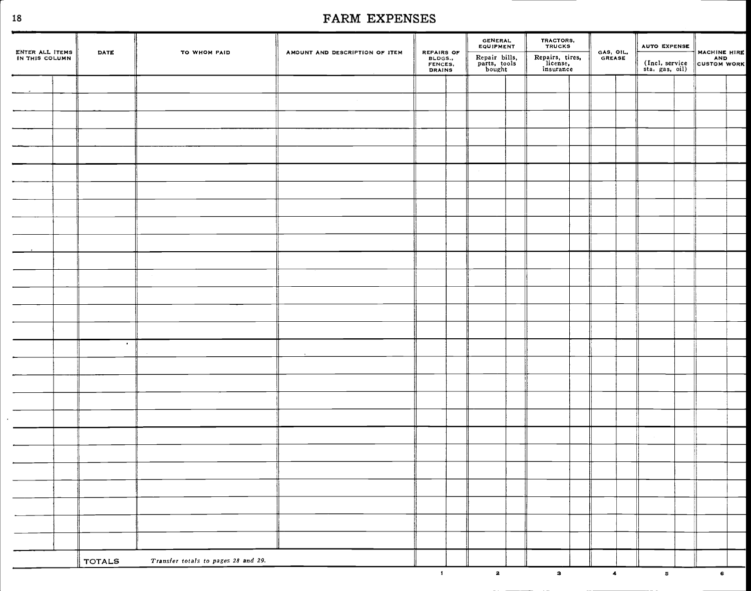| REPAIRS OF<br>BLDGS.,<br>FENCES,<br>DRAINS<br>Repair bills,<br>parts, tools<br>bought<br>Repairs, tires,<br>license,<br>insurance<br>$\bullet$ | MACHINE HIRE |
|------------------------------------------------------------------------------------------------------------------------------------------------|--------------|
|                                                                                                                                                |              |
|                                                                                                                                                |              |
|                                                                                                                                                |              |
|                                                                                                                                                |              |
|                                                                                                                                                |              |
|                                                                                                                                                |              |
|                                                                                                                                                |              |
|                                                                                                                                                |              |
|                                                                                                                                                |              |
|                                                                                                                                                |              |
|                                                                                                                                                |              |
|                                                                                                                                                |              |
|                                                                                                                                                |              |
|                                                                                                                                                |              |
|                                                                                                                                                |              |
|                                                                                                                                                |              |
|                                                                                                                                                |              |
|                                                                                                                                                |              |
|                                                                                                                                                |              |
|                                                                                                                                                |              |
|                                                                                                                                                |              |
|                                                                                                                                                |              |
|                                                                                                                                                |              |
|                                                                                                                                                |              |
|                                                                                                                                                |              |
|                                                                                                                                                |              |
|                                                                                                                                                |              |
|                                                                                                                                                |              |
| Transfer totals to pages 28 and 29.<br><b>TOTALS</b>                                                                                           |              |

 $\ddot{\phantom{a}}$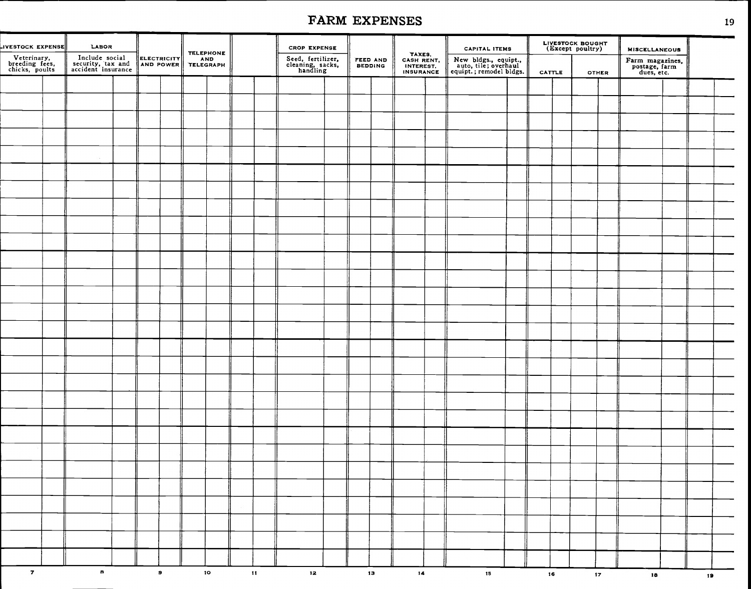| <b>JVESTOCK EXPENSE</b>                         | LABOR                                                     |  |           |                 | <b>TELEPHONE</b> |               | <b>CROP EXPENSE</b>                               |  |                     |                                                | <b>CAPITAL ITEMS</b>                                                    |                 | LIVESTOCK BOUGHT<br>(Except poultry) |                 | <b>MISCELLANEOUS</b>                           |    |  |
|-------------------------------------------------|-----------------------------------------------------------|--|-----------|-----------------|------------------|---------------|---------------------------------------------------|--|---------------------|------------------------------------------------|-------------------------------------------------------------------------|-----------------|--------------------------------------|-----------------|------------------------------------------------|----|--|
| Veterinary,<br>breeding fees,<br>chicks, poults | Include social<br>security, tax and<br>accident insurance |  |           | ELECTRICITY AND |                  |               | Seed, fertilizer,<br>cleaning, sacks,<br>handling |  | FEED AND<br>BEDDING | TAXES,<br>CASH RENT,<br>INTEREST,<br>INSURANCE | New bldgs., equipt.,<br>auto, tile; overhaul<br>equipt.; remodel bldgs. | CATTLE          |                                      | <b>OTHER</b>    | Farm magazines,<br>postage, farm<br>dues, etc. |    |  |
|                                                 |                                                           |  |           |                 |                  |               |                                                   |  |                     |                                                |                                                                         |                 |                                      |                 |                                                |    |  |
|                                                 |                                                           |  |           |                 |                  |               |                                                   |  |                     |                                                |                                                                         |                 |                                      |                 |                                                |    |  |
|                                                 |                                                           |  |           |                 |                  |               |                                                   |  |                     |                                                |                                                                         |                 |                                      |                 |                                                |    |  |
|                                                 |                                                           |  |           |                 |                  |               |                                                   |  |                     |                                                |                                                                         |                 |                                      |                 |                                                |    |  |
|                                                 |                                                           |  |           |                 |                  |               |                                                   |  |                     |                                                |                                                                         |                 |                                      |                 |                                                |    |  |
|                                                 |                                                           |  |           |                 |                  |               |                                                   |  |                     |                                                |                                                                         |                 |                                      |                 |                                                |    |  |
|                                                 |                                                           |  |           |                 |                  |               |                                                   |  |                     |                                                |                                                                         |                 |                                      |                 |                                                |    |  |
|                                                 |                                                           |  |           |                 |                  |               |                                                   |  |                     |                                                |                                                                         |                 |                                      |                 |                                                |    |  |
|                                                 |                                                           |  |           |                 |                  |               |                                                   |  |                     |                                                |                                                                         |                 |                                      |                 |                                                |    |  |
|                                                 |                                                           |  |           |                 |                  |               |                                                   |  |                     |                                                |                                                                         |                 |                                      |                 |                                                |    |  |
|                                                 |                                                           |  |           |                 |                  |               |                                                   |  |                     |                                                |                                                                         |                 |                                      |                 |                                                |    |  |
|                                                 |                                                           |  |           |                 |                  |               |                                                   |  |                     |                                                |                                                                         |                 |                                      |                 |                                                |    |  |
|                                                 |                                                           |  |           |                 |                  |               |                                                   |  |                     |                                                |                                                                         |                 |                                      |                 |                                                |    |  |
|                                                 |                                                           |  |           |                 |                  |               |                                                   |  |                     |                                                |                                                                         |                 |                                      |                 |                                                |    |  |
|                                                 |                                                           |  |           |                 |                  |               |                                                   |  |                     |                                                |                                                                         |                 |                                      |                 |                                                |    |  |
|                                                 |                                                           |  |           |                 |                  |               |                                                   |  |                     |                                                |                                                                         |                 |                                      |                 |                                                |    |  |
|                                                 |                                                           |  |           |                 |                  |               |                                                   |  |                     |                                                |                                                                         |                 |                                      |                 |                                                |    |  |
|                                                 |                                                           |  |           |                 |                  |               |                                                   |  |                     |                                                |                                                                         |                 |                                      |                 |                                                |    |  |
|                                                 |                                                           |  |           |                 |                  |               |                                                   |  |                     |                                                |                                                                         |                 |                                      |                 |                                                |    |  |
|                                                 |                                                           |  |           |                 |                  |               |                                                   |  |                     |                                                |                                                                         |                 |                                      |                 |                                                |    |  |
|                                                 |                                                           |  |           |                 |                  |               |                                                   |  |                     |                                                |                                                                         |                 |                                      |                 |                                                |    |  |
|                                                 |                                                           |  |           |                 |                  |               |                                                   |  |                     |                                                |                                                                         |                 |                                      |                 |                                                |    |  |
|                                                 |                                                           |  |           |                 |                  |               |                                                   |  |                     |                                                |                                                                         |                 |                                      |                 |                                                |    |  |
|                                                 |                                                           |  |           |                 |                  |               |                                                   |  |                     |                                                |                                                                         |                 |                                      |                 |                                                |    |  |
|                                                 |                                                           |  |           |                 |                  |               |                                                   |  |                     |                                                |                                                                         |                 |                                      |                 |                                                |    |  |
|                                                 |                                                           |  |           |                 |                  |               |                                                   |  |                     |                                                |                                                                         |                 |                                      |                 |                                                |    |  |
|                                                 |                                                           |  |           |                 |                  |               |                                                   |  |                     |                                                |                                                                         |                 |                                      |                 |                                                |    |  |
|                                                 |                                                           |  |           |                 |                  |               |                                                   |  |                     |                                                |                                                                         |                 |                                      |                 |                                                |    |  |
|                                                 |                                                           |  |           |                 |                  |               |                                                   |  |                     |                                                |                                                                         |                 |                                      |                 |                                                |    |  |
| $\overline{\mathbf{z}}$                         | $\mathbf{a}$                                              |  | $\bullet$ |                 | 10 <sub>o</sub>  | $\mathbf{11}$ | 12                                                |  | 13 <sub>13</sub>    | 14                                             | 15 <sub>15</sub>                                                        | 16 <sub>1</sub> |                                      | 17 <sub>2</sub> | 18                                             | 19 |  |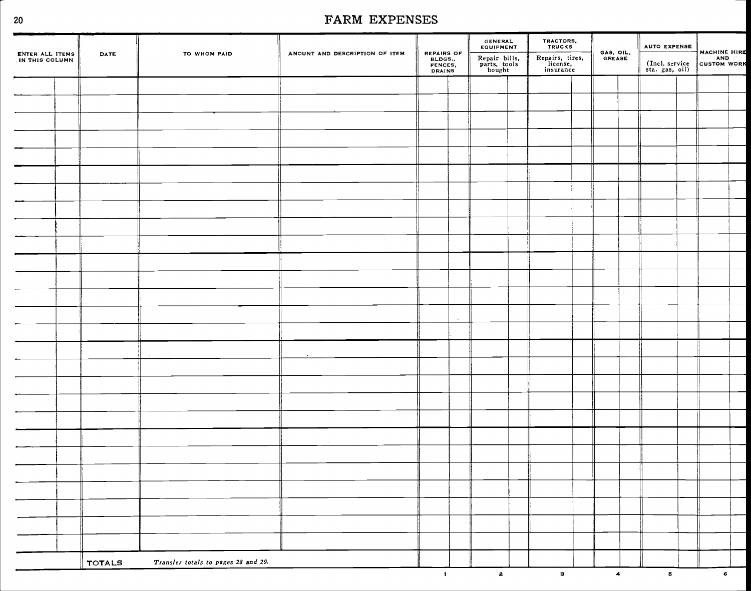. .

| ENTER ALL ITEMS<br>IN THIS COLUMN | DATE          | TO WHOM PAID                        | AMOUNT AND DESCRIPTION OF ITEM | REPAIRS OF<br>BLDGS.,<br>FENCES,<br>DRAINS |         | <b>GENERAL</b><br>EQUIPMENT<br>Repair bills,<br>parts, tools<br>bought | TRACTORS,<br>TRUCKS<br>Repairs, tires,<br>license,<br>insurance | GAS, OIL.<br>GREASE |                | <b>AUTO EXPENSE</b><br>(Incl. service<br>sta. gas, oil) | MACHINE HIRE |  |
|-----------------------------------|---------------|-------------------------------------|--------------------------------|--------------------------------------------|---------|------------------------------------------------------------------------|-----------------------------------------------------------------|---------------------|----------------|---------------------------------------------------------|--------------|--|
|                                   |               |                                     |                                |                                            |         |                                                                        |                                                                 |                     |                |                                                         |              |  |
|                                   |               |                                     |                                |                                            |         |                                                                        |                                                                 |                     |                |                                                         |              |  |
|                                   |               |                                     |                                |                                            |         |                                                                        |                                                                 |                     |                |                                                         |              |  |
|                                   |               |                                     |                                |                                            |         |                                                                        |                                                                 |                     |                |                                                         |              |  |
|                                   |               |                                     |                                |                                            |         |                                                                        |                                                                 |                     |                |                                                         |              |  |
|                                   |               |                                     |                                |                                            |         |                                                                        |                                                                 |                     |                |                                                         |              |  |
|                                   |               |                                     |                                |                                            |         |                                                                        |                                                                 |                     |                |                                                         |              |  |
|                                   |               |                                     |                                |                                            |         |                                                                        |                                                                 |                     |                |                                                         |              |  |
|                                   |               |                                     |                                |                                            |         |                                                                        |                                                                 |                     |                |                                                         |              |  |
|                                   |               |                                     |                                |                                            |         |                                                                        |                                                                 |                     |                |                                                         |              |  |
|                                   |               |                                     |                                |                                            |         |                                                                        |                                                                 |                     |                |                                                         |              |  |
|                                   |               |                                     |                                |                                            |         |                                                                        |                                                                 |                     |                |                                                         |              |  |
|                                   |               |                                     |                                |                                            |         |                                                                        |                                                                 |                     |                |                                                         |              |  |
|                                   |               |                                     |                                |                                            | $\cdot$ |                                                                        |                                                                 |                     |                |                                                         |              |  |
|                                   |               |                                     |                                |                                            |         |                                                                        |                                                                 |                     |                |                                                         |              |  |
|                                   |               |                                     |                                |                                            |         |                                                                        |                                                                 |                     |                |                                                         |              |  |
|                                   |               |                                     |                                |                                            |         |                                                                        |                                                                 |                     |                |                                                         |              |  |
|                                   |               |                                     |                                |                                            |         |                                                                        |                                                                 |                     |                |                                                         |              |  |
|                                   |               |                                     |                                |                                            |         |                                                                        |                                                                 |                     |                |                                                         |              |  |
|                                   |               |                                     |                                |                                            |         |                                                                        |                                                                 |                     |                |                                                         |              |  |
|                                   |               |                                     |                                |                                            |         |                                                                        |                                                                 |                     |                |                                                         |              |  |
|                                   |               |                                     |                                |                                            |         |                                                                        |                                                                 |                     |                |                                                         |              |  |
|                                   |               |                                     |                                |                                            |         |                                                                        |                                                                 |                     |                |                                                         |              |  |
|                                   |               |                                     |                                |                                            |         |                                                                        |                                                                 |                     |                |                                                         |              |  |
|                                   |               |                                     |                                |                                            |         |                                                                        |                                                                 |                     |                |                                                         |              |  |
|                                   |               |                                     |                                |                                            |         |                                                                        |                                                                 |                     |                |                                                         |              |  |
|                                   |               |                                     |                                |                                            |         |                                                                        |                                                                 |                     |                |                                                         |              |  |
|                                   | <b>TOTALS</b> | Transfer totals to pages 28 and 29. |                                | $\bullet$                                  |         | $\overline{2}$                                                         | 3 <sup>1</sup>                                                  |                     | $\overline{4}$ | 5 <sup>1</sup>                                          |              |  |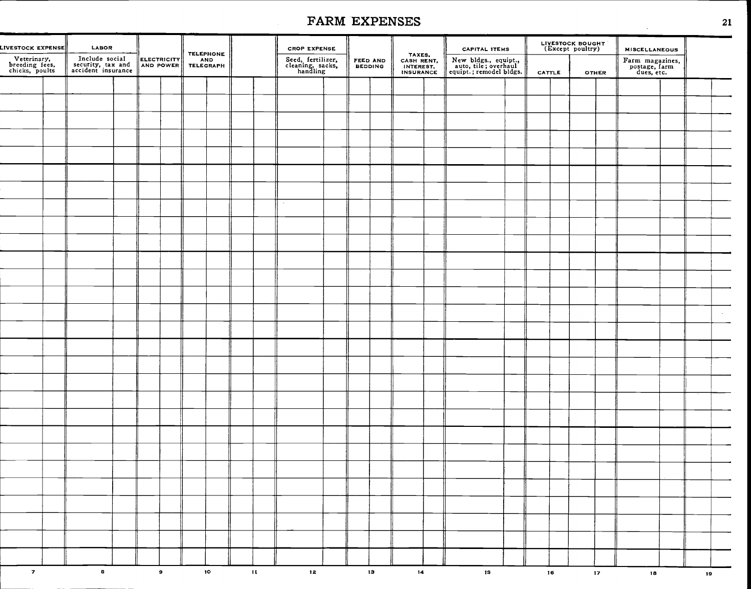|        | <b>MISCELLANEOUS</b>                           |               | LIVESTOCK BOUGHT |        |  | <b>CAPITAL ITEMS</b>                                                    |    |                                                |                            |  | <b>CROP EXPENSE</b>                               |              | <b>TELEPHONE</b> |                                           |  | LABOR                                                     | LIVESTOCK EXPENSE                               |
|--------|------------------------------------------------|---------------|------------------|--------|--|-------------------------------------------------------------------------|----|------------------------------------------------|----------------------------|--|---------------------------------------------------|--------------|------------------|-------------------------------------------|--|-----------------------------------------------------------|-------------------------------------------------|
|        | Farm magazines,<br>postage, farm<br>dues, etc. | <b>OTHER</b>  |                  | CATTLE |  | New bldgs., equipt.,<br>auto, tile; overhaul<br>equipt.; remodel bldgs. |    | TAXES,<br>CASH RENT,<br>INTEREST.<br>INSURANCE | FEED AND<br><b>BEDDING</b> |  | Seed, fertilizer,<br>cleaning, sacks,<br>handling |              | <b>AND</b>       | <b>ELECTRICITY</b><br>AND POWER TELEGRAPH |  | Include social<br>security, tax and<br>accident insurance | Veterinary,<br>breeding fees,<br>chicks, poults |
|        |                                                |               |                  |        |  |                                                                         |    |                                                |                            |  |                                                   |              |                  |                                           |  |                                                           |                                                 |
|        |                                                |               |                  |        |  |                                                                         |    |                                                |                            |  |                                                   |              |                  |                                           |  |                                                           |                                                 |
|        |                                                |               |                  |        |  |                                                                         |    |                                                |                            |  |                                                   |              |                  |                                           |  |                                                           |                                                 |
|        |                                                |               |                  |        |  |                                                                         |    |                                                |                            |  |                                                   |              |                  |                                           |  |                                                           |                                                 |
|        |                                                |               |                  |        |  |                                                                         |    |                                                |                            |  |                                                   |              |                  |                                           |  |                                                           |                                                 |
|        |                                                |               |                  |        |  |                                                                         |    |                                                |                            |  |                                                   |              |                  |                                           |  |                                                           |                                                 |
|        |                                                |               |                  |        |  |                                                                         |    |                                                |                            |  |                                                   |              |                  |                                           |  |                                                           |                                                 |
|        |                                                |               |                  |        |  |                                                                         |    |                                                |                            |  | $\cdot$                                           |              |                  |                                           |  |                                                           |                                                 |
|        |                                                |               |                  |        |  |                                                                         |    |                                                |                            |  |                                                   |              |                  |                                           |  |                                                           |                                                 |
|        |                                                |               |                  |        |  |                                                                         |    |                                                |                            |  |                                                   |              |                  |                                           |  |                                                           |                                                 |
|        |                                                |               |                  |        |  |                                                                         |    |                                                |                            |  |                                                   |              |                  |                                           |  |                                                           |                                                 |
|        |                                                |               |                  |        |  |                                                                         |    |                                                |                            |  |                                                   |              |                  |                                           |  |                                                           |                                                 |
|        |                                                |               |                  |        |  |                                                                         |    |                                                |                            |  |                                                   |              |                  |                                           |  |                                                           |                                                 |
|        |                                                |               |                  |        |  |                                                                         |    |                                                |                            |  |                                                   |              |                  |                                           |  |                                                           |                                                 |
| $\sim$ |                                                |               |                  |        |  |                                                                         |    |                                                |                            |  |                                                   |              |                  |                                           |  |                                                           |                                                 |
|        |                                                |               |                  |        |  |                                                                         |    |                                                |                            |  |                                                   |              |                  |                                           |  |                                                           |                                                 |
|        |                                                |               |                  |        |  |                                                                         |    |                                                |                            |  |                                                   |              |                  |                                           |  |                                                           |                                                 |
|        |                                                |               |                  |        |  |                                                                         |    |                                                |                            |  |                                                   |              |                  |                                           |  |                                                           |                                                 |
|        |                                                |               |                  |        |  |                                                                         |    |                                                |                            |  |                                                   |              |                  |                                           |  |                                                           |                                                 |
|        |                                                |               |                  |        |  |                                                                         |    |                                                |                            |  |                                                   |              |                  |                                           |  |                                                           |                                                 |
|        |                                                |               |                  |        |  |                                                                         |    |                                                |                            |  |                                                   |              |                  |                                           |  |                                                           |                                                 |
|        |                                                |               |                  |        |  |                                                                         |    |                                                |                            |  |                                                   |              |                  |                                           |  |                                                           |                                                 |
|        |                                                |               |                  |        |  |                                                                         |    |                                                |                            |  |                                                   |              |                  |                                           |  |                                                           |                                                 |
|        |                                                |               |                  |        |  |                                                                         |    |                                                |                            |  |                                                   |              |                  |                                           |  |                                                           |                                                 |
|        |                                                |               |                  |        |  |                                                                         |    |                                                |                            |  |                                                   |              |                  |                                           |  |                                                           |                                                 |
|        |                                                |               |                  |        |  |                                                                         |    |                                                |                            |  |                                                   |              |                  |                                           |  |                                                           |                                                 |
|        |                                                |               |                  |        |  |                                                                         |    |                                                |                            |  |                                                   |              |                  |                                           |  |                                                           |                                                 |
|        |                                                |               |                  |        |  |                                                                         |    |                                                |                            |  |                                                   |              |                  |                                           |  |                                                           |                                                 |
|        |                                                |               |                  |        |  |                                                                         |    |                                                |                            |  |                                                   |              |                  |                                           |  |                                                           |                                                 |
| 19     | 18                                             | $\mathbf{17}$ |                  | 16     |  | 1S                                                                      | 14 |                                                | 13 <sub>1</sub>            |  | $12^{\circ}$                                      | $\mathbf{H}$ | 10 <sub>10</sub> | $\bullet$                                 |  | $\mathbf{s}$                                              | $\mathbf{z}$                                    |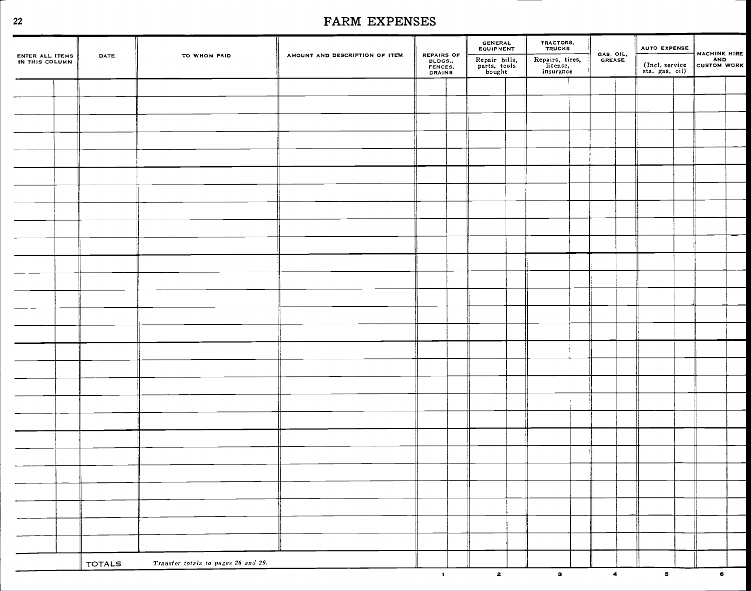| ENTER ALL ITEMS<br>IN THIS COLUMN | DATE          | TO WHOM PAID                        | AMOUNT AND DESCRIPTION OF ITEM | REPAIRS OF<br>BLDGS<br>FENCES.<br>DRAINS | GENERAL<br>EQUIPMENT<br>Repair bills,<br>parts, tools<br>bought | TRACTORS,<br>TRUCKS<br>Repairs, tires,<br>license,<br>insurance | GAS, OIL.<br>GREASE | AUTO EXPENSE<br>MACHINE HIRE |  |  |
|-----------------------------------|---------------|-------------------------------------|--------------------------------|------------------------------------------|-----------------------------------------------------------------|-----------------------------------------------------------------|---------------------|------------------------------|--|--|
|                                   |               |                                     |                                |                                          |                                                                 |                                                                 |                     |                              |  |  |
|                                   |               |                                     |                                |                                          |                                                                 |                                                                 |                     |                              |  |  |
|                                   |               |                                     |                                |                                          |                                                                 |                                                                 |                     |                              |  |  |
|                                   |               |                                     |                                |                                          |                                                                 |                                                                 |                     |                              |  |  |
|                                   |               |                                     |                                |                                          |                                                                 |                                                                 |                     |                              |  |  |
|                                   |               |                                     |                                |                                          |                                                                 |                                                                 |                     |                              |  |  |
|                                   |               |                                     |                                |                                          |                                                                 |                                                                 |                     |                              |  |  |
|                                   |               |                                     |                                |                                          |                                                                 |                                                                 |                     |                              |  |  |
|                                   |               |                                     |                                |                                          |                                                                 |                                                                 |                     |                              |  |  |
|                                   |               |                                     |                                |                                          |                                                                 |                                                                 |                     |                              |  |  |
|                                   |               |                                     |                                |                                          |                                                                 |                                                                 |                     |                              |  |  |
|                                   |               |                                     |                                |                                          |                                                                 |                                                                 |                     |                              |  |  |
|                                   |               |                                     |                                |                                          |                                                                 |                                                                 |                     |                              |  |  |
|                                   |               |                                     | $\sim 10^{11}$                 |                                          |                                                                 |                                                                 |                     |                              |  |  |
|                                   |               |                                     |                                |                                          |                                                                 |                                                                 |                     |                              |  |  |
|                                   |               |                                     |                                |                                          |                                                                 |                                                                 |                     |                              |  |  |
|                                   |               |                                     |                                |                                          |                                                                 |                                                                 |                     |                              |  |  |
|                                   |               |                                     |                                |                                          |                                                                 |                                                                 |                     |                              |  |  |
|                                   |               |                                     |                                |                                          |                                                                 |                                                                 |                     |                              |  |  |
|                                   |               |                                     |                                |                                          |                                                                 |                                                                 |                     |                              |  |  |
|                                   |               |                                     |                                |                                          |                                                                 |                                                                 |                     |                              |  |  |
|                                   |               |                                     |                                |                                          |                                                                 |                                                                 |                     |                              |  |  |
|                                   |               |                                     |                                |                                          |                                                                 |                                                                 |                     |                              |  |  |
|                                   |               |                                     |                                |                                          |                                                                 |                                                                 |                     |                              |  |  |
|                                   |               |                                     |                                |                                          |                                                                 |                                                                 |                     |                              |  |  |
|                                   |               |                                     |                                |                                          |                                                                 |                                                                 |                     |                              |  |  |
|                                   |               |                                     |                                |                                          |                                                                 |                                                                 |                     |                              |  |  |
|                                   |               |                                     |                                |                                          |                                                                 |                                                                 |                     |                              |  |  |
|                                   |               |                                     |                                |                                          |                                                                 |                                                                 |                     |                              |  |  |
|                                   | <b>TOTALS</b> | Transfer totals to pages 28 and 29. |                                |                                          |                                                                 |                                                                 |                     |                              |  |  |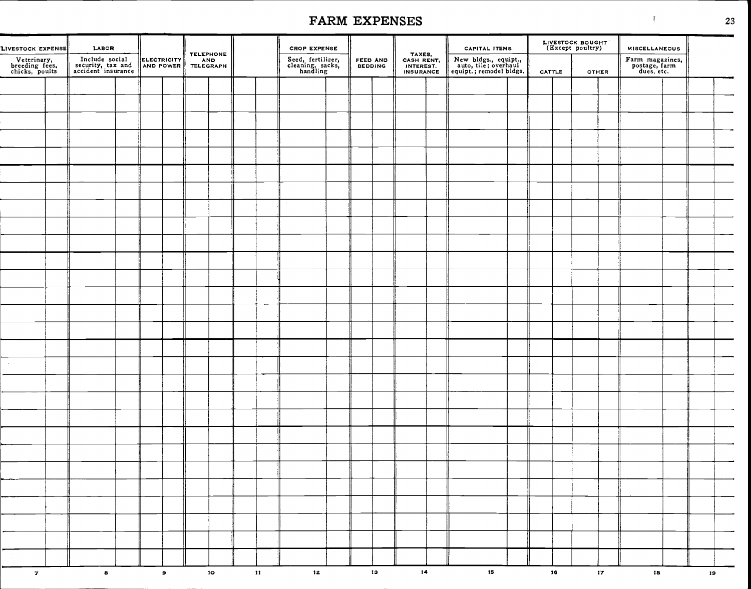| LIVESTOCK EXPENSE                               | LABOR                                                     |             |           | TELEPHONE        |    | <b>CROP EXPENSE</b>                               |                            |    | TAXES,<br>CASH RENT,                 | <b>CAPITAL ITEMS</b>                                                    |        | LIVESTOCK BOUGHT |        | <b>MISCELLANEOUS</b>                           |    |  |
|-------------------------------------------------|-----------------------------------------------------------|-------------|-----------|------------------|----|---------------------------------------------------|----------------------------|----|--------------------------------------|-------------------------------------------------------------------------|--------|------------------|--------|------------------------------------------------|----|--|
| Veterinary,<br>breeding fees,<br>chicks, poults | Include social<br>security, tax and<br>accident insurance | ELECTRICITY |           | AND<br>TELEGRAPH |    | Seed, fertilizer,<br>cleaning, sacks,<br>handling | FEED AND<br><b>BEDDING</b> |    | <b>INTEREST.</b><br><b>INSURANCE</b> | New bldgs., equipt.,<br>auto, tile; overhaul<br>equipt.; remodel bldgs. | CATTLE | OTHER            |        | Farm magazines,<br>postage, farm<br>dues, etc. |    |  |
|                                                 |                                                           |             |           |                  |    |                                                   |                            |    |                                      |                                                                         |        |                  |        |                                                |    |  |
|                                                 |                                                           |             |           |                  |    |                                                   |                            |    |                                      |                                                                         |        |                  |        |                                                |    |  |
|                                                 |                                                           |             |           |                  |    |                                                   |                            |    |                                      |                                                                         |        |                  |        |                                                |    |  |
|                                                 |                                                           |             |           |                  |    |                                                   |                            |    |                                      |                                                                         |        |                  |        |                                                |    |  |
|                                                 |                                                           |             |           |                  |    |                                                   |                            |    |                                      |                                                                         |        |                  |        |                                                |    |  |
|                                                 |                                                           |             |           |                  |    |                                                   |                            |    |                                      |                                                                         |        |                  |        |                                                |    |  |
|                                                 |                                                           |             |           |                  |    |                                                   |                            |    |                                      |                                                                         |        |                  |        |                                                |    |  |
|                                                 |                                                           |             |           |                  |    |                                                   |                            |    |                                      |                                                                         |        |                  |        |                                                |    |  |
|                                                 |                                                           |             |           |                  |    | $\sim$                                            |                            |    |                                      |                                                                         |        |                  |        |                                                |    |  |
|                                                 |                                                           |             |           |                  |    |                                                   |                            |    |                                      |                                                                         |        |                  |        |                                                |    |  |
|                                                 |                                                           |             |           |                  |    |                                                   |                            |    |                                      |                                                                         |        |                  |        |                                                |    |  |
|                                                 |                                                           |             |           |                  |    |                                                   |                            |    |                                      |                                                                         |        |                  |        |                                                |    |  |
|                                                 |                                                           |             |           |                  |    |                                                   |                            |    |                                      |                                                                         |        |                  |        |                                                |    |  |
|                                                 |                                                           |             |           |                  |    |                                                   |                            |    |                                      |                                                                         |        |                  |        |                                                |    |  |
|                                                 |                                                           |             |           |                  |    |                                                   |                            |    |                                      |                                                                         |        |                  |        |                                                |    |  |
|                                                 |                                                           |             |           |                  |    |                                                   |                            |    |                                      |                                                                         |        |                  |        |                                                |    |  |
|                                                 |                                                           |             |           |                  |    |                                                   |                            |    |                                      |                                                                         |        |                  |        |                                                |    |  |
|                                                 |                                                           |             |           |                  |    |                                                   |                            |    |                                      |                                                                         |        |                  |        |                                                |    |  |
| $\sim$ $\sim$                                   |                                                           |             |           |                  |    |                                                   |                            |    |                                      |                                                                         |        |                  |        |                                                |    |  |
|                                                 |                                                           |             |           |                  |    |                                                   |                            |    |                                      |                                                                         |        |                  |        |                                                |    |  |
|                                                 |                                                           |             |           |                  |    |                                                   |                            |    |                                      |                                                                         |        |                  |        |                                                |    |  |
|                                                 |                                                           |             |           |                  |    |                                                   |                            |    |                                      |                                                                         |        |                  |        |                                                |    |  |
|                                                 |                                                           |             |           |                  |    |                                                   |                            |    |                                      |                                                                         |        |                  |        |                                                |    |  |
|                                                 |                                                           |             |           |                  |    |                                                   |                            |    |                                      |                                                                         |        |                  |        |                                                |    |  |
|                                                 |                                                           |             |           |                  |    |                                                   |                            |    |                                      |                                                                         |        |                  |        |                                                |    |  |
|                                                 |                                                           |             |           |                  |    |                                                   |                            |    |                                      |                                                                         |        |                  |        |                                                |    |  |
|                                                 |                                                           |             |           |                  |    |                                                   |                            |    |                                      |                                                                         |        |                  |        |                                                |    |  |
|                                                 |                                                           |             |           |                  |    |                                                   |                            |    |                                      |                                                                         |        |                  |        |                                                |    |  |
|                                                 |                                                           |             |           |                  |    |                                                   |                            |    |                                      |                                                                         |        |                  |        |                                                |    |  |
|                                                 |                                                           |             |           |                  |    |                                                   |                            |    |                                      |                                                                         |        |                  |        |                                                |    |  |
|                                                 |                                                           |             |           |                  |    |                                                   |                            |    |                                      |                                                                         |        |                  |        |                                                |    |  |
| $\mathbf{z}$                                    | $\mathbf{a}$                                              |             | $\bullet$ | 10 <sub>°</sub>  | 11 | 12 <sub>1</sub>                                   |                            | 13 | 14                                   | 15                                                                      | 16     |                  | $17\,$ | 18                                             | 19 |  |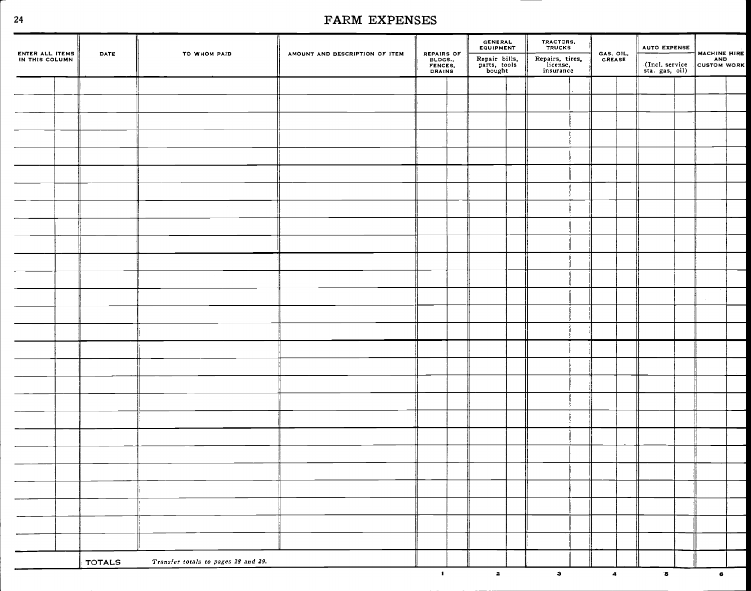| ENTER ALL ITEMS<br>IN THIS COLUMN | DATE          | TO WHOM PAID                        | AMOUNT AND DESCRIPTION OF ITEM |                                            | GENERAL<br>EQUIPMENT                    | TRACTORS,<br>TRUCKS                      | GAS, OIL,<br>GREASE | <b>AUTO EXPENSE</b><br>$\sim$ 100 $\mu$ | MACHINE HIRE |  |
|-----------------------------------|---------------|-------------------------------------|--------------------------------|--------------------------------------------|-----------------------------------------|------------------------------------------|---------------------|-----------------------------------------|--------------|--|
|                                   |               |                                     |                                | REPAIRS OF<br>BLDGS.,<br>FENCES,<br>DRAINS | Repair bills,<br>parts, tools<br>bought | Repairs, tires,<br>license,<br>insurance |                     | (Incl. service<br>sta. gas, oil)        |              |  |
|                                   |               |                                     |                                |                                            |                                         |                                          |                     |                                         |              |  |
|                                   |               |                                     |                                |                                            |                                         |                                          |                     |                                         |              |  |
|                                   |               |                                     |                                |                                            |                                         |                                          |                     |                                         |              |  |
|                                   |               |                                     |                                |                                            |                                         |                                          |                     |                                         |              |  |
|                                   |               |                                     |                                |                                            |                                         |                                          |                     |                                         |              |  |
|                                   |               |                                     |                                |                                            |                                         |                                          |                     |                                         |              |  |
|                                   |               |                                     |                                |                                            |                                         |                                          |                     |                                         |              |  |
|                                   |               |                                     |                                |                                            |                                         |                                          |                     |                                         |              |  |
|                                   |               |                                     |                                |                                            |                                         |                                          |                     |                                         |              |  |
|                                   |               |                                     |                                |                                            |                                         |                                          |                     |                                         |              |  |
|                                   |               |                                     |                                |                                            |                                         |                                          |                     |                                         |              |  |
|                                   |               |                                     |                                |                                            |                                         |                                          |                     |                                         |              |  |
|                                   |               |                                     |                                |                                            |                                         |                                          |                     |                                         |              |  |
|                                   |               |                                     |                                |                                            |                                         |                                          |                     |                                         |              |  |
|                                   |               |                                     |                                |                                            |                                         |                                          |                     |                                         |              |  |
|                                   |               |                                     |                                |                                            |                                         |                                          |                     |                                         |              |  |
|                                   |               |                                     |                                |                                            |                                         |                                          |                     |                                         |              |  |
|                                   |               |                                     |                                |                                            |                                         |                                          |                     |                                         |              |  |
|                                   |               |                                     |                                |                                            |                                         |                                          |                     |                                         |              |  |
|                                   |               |                                     |                                |                                            |                                         |                                          |                     |                                         |              |  |
|                                   |               |                                     |                                |                                            |                                         |                                          |                     |                                         |              |  |
|                                   |               |                                     |                                |                                            |                                         |                                          |                     |                                         |              |  |
|                                   |               |                                     |                                |                                            |                                         |                                          |                     |                                         |              |  |
|                                   |               |                                     |                                |                                            |                                         |                                          |                     |                                         |              |  |
|                                   |               |                                     |                                |                                            |                                         |                                          |                     |                                         |              |  |
|                                   |               |                                     |                                |                                            |                                         |                                          |                     |                                         |              |  |
|                                   |               |                                     |                                |                                            |                                         |                                          |                     |                                         |              |  |
|                                   | <b>TOTALS</b> | Transfer totals to pages 28 and 29. |                                | $\blacksquare$                             | $\overline{\mathbf{z}}$                 | $\mathbf{a}$                             | $\overline{a}$      | $\bullet$                               | $\bullet$    |  |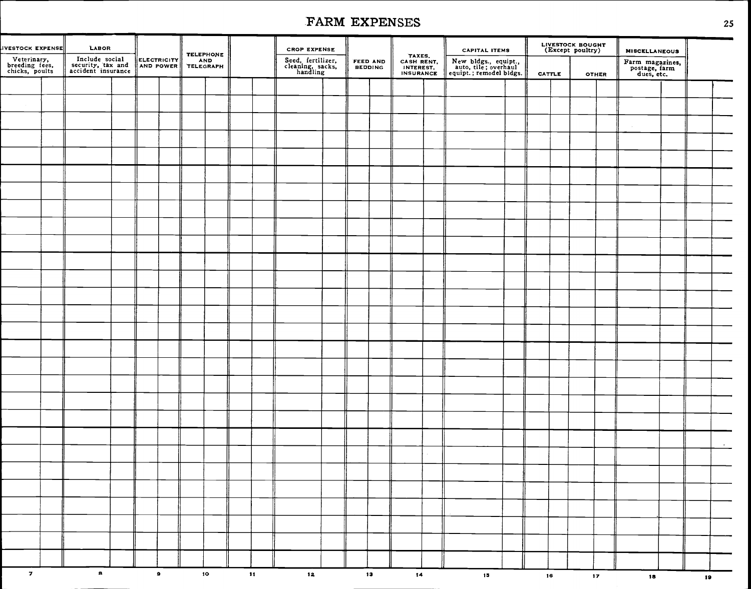| VESTOCK EXPENSE                                 | <b>LABOR</b>                                              |  |           |                 | <b>TELEPHONE</b> |               | <b>CROP EXPENSE</b>                               |  |                     |                                                       | <b>CAPITAL ITEMS</b>                                                    |        | LIVESTOCK BOUGHT<br>(Except poultry) |                 | <b>MISCELLANEOUS</b>                           |    |        |
|-------------------------------------------------|-----------------------------------------------------------|--|-----------|-----------------|------------------|---------------|---------------------------------------------------|--|---------------------|-------------------------------------------------------|-------------------------------------------------------------------------|--------|--------------------------------------|-----------------|------------------------------------------------|----|--------|
| Veterinary,<br>breeding fees.<br>chicks, poults | Include social<br>security, tax and<br>accident insurance |  |           | ELECTRICITY AND |                  |               | Seed, fertilizer,<br>cleaning, sacks,<br>handling |  | FEED AND<br>BEDDING | TAXES.<br>CASH RENT,<br>INTEREST.<br><b>INSURANCE</b> | New bldgs., equipt.,<br>auto, tile; overhaul<br>equipt.; remodel bldgs. | CATTLE |                                      | <b>OTHER</b>    | Farm magazines,<br>postage, farm<br>dues, etc. |    |        |
|                                                 |                                                           |  |           |                 |                  |               |                                                   |  |                     |                                                       |                                                                         |        |                                      |                 |                                                |    |        |
|                                                 |                                                           |  |           |                 |                  |               |                                                   |  |                     |                                                       |                                                                         |        |                                      |                 |                                                |    |        |
|                                                 |                                                           |  |           |                 |                  |               |                                                   |  |                     |                                                       |                                                                         |        |                                      |                 |                                                |    |        |
|                                                 |                                                           |  |           |                 |                  |               |                                                   |  |                     |                                                       |                                                                         |        |                                      |                 |                                                |    |        |
|                                                 |                                                           |  |           |                 |                  |               |                                                   |  |                     |                                                       |                                                                         |        |                                      |                 |                                                |    |        |
|                                                 |                                                           |  |           |                 |                  |               |                                                   |  |                     |                                                       |                                                                         |        |                                      |                 |                                                |    |        |
|                                                 |                                                           |  |           |                 |                  |               |                                                   |  |                     |                                                       |                                                                         |        |                                      |                 |                                                |    |        |
|                                                 |                                                           |  |           |                 |                  |               |                                                   |  |                     |                                                       |                                                                         |        |                                      |                 |                                                |    |        |
|                                                 |                                                           |  |           |                 |                  |               |                                                   |  |                     |                                                       |                                                                         |        |                                      |                 |                                                |    |        |
|                                                 |                                                           |  |           |                 |                  |               |                                                   |  |                     |                                                       |                                                                         |        |                                      |                 |                                                |    |        |
|                                                 |                                                           |  |           |                 |                  |               |                                                   |  |                     |                                                       |                                                                         |        |                                      |                 |                                                |    |        |
|                                                 |                                                           |  |           |                 |                  |               |                                                   |  |                     |                                                       |                                                                         |        |                                      |                 |                                                |    |        |
|                                                 |                                                           |  |           |                 |                  |               |                                                   |  |                     |                                                       |                                                                         |        |                                      |                 |                                                |    |        |
|                                                 |                                                           |  |           |                 |                  |               |                                                   |  |                     |                                                       |                                                                         |        |                                      |                 |                                                |    |        |
|                                                 |                                                           |  |           |                 |                  |               |                                                   |  |                     |                                                       |                                                                         |        |                                      |                 |                                                |    |        |
|                                                 |                                                           |  |           |                 |                  |               |                                                   |  |                     |                                                       |                                                                         |        |                                      |                 |                                                |    |        |
|                                                 |                                                           |  |           |                 |                  |               |                                                   |  |                     |                                                       |                                                                         |        |                                      |                 |                                                |    |        |
|                                                 |                                                           |  |           |                 |                  |               |                                                   |  |                     |                                                       |                                                                         |        |                                      |                 |                                                |    |        |
|                                                 |                                                           |  |           |                 |                  |               |                                                   |  |                     |                                                       |                                                                         |        |                                      |                 |                                                |    |        |
|                                                 |                                                           |  |           |                 |                  |               |                                                   |  |                     |                                                       |                                                                         |        |                                      |                 |                                                |    |        |
|                                                 |                                                           |  |           |                 |                  |               |                                                   |  |                     |                                                       |                                                                         |        |                                      |                 |                                                |    |        |
|                                                 |                                                           |  |           |                 |                  |               |                                                   |  |                     |                                                       |                                                                         |        |                                      |                 |                                                |    | $\sim$ |
|                                                 |                                                           |  |           |                 |                  |               |                                                   |  |                     |                                                       |                                                                         |        |                                      |                 |                                                |    |        |
|                                                 |                                                           |  |           |                 |                  |               |                                                   |  |                     |                                                       |                                                                         |        |                                      |                 |                                                |    |        |
|                                                 |                                                           |  |           |                 |                  |               |                                                   |  |                     |                                                       |                                                                         |        |                                      |                 |                                                |    |        |
|                                                 |                                                           |  |           |                 |                  |               |                                                   |  |                     |                                                       |                                                                         |        |                                      |                 |                                                |    |        |
|                                                 |                                                           |  |           |                 |                  |               |                                                   |  |                     |                                                       |                                                                         |        |                                      |                 |                                                |    |        |
|                                                 |                                                           |  |           |                 |                  |               |                                                   |  |                     |                                                       |                                                                         |        |                                      |                 |                                                |    |        |
|                                                 |                                                           |  |           |                 |                  |               |                                                   |  |                     |                                                       |                                                                         |        |                                      |                 |                                                |    |        |
| $\mathbf{z}$                                    | $\mathbf{a}$                                              |  | $\bullet$ |                 | 10 <sub>°</sub>  | $\mathbf{11}$ | 12 <sub>1</sub>                                   |  | 13                  | 14                                                    | 15 <sub>1</sub>                                                         | 16     |                                      | 17 <sub>2</sub> | 18                                             | 19 |        |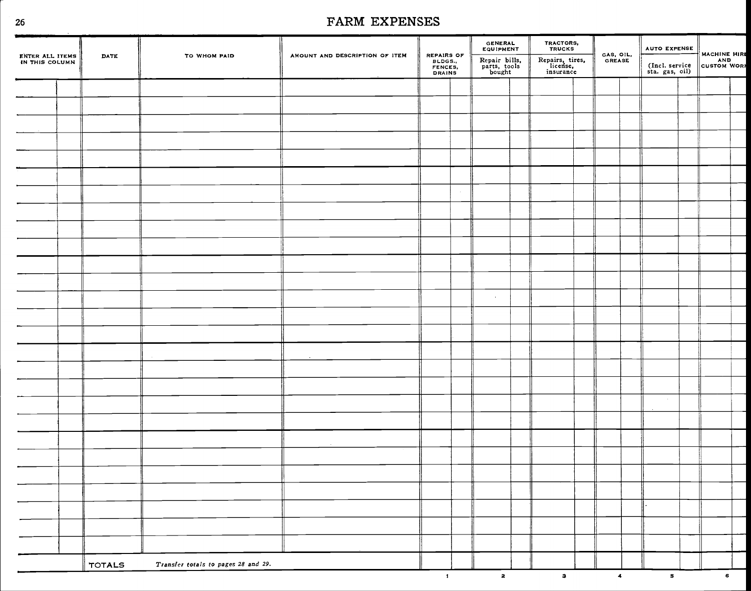n,

| ENTER ALL ITEMS<br>DATE | TO WHOM PAID                        | AMOUNT AND DESCRIPTION OF ITEM | <b>REPAIRS OF</b><br>BLDGS.,<br>FENCES,<br>DRAINS | <b>GENERAL</b><br>EQUIPMENT<br>Repair bills,<br>parts, tools<br>bought | <b>TRACTORS,<br/>TRUCKS</b><br>Repairs, tires,<br>license,<br>insurance | GAS, OIL.<br>GREASE | <b>AUTO EXPENSE</b><br>(Incl. service<br>sta. gas, oil) | MACHINE HIRE |  |
|-------------------------|-------------------------------------|--------------------------------|---------------------------------------------------|------------------------------------------------------------------------|-------------------------------------------------------------------------|---------------------|---------------------------------------------------------|--------------|--|
|                         |                                     |                                |                                                   |                                                                        |                                                                         |                     |                                                         |              |  |
|                         |                                     |                                |                                                   |                                                                        |                                                                         |                     |                                                         |              |  |
|                         |                                     |                                |                                                   |                                                                        |                                                                         |                     |                                                         |              |  |
|                         |                                     |                                |                                                   |                                                                        |                                                                         |                     |                                                         |              |  |
|                         |                                     |                                |                                                   |                                                                        |                                                                         |                     |                                                         |              |  |
|                         |                                     |                                |                                                   |                                                                        |                                                                         |                     |                                                         |              |  |
|                         |                                     |                                |                                                   |                                                                        |                                                                         |                     |                                                         |              |  |
|                         |                                     |                                |                                                   |                                                                        |                                                                         |                     |                                                         |              |  |
|                         |                                     |                                |                                                   |                                                                        |                                                                         |                     |                                                         |              |  |
|                         |                                     |                                |                                                   |                                                                        |                                                                         |                     |                                                         |              |  |
|                         |                                     |                                |                                                   |                                                                        |                                                                         |                     |                                                         |              |  |
|                         |                                     |                                |                                                   |                                                                        |                                                                         |                     |                                                         |              |  |
|                         |                                     |                                |                                                   | $\sim$                                                                 |                                                                         |                     |                                                         |              |  |
|                         |                                     |                                |                                                   |                                                                        |                                                                         |                     |                                                         |              |  |
|                         |                                     |                                |                                                   |                                                                        |                                                                         |                     |                                                         |              |  |
|                         |                                     |                                |                                                   |                                                                        |                                                                         |                     |                                                         |              |  |
|                         |                                     |                                |                                                   |                                                                        |                                                                         |                     |                                                         |              |  |
|                         |                                     |                                |                                                   |                                                                        |                                                                         |                     |                                                         |              |  |
|                         |                                     |                                |                                                   |                                                                        |                                                                         |                     |                                                         |              |  |
|                         |                                     |                                |                                                   |                                                                        |                                                                         |                     |                                                         |              |  |
|                         |                                     |                                |                                                   |                                                                        |                                                                         |                     |                                                         |              |  |
|                         |                                     |                                |                                                   |                                                                        |                                                                         |                     |                                                         |              |  |
|                         |                                     |                                |                                                   |                                                                        |                                                                         |                     |                                                         |              |  |
|                         |                                     |                                |                                                   |                                                                        |                                                                         |                     |                                                         |              |  |
|                         |                                     |                                |                                                   |                                                                        |                                                                         |                     |                                                         |              |  |
|                         |                                     |                                |                                                   |                                                                        |                                                                         |                     |                                                         |              |  |
|                         |                                     |                                |                                                   |                                                                        |                                                                         |                     |                                                         |              |  |
| <b>TOTALS</b>           | Transfer totals to pages 28 and 29. |                                |                                                   |                                                                        |                                                                         |                     |                                                         |              |  |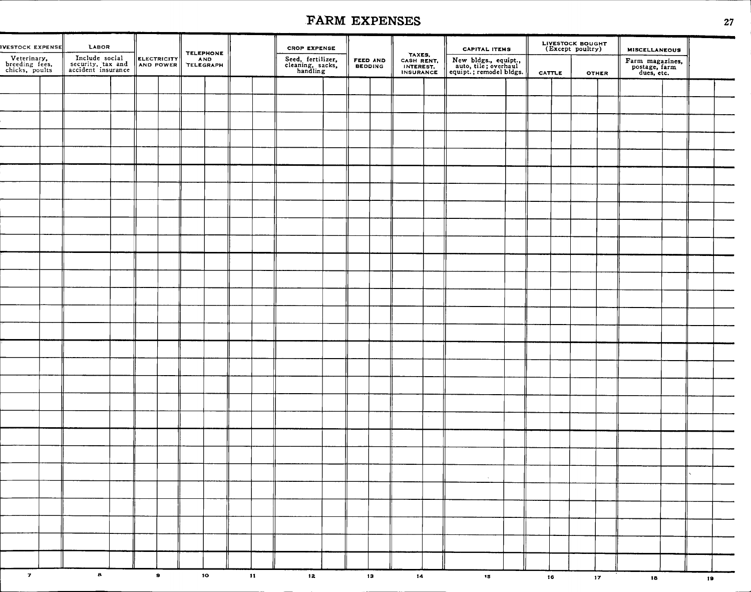|                                                 |                                                           |                          |                  |               |                                                   | FARM EXPENSES       |                                                       |                                                                         |                                      |                                                | 27 |
|-------------------------------------------------|-----------------------------------------------------------|--------------------------|------------------|---------------|---------------------------------------------------|---------------------|-------------------------------------------------------|-------------------------------------------------------------------------|--------------------------------------|------------------------------------------------|----|
| <b>IVESTOCK EXPENSE</b>                         | LABOR                                                     |                          | <b>TELEPHONE</b> |               | <b>CROP EXPENSE</b>                               |                     |                                                       | <b>CAPITAL ITEMS</b>                                                    | LIVESTOCK BOUGHT<br>(Except poultry) | <b>MISCELLANEOUS</b>                           |    |
| Veterinary,<br>breeding fees,<br>chicks, poults | Include social<br>security, tax and<br>accident insurance | ELECTRICITY<br>AND POWER | AND<br>TELEGRAPH |               | Seed, fertilizer,<br>cleaning, sacks,<br>handling | FEED AND<br>BEDDING | TAXES,<br>CASH RENT,<br>INTEREST.<br><b>INSURANCE</b> | New bldgs., equipt.,<br>auto, tile; overhaul<br>equipt.; remodel bldgs. | <b>CATTLE</b><br><b>OTHER</b>        | Farm magazines,<br>postage, farm<br>dues, etc. |    |
|                                                 |                                                           |                          |                  |               |                                                   |                     |                                                       |                                                                         |                                      |                                                |    |
|                                                 |                                                           |                          |                  |               |                                                   |                     |                                                       |                                                                         |                                      |                                                |    |
|                                                 |                                                           |                          |                  |               |                                                   |                     |                                                       |                                                                         |                                      |                                                |    |
|                                                 |                                                           |                          |                  |               |                                                   |                     |                                                       |                                                                         |                                      |                                                |    |
|                                                 |                                                           |                          |                  |               |                                                   |                     |                                                       |                                                                         |                                      |                                                |    |
|                                                 |                                                           |                          |                  |               |                                                   |                     |                                                       |                                                                         |                                      |                                                |    |
|                                                 |                                                           |                          |                  |               |                                                   |                     |                                                       |                                                                         |                                      |                                                |    |
|                                                 |                                                           |                          |                  |               |                                                   |                     |                                                       |                                                                         |                                      |                                                |    |
|                                                 |                                                           |                          |                  |               |                                                   |                     |                                                       |                                                                         |                                      |                                                |    |
|                                                 |                                                           |                          |                  |               |                                                   |                     |                                                       |                                                                         |                                      |                                                |    |
|                                                 |                                                           |                          |                  |               |                                                   |                     |                                                       |                                                                         |                                      |                                                |    |
|                                                 |                                                           |                          |                  |               |                                                   |                     |                                                       |                                                                         |                                      |                                                |    |
|                                                 |                                                           |                          |                  |               |                                                   |                     |                                                       |                                                                         |                                      |                                                |    |
|                                                 |                                                           |                          |                  |               |                                                   |                     |                                                       |                                                                         |                                      |                                                |    |
|                                                 |                                                           |                          |                  |               |                                                   |                     |                                                       |                                                                         |                                      |                                                |    |
|                                                 |                                                           |                          |                  |               |                                                   |                     |                                                       |                                                                         |                                      |                                                |    |
|                                                 |                                                           |                          |                  |               |                                                   |                     |                                                       |                                                                         |                                      |                                                |    |
|                                                 |                                                           |                          |                  |               |                                                   |                     |                                                       |                                                                         |                                      |                                                |    |
|                                                 |                                                           |                          |                  |               |                                                   |                     |                                                       |                                                                         |                                      |                                                |    |
|                                                 |                                                           |                          |                  |               |                                                   |                     |                                                       |                                                                         |                                      |                                                |    |
|                                                 |                                                           |                          |                  |               |                                                   |                     |                                                       |                                                                         |                                      |                                                |    |
|                                                 |                                                           |                          |                  |               |                                                   |                     |                                                       |                                                                         |                                      |                                                |    |
|                                                 |                                                           |                          |                  |               |                                                   |                     |                                                       | $\sim$                                                                  |                                      |                                                |    |
|                                                 |                                                           |                          |                  |               |                                                   |                     |                                                       |                                                                         |                                      |                                                |    |
|                                                 |                                                           |                          |                  |               |                                                   |                     |                                                       |                                                                         |                                      |                                                |    |
|                                                 |                                                           |                          |                  |               |                                                   |                     |                                                       |                                                                         |                                      |                                                |    |
|                                                 |                                                           |                          |                  |               |                                                   |                     |                                                       |                                                                         |                                      |                                                |    |
|                                                 |                                                           |                          |                  |               |                                                   |                     |                                                       |                                                                         |                                      |                                                |    |
| $\boldsymbol{\tau}$                             | $\mathbf{a}$                                              | $\bullet$                | 10 <sub>o</sub>  | $\mathbf{11}$ | 12 <sub>1</sub>                                   | 13 <sub>13</sub>    | 14                                                    | $\mathbf{15}$                                                           | 16<br>17 <sub>2</sub>                | 18                                             | 19 |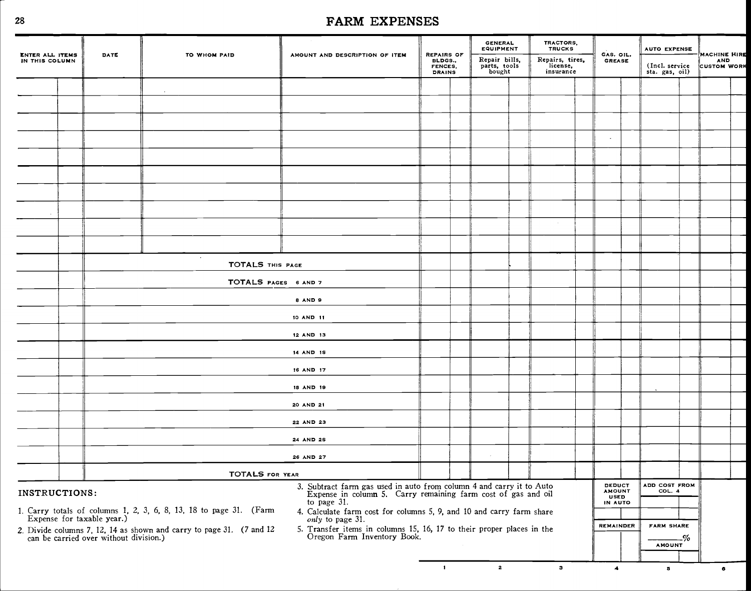|                                          |      |                                                                                                                                |                                                                                                                                    |                                                   | <b>GENERAL</b><br><b>EQUIPMENT</b>       | TRACTORS,<br><b>TRUCKS</b>               |                                        | <b>AUTO EXPENSE</b>               |    |                                                         |  |
|------------------------------------------|------|--------------------------------------------------------------------------------------------------------------------------------|------------------------------------------------------------------------------------------------------------------------------------|---------------------------------------------------|------------------------------------------|------------------------------------------|----------------------------------------|-----------------------------------|----|---------------------------------------------------------|--|
| <b>ENTER ALL ITEMS</b><br>IN THIS COLUMN | DATE | TO WHOM PAID                                                                                                                   | AMOUNT AND DESCRIPTION OF ITEM                                                                                                     | REPAIRS OF<br>BLDGS.,<br>FENCES,<br><b>DRAINS</b> | Repair bills,<br>parts, tools'<br>bought | Repairs, tires,<br>license.<br>insurance | GAS. OIL.<br><b>GREASE</b>             | (Incl. service)<br>sta. gas, oil) |    | <b>MACHINE HIRE</b><br><b>AND</b><br><b>CUSTOM WORK</b> |  |
|                                          |      |                                                                                                                                |                                                                                                                                    |                                                   |                                          |                                          |                                        |                                   |    |                                                         |  |
|                                          |      |                                                                                                                                |                                                                                                                                    |                                                   |                                          |                                          |                                        |                                   |    |                                                         |  |
|                                          |      |                                                                                                                                |                                                                                                                                    |                                                   |                                          |                                          |                                        |                                   |    |                                                         |  |
|                                          |      |                                                                                                                                |                                                                                                                                    |                                                   |                                          |                                          | $\sim$                                 |                                   |    |                                                         |  |
|                                          |      |                                                                                                                                |                                                                                                                                    |                                                   |                                          |                                          |                                        |                                   |    |                                                         |  |
|                                          |      |                                                                                                                                |                                                                                                                                    |                                                   |                                          |                                          |                                        |                                   |    |                                                         |  |
|                                          |      |                                                                                                                                |                                                                                                                                    |                                                   |                                          |                                          |                                        |                                   |    |                                                         |  |
|                                          |      |                                                                                                                                |                                                                                                                                    |                                                   |                                          |                                          |                                        |                                   |    |                                                         |  |
|                                          |      |                                                                                                                                |                                                                                                                                    |                                                   |                                          |                                          |                                        |                                   |    |                                                         |  |
|                                          |      | $\blacksquare$<br>TOTALS THIS PAGE<br>TOTALS PAGES 6 AND 7                                                                     |                                                                                                                                    |                                                   |                                          |                                          |                                        |                                   |    |                                                         |  |
|                                          |      |                                                                                                                                |                                                                                                                                    |                                                   |                                          |                                          |                                        |                                   |    |                                                         |  |
|                                          |      |                                                                                                                                |                                                                                                                                    |                                                   |                                          |                                          |                                        |                                   |    |                                                         |  |
|                                          |      |                                                                                                                                |                                                                                                                                    |                                                   |                                          |                                          |                                        |                                   |    |                                                         |  |
|                                          |      |                                                                                                                                | 8 AND 9                                                                                                                            |                                                   |                                          |                                          |                                        |                                   |    |                                                         |  |
|                                          |      |                                                                                                                                | 10 AND 11                                                                                                                          |                                                   |                                          |                                          |                                        |                                   |    |                                                         |  |
|                                          |      |                                                                                                                                | 12 AND 13                                                                                                                          |                                                   |                                          |                                          |                                        |                                   |    |                                                         |  |
|                                          |      |                                                                                                                                | 14 AND 15                                                                                                                          |                                                   |                                          |                                          |                                        |                                   |    |                                                         |  |
|                                          |      |                                                                                                                                | 16 AND 17                                                                                                                          |                                                   |                                          |                                          |                                        |                                   |    |                                                         |  |
|                                          |      |                                                                                                                                | 18 AND 19                                                                                                                          |                                                   |                                          |                                          |                                        |                                   |    |                                                         |  |
|                                          |      |                                                                                                                                | 20 AND 21                                                                                                                          |                                                   |                                          |                                          |                                        |                                   |    |                                                         |  |
|                                          |      |                                                                                                                                | 22 AND 23                                                                                                                          |                                                   |                                          |                                          |                                        |                                   |    |                                                         |  |
|                                          |      |                                                                                                                                | 24 AND 2S                                                                                                                          |                                                   |                                          |                                          |                                        |                                   |    |                                                         |  |
|                                          |      |                                                                                                                                | 26 AND 27                                                                                                                          |                                                   |                                          |                                          |                                        |                                   |    |                                                         |  |
|                                          |      | <b>TOTALS FOR YEAR</b>                                                                                                         |                                                                                                                                    |                                                   |                                          |                                          |                                        |                                   |    |                                                         |  |
| INSTRUCTIONS:                            |      |                                                                                                                                | 3. Subtract farm gas used in auto from column 4 and carry it to Auto Expense in column 5. Carry remaining farm cost of gas and oil |                                                   |                                          |                                          | <b>DEDUCT</b><br><b>AMOUNT</b><br>USED | ADD COST FROM<br>COL. 4           |    |                                                         |  |
|                                          |      | 1. Carry totals of columns 1, 2, 3, 6, 8, 13, 18 to page 31. (Farm Expense for taxable year.)                                  | to page 31.<br>4. Calculate farm cost for columns 5, 9, and 10 and carry farm share                                                |                                                   |                                          |                                          | IN AUTO                                |                                   |    |                                                         |  |
|                                          |      | 2. Divide columns 7, 12, 14 as shown and carry to page 31. $(7 \text{ and } 12 \text{ can be carried over without division.)}$ | only to page 31.<br>5. Transfer items in columns 15, 16, 17 to their proper places in the Oregon Farm Inventory Book.              |                                                   |                                          |                                          | <b>REMAINDER</b>                       | <b>FARM SHARE</b>                 |    |                                                         |  |
|                                          |      |                                                                                                                                |                                                                                                                                    |                                                   |                                          |                                          |                                        | <b>AMOUNT</b>                     | -% |                                                         |  |
|                                          |      |                                                                                                                                |                                                                                                                                    |                                                   |                                          |                                          |                                        |                                   |    |                                                         |  |

 $\mathbf{r}$ 

 $\overline{\mathbf{z}}$ 

 $\overline{\mathbf{3}}$ 

 $\blacktriangleleft$ 

 $\bf 5$ 

 $\bullet$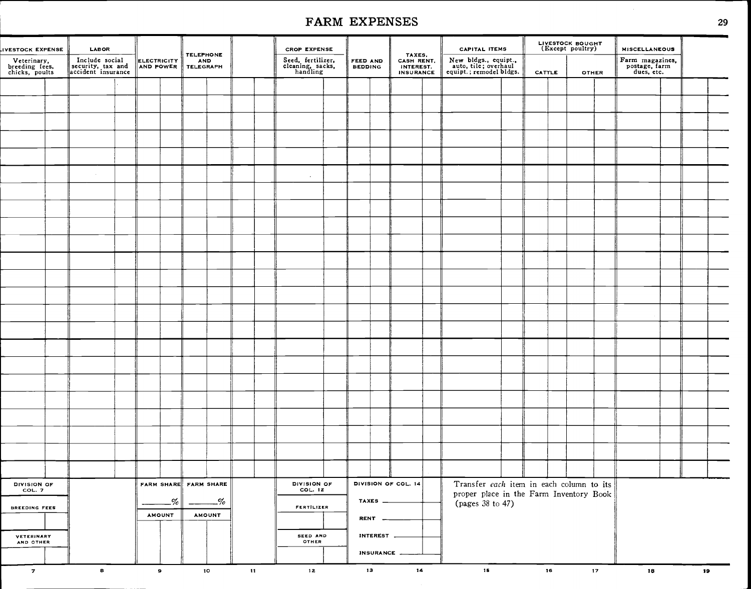| IVESTOCK EXPENSE                                | LABOR                                                     |                          |               | <b>TELEPHONE</b>        |               |              | <b>CROP EXPENSE</b>                               |                            |                         |                                                       | <b>CAPITAL ITEMS</b>                                                    |        | LIVESTOCK BOUGHT<br>(Except poultry) |                 | <b>MISCELLANEOUS</b>                           |    |  |
|-------------------------------------------------|-----------------------------------------------------------|--------------------------|---------------|-------------------------|---------------|--------------|---------------------------------------------------|----------------------------|-------------------------|-------------------------------------------------------|-------------------------------------------------------------------------|--------|--------------------------------------|-----------------|------------------------------------------------|----|--|
| Veterinary,<br>breeding fees,<br>chicks, poults | Include social<br>security, tax and<br>accident insurance | ELECTRICITY<br>AND POWER |               | <b>AND</b><br>TELEGRAPH |               |              | Seed, fertilizer,<br>cleaning, sacks,<br>handling | FEED AND<br><b>BEDDING</b> |                         | TAXES,<br>CASH RENT,<br>INTEREST.<br><b>INSURANCE</b> | New bldgs., equipt.,<br>auto, tile; overhaul<br>equipt.; remodel bldgs. | CATTLE |                                      | <b>OTHER</b>    | Farm magazines,<br>postage, farm<br>dues, etc. |    |  |
|                                                 |                                                           |                          |               |                         |               |              |                                                   |                            |                         |                                                       |                                                                         |        |                                      |                 |                                                |    |  |
|                                                 |                                                           |                          |               |                         |               |              |                                                   |                            |                         |                                                       |                                                                         |        |                                      |                 |                                                |    |  |
|                                                 |                                                           |                          |               |                         |               |              |                                                   |                            |                         |                                                       |                                                                         |        |                                      |                 |                                                |    |  |
|                                                 |                                                           |                          |               |                         |               |              |                                                   |                            |                         |                                                       |                                                                         |        |                                      |                 |                                                |    |  |
|                                                 |                                                           |                          |               |                         |               |              |                                                   |                            |                         |                                                       |                                                                         |        |                                      |                 |                                                |    |  |
|                                                 |                                                           |                          |               |                         |               |              |                                                   |                            |                         |                                                       |                                                                         |        |                                      |                 |                                                |    |  |
|                                                 |                                                           |                          |               |                         |               |              | $\overline{\phantom{a}}$                          |                            |                         |                                                       |                                                                         |        |                                      |                 |                                                |    |  |
|                                                 |                                                           |                          |               |                         |               |              |                                                   |                            |                         |                                                       |                                                                         |        |                                      |                 |                                                |    |  |
|                                                 |                                                           |                          |               |                         |               |              |                                                   |                            |                         |                                                       |                                                                         |        |                                      |                 |                                                |    |  |
|                                                 |                                                           |                          |               |                         |               |              |                                                   |                            |                         |                                                       |                                                                         |        |                                      |                 |                                                |    |  |
|                                                 |                                                           |                          |               |                         |               |              |                                                   |                            |                         |                                                       |                                                                         |        |                                      |                 |                                                |    |  |
|                                                 |                                                           |                          |               |                         |               |              |                                                   |                            |                         |                                                       |                                                                         |        |                                      |                 |                                                |    |  |
|                                                 |                                                           |                          |               |                         |               |              |                                                   |                            |                         |                                                       |                                                                         |        |                                      |                 |                                                |    |  |
|                                                 |                                                           |                          |               |                         |               |              |                                                   |                            |                         |                                                       |                                                                         |        |                                      |                 |                                                |    |  |
|                                                 |                                                           |                          |               |                         |               |              |                                                   |                            |                         |                                                       |                                                                         |        |                                      |                 |                                                |    |  |
|                                                 |                                                           |                          |               |                         |               |              |                                                   |                            |                         |                                                       |                                                                         |        |                                      |                 |                                                |    |  |
|                                                 |                                                           |                          |               |                         |               |              |                                                   |                            |                         |                                                       |                                                                         |        |                                      |                 |                                                |    |  |
|                                                 |                                                           |                          |               |                         |               |              |                                                   |                            |                         |                                                       |                                                                         |        |                                      |                 |                                                |    |  |
|                                                 |                                                           |                          |               |                         |               |              |                                                   |                            |                         |                                                       |                                                                         |        |                                      |                 |                                                |    |  |
|                                                 |                                                           |                          |               |                         |               |              |                                                   |                            |                         |                                                       |                                                                         |        |                                      |                 |                                                |    |  |
|                                                 |                                                           |                          |               |                         |               |              |                                                   |                            |                         |                                                       |                                                                         |        |                                      |                 |                                                |    |  |
|                                                 |                                                           |                          |               |                         |               |              |                                                   |                            |                         |                                                       |                                                                         |        |                                      |                 |                                                |    |  |
|                                                 |                                                           |                          |               |                         |               |              |                                                   |                            |                         |                                                       |                                                                         |        |                                      |                 |                                                |    |  |
|                                                 |                                                           |                          |               |                         |               |              |                                                   |                            |                         |                                                       |                                                                         |        |                                      |                 |                                                |    |  |
|                                                 |                                                           |                          |               |                         |               |              |                                                   |                            |                         |                                                       |                                                                         |        |                                      |                 |                                                |    |  |
|                                                 |                                                           |                          |               |                         |               |              |                                                   |                            |                         |                                                       |                                                                         |        |                                      |                 |                                                |    |  |
| DIVISION OF<br>COL. 7                           |                                                           |                          |               | FARM SHARE FARM SHARE   |               |              | DIVISION OF<br>COL. 12                            |                            |                         | DIVISION OF COL. 14                                   | Transfer each item in each column to its                                |        |                                      |                 |                                                |    |  |
|                                                 |                                                           |                          | $-\%$         |                         | -%            |              |                                                   |                            | TAXES $\_\_\_\_\_\_\_\$ |                                                       | proper place in the Farm Inventory Book<br>(pages 38 to 47)             |        |                                      |                 |                                                |    |  |
| <b>BREEDING FEES</b>                            |                                                           |                          | <b>AMOUNT</b> |                         | <b>AMOUNT</b> |              | <b>FERTILIZER</b>                                 |                            | <b>RENT</b>             |                                                       |                                                                         |        |                                      |                 |                                                |    |  |
| <b>VETERINARY</b>                               |                                                           |                          |               |                         |               |              | SEED AND                                          |                            | INTEREST                |                                                       |                                                                         |        |                                      |                 |                                                |    |  |
| AND OTHER                                       |                                                           |                          |               |                         |               |              | OTHER                                             |                            |                         |                                                       |                                                                         |        |                                      |                 |                                                |    |  |
|                                                 |                                                           |                          |               |                         |               |              |                                                   |                            | INSURANCE __            |                                                       |                                                                         |        |                                      |                 |                                                |    |  |
| $\overline{z}$                                  | $\mathbf{s}$                                              |                          | $\mathbf{s}$  |                         | 10            | $\mathbf{H}$ | 12                                                | 13                         |                         | 14                                                    | 15                                                                      | 16     |                                      | 17 <sub>2</sub> | 18                                             | 19 |  |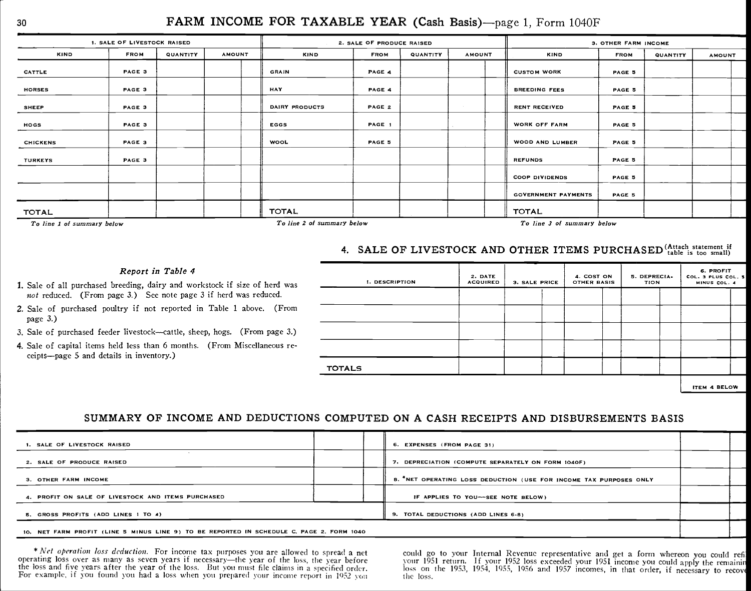#### 30 FARM INCOME FOR TAXABLE YEAR (Cash Basis)-page 1, Form 1040F

|                            | 1. SALE OF LIVESTOCK RAISED |          |               |                | 2. SALE OF PRODUCE RAISED  |          |                   |                            | 3. OTHER FARM INCOME |          |               |  |
|----------------------------|-----------------------------|----------|---------------|----------------|----------------------------|----------|-------------------|----------------------------|----------------------|----------|---------------|--|
| <b>KIND</b>                | <b>FROM</b>                 | QUANTITY | <b>AMOUNT</b> | <b>KIND</b>    | <b>FROM</b>                | QUANTITY | <b>AMOUNT</b>     | KIND                       | <b>FROM</b>          | QUANTITY | <b>AMOUNT</b> |  |
| CATTLE                     | PAGE 3                      |          |               | GRAIN          | PAGE 4                     |          |                   | <b>CUSTOM WORK</b>         | PAGE 5               |          |               |  |
| <b>HORSES</b>              | PAGE 3                      |          |               | HAY            | PAGE 4                     |          |                   | <b>BREEDING FEES</b>       | PAGE 5               |          |               |  |
| SHEEP                      | PAGE <sub>3</sub>           |          |               | DAIRY PRODUCTS | PAGE 2                     |          | <b>Contractor</b> | <b>RENT RECEIVED</b>       | PAGE 5               |          |               |  |
| HOGS                       | PAGE 3                      |          |               | EGGS           | PAGE 1                     |          |                   | WORK OFF FARM              | PAGE 5               |          |               |  |
| <b>CHICKENS</b>            | PAGE 3                      |          |               | WOOL           | PAGE 5                     |          |                   | WOOD AND LUMBER            | PAGE 5               |          |               |  |
| <b>TURKEYS</b>             | PAGE 3                      |          |               |                |                            |          |                   | <b>REFUNDS</b>             | PAGE 5               |          |               |  |
|                            |                             |          |               |                |                            |          |                   | <b>COOP DIVIDENDS</b>      | PAGE 5               |          |               |  |
|                            |                             |          |               |                |                            |          |                   | <b>GOVERNMENT PAYMENTS</b> | PAGE 5               |          |               |  |
| TOTAL                      |                             |          |               | <b>TOTAL</b>   |                            |          |                   | <b>TOTAL</b>               |                      |          |               |  |
| To line 1 of summary below |                             |          |               |                | To line 2 of summary below |          |                   | To line 3 of summary below |                      |          |               |  |

#### 4. SALE OF LIVESTOCK AND OTHER ITEMS PURCHASED (Attach statement if  $\sum_{\text{table}}$  is too small)

#### Report in Table 4

- 1. Sale of all purchased breeding, dairy and workstock if size of herd was not reduced. (From page 3.) See note page 3 if herd was reduced.
- 2. Sale of purchased poultry if not reported in Table 1 above. (From page 3.)
- 3. Sale of purchased feeder livestock--cattle, sheep, hogs. (From page 3.)
- 4. Sale of capital items held less than 6 months. (From Miscellaneous re ceipts-page 5 and details in inventory.)

| 1. DESCRIPTION | 2. DATE<br><b>ACQUIRED</b> | 3. SALE PRICE | 4. COST ON<br>OTHER BASIS | 5. DEPRECIA-<br>TION | 6. PROFIT<br>COL. 3 PLUS COL. 5<br>MINUS COL. 4 |  |
|----------------|----------------------------|---------------|---------------------------|----------------------|-------------------------------------------------|--|
|                |                            |               |                           |                      |                                                 |  |
|                |                            |               |                           |                      |                                                 |  |
|                |                            |               |                           |                      |                                                 |  |
|                |                            |               |                           |                      |                                                 |  |
| <b>TOTALS</b>  |                            |               |                           |                      |                                                 |  |
|                |                            |               |                           |                      |                                                 |  |

ITEM 4 BELOW

#### SUMMARY OF INCOME AND DEDUCTIONS COMPUTED ON A CASH RECEIPTS AND DISBURSEMENTS BASIS

| 1. SALE OF LIVESTOCK RAISED                                                               | 6. EXPENSES (FROM PAGE 31)                                         |  |
|-------------------------------------------------------------------------------------------|--------------------------------------------------------------------|--|
| 2. SALE OF PRODUCE RAISED                                                                 | 7. DEPRECIATION (COMPUTE SEPARATELY ON FORM 1040F)                 |  |
| 3. OTHER FARM INCOME                                                                      | 8. "NET OPERATING LOSS DEDUCTION (USE FOR INCOME TAX PURPOSES ONLY |  |
| 4. PROFIT ON SALE OF LIVESTOCK AND ITEMS PURCHASED                                        | IF APPLIES TO YOU-SEE NOTE BELOW)                                  |  |
| 5. GROSS PROFITS (ADD LINES 1 TO 4)                                                       | 9. TOTAL DEDUCTIONS (ADD LINES 6-8)                                |  |
| 10. NET FARM PROFIT (LINE 5 MINUS LINE 9) TO BE REPORTED IN SCHEDULE C, PAGE 2. FORM 1040 |                                                                    |  |

\* Net operation loss deduction. For income tax purposes you are allowed to spread a net<br>operating loss over as many as seven years if necessary—the year of the loss, the year before<br>the loss and five years after the year o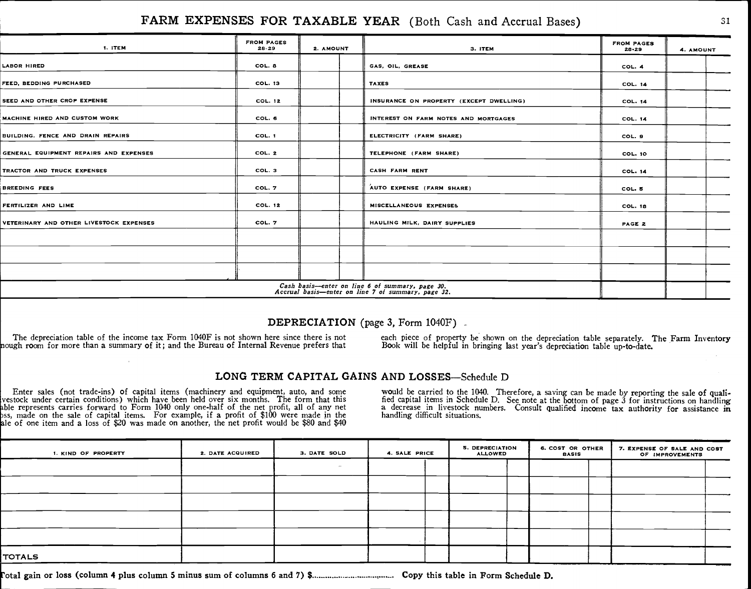#### FARM EXPENSES FOR TAXABLE YEAR (Both Cash and Accrual Bases) 31

| 1. ITEM                                 | <b>FROM PAGES</b><br>28-29 | 2. AMOUNT | 3. ITEM                                                                                               | <b>FROM PAGES</b><br>28.29 | 4. AMOUNT |
|-----------------------------------------|----------------------------|-----------|-------------------------------------------------------------------------------------------------------|----------------------------|-----------|
| <b>LABOR HIRED</b>                      | COL. 8                     |           | GAS, OIL, GREASE                                                                                      | COL. 4                     |           |
| FEED, BEDDING PURCHASED                 | <b>COL. 13</b>             |           | <b>TAXES</b>                                                                                          | COL. 14                    |           |
| SEED AND OTHER CROP EXPENSE             | <b>COL. 12</b>             |           | INSURANCE ON PROPERTY (EXCEPT DWELLING)                                                               | <b>COL. 14</b>             |           |
| MACHINE HIRED AND CUSTOM WORK           | COL. 6                     |           | INTEREST ON FARM NOTES AND MORTGAGES                                                                  | <b>COL. 14</b>             |           |
| BUILDING, FENCE AND DRAIN REPAIRS       | COL. 1                     |           | ELECTRICITY (FARM SHARE)                                                                              | COL. 9                     |           |
| GENERAL EQUIPMENT REPAIRS AND EXPENSES  | COL. 2                     |           | TELEPHONE (FARM SHARE)                                                                                | <b>COL. 10</b>             |           |
| TRACTOR AND TRUCK EXPENSES              | COL. 3                     |           | CASH FARM RENT                                                                                        | <b>COL. 14</b>             |           |
| <b>BREEDING FEES</b>                    | COL. 7                     |           | AUTO EXPENSE (FARM SHARE)                                                                             | COL. 5                     |           |
| FERTILIZER AND LIME                     | <b>COL. 12</b>             |           | MISCELLANEOUS EXPENSES                                                                                | COL. 18                    |           |
| VETERINARY AND OTHER LIVESTOCK EXPENSES | COL. 7                     |           | HAULING MILK, DAIRY SUPPLIES                                                                          | PAGE 2                     |           |
|                                         |                            |           |                                                                                                       |                            |           |
|                                         |                            |           |                                                                                                       |                            |           |
|                                         |                            |           |                                                                                                       |                            |           |
|                                         |                            |           | Cash basis—enter on line 6 of summary, page 30.<br>Accrual basis—enter on line 7 of summary, page 32. |                            |           |

#### DEPRECIATION (page 3, Form 1040F)

The depreciation table of the income tax Form 1040F is not shown here since there is not<br>nough room for more than a summary of it; and the Bureau of Internal Revenue prefers that Book will be helpful in bringing last year'

#### LONG TERM CAPITAL GAINS AND LOSSES-Schedule D

Enter sales (not trade-ins) of capital items (machinery and equipment, auto, and some<br>vestock under certain conditions) which have been held over six months. The form that this<br>ble represents carries forward to Form 1040 o le of one item and a loss of \$20 was made on another, the net profit would be \$80 and \$40

would be carried to the 1040. Therefore, a saving can be made by reporting the sale of qualified capital items in Schedule D. See note at the bottom of page 3 for instructions on handling a decrease in livestock numbers. Consult qualified income tax authority for assistance in handling difficult situations.

| I. KIND OF PROPERTY | 2. DATE ACQUIRED | 3. DATE SOLD | 4. SALE PRICE | <b>5. DEPRECIATION</b><br><b>ALLOWED</b> | 6. COST OR OTHER<br><b>BASIS</b> | 7. EXPENSE OF SALE AND COST<br>OF IMPROVEMENTS |
|---------------------|------------------|--------------|---------------|------------------------------------------|----------------------------------|------------------------------------------------|
|                     |                  |              |               |                                          |                                  |                                                |
|                     |                  |              |               |                                          |                                  |                                                |
|                     |                  |              |               |                                          |                                  |                                                |
|                     |                  |              |               |                                          |                                  |                                                |
|                     |                  |              |               |                                          |                                  |                                                |
| <b>TOTALS</b>       |                  |              |               |                                          |                                  |                                                |

otal gain or loss (column 4 plus column 5 minus sum of columns 6 and 7) \$ ..................................... Copy this table in Form Schedule D.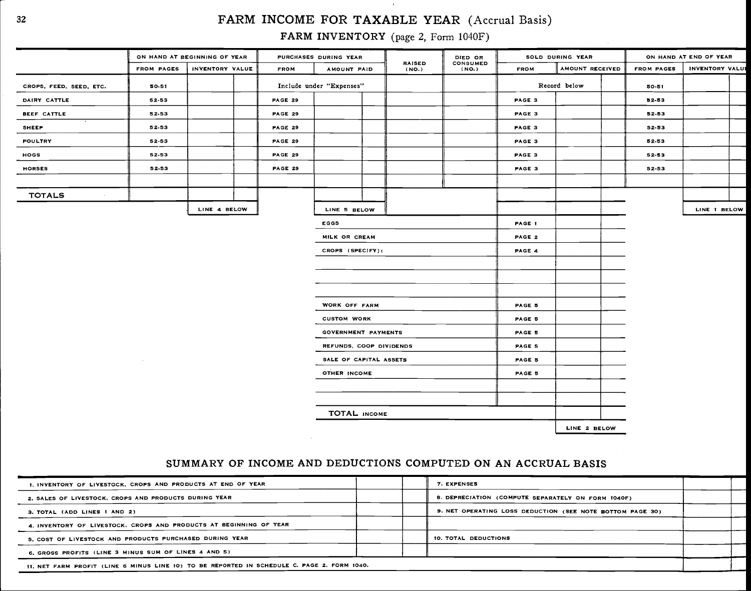#### <sup>32</sup> FARM INCOME FOR TAXABLE YEAR (Accrual Basis)

 $\Delta$ 

FARM INVENTORY (page 2, Form 1040F)

|                         | ON HAND AT BEGINNING OF YEAR |                 |                | PURCHASES DURING YEAR    |                        | DIED OR           |               | SOLD DURING YEAR |                   | ON HAND AT END OF YEAR |  |
|-------------------------|------------------------------|-----------------|----------------|--------------------------|------------------------|-------------------|---------------|------------------|-------------------|------------------------|--|
|                         | <b>FROM PAGES</b>            | INVENTORY VALUE | <b>FROM</b>    | AMOUNT PAID              | <b>RAISED</b><br>(NO.) | CONSUMED<br>(NO.) | <b>FROM</b>   | AMOUNT RECEIVED  | <b>FROM PAGES</b> | <b>INVENTORY VALUE</b> |  |
| CROPS, FEED, SEED, ETC. | 50-51                        |                 |                | Include under "Expenses" |                        |                   |               | Record below     | $50 - 51$         |                        |  |
| DAIRY CATTLE            | 52-53                        |                 | <b>PAGE 29</b> |                          |                        |                   | PAGE 3        |                  | 52-53             |                        |  |
| BEEF CATTLE             | 52-53                        |                 | PAGE 29        |                          |                        |                   | PAGE 3        |                  | 52-53             |                        |  |
| SHEEP                   | 52-53                        |                 | <b>PAGE 29</b> |                          |                        |                   | PAGE 3        |                  | 52-53             |                        |  |
| <b>POULTRY</b>          | 52-53                        |                 | <b>PAGE 29</b> |                          |                        |                   | PAGE 3        |                  | 52-53             |                        |  |
| HOGS                    | 52-53                        |                 | PAGE 29        |                          |                        |                   | PAGE 3        |                  | 52-53             |                        |  |
| <b>HORSES</b>           | 52-53                        |                 | PAGE 29        |                          |                        |                   | PAGE 3        |                  | 52-53             |                        |  |
|                         |                              |                 |                |                          |                        |                   |               |                  |                   |                        |  |
| <b>TOTALS</b>           |                              |                 |                |                          |                        |                   |               |                  |                   |                        |  |
|                         |                              | LINE 4 BELOW    |                | LINE 5 BELOW             |                        |                   |               |                  |                   | LINE 1 BELOW           |  |
|                         |                              |                 |                | <b>EGGS</b>              |                        |                   | PAGE 1        |                  |                   |                        |  |
|                         |                              |                 |                | MILK OR CREAM            |                        |                   | PAGE 2        |                  |                   |                        |  |
|                         |                              |                 |                | CROPS (SPECIFY):         |                        |                   | PAGE 4        |                  |                   |                        |  |
|                         |                              |                 |                |                          |                        |                   |               |                  |                   |                        |  |
|                         |                              |                 |                |                          |                        |                   |               |                  |                   |                        |  |
|                         |                              |                 |                |                          |                        |                   |               |                  |                   |                        |  |
|                         |                              |                 |                | WORK OFF FARM            |                        |                   | PAGE 5        |                  |                   |                        |  |
|                         |                              |                 |                | <b>CUSTOM WORK</b>       |                        |                   | PAGE 5        |                  |                   |                        |  |
|                         |                              |                 |                | GOVERNMENT PAYMENTS      |                        |                   | PAGE 5        |                  |                   |                        |  |
|                         |                              |                 |                | REFUNDS, COOP DIVIDENDS  |                        |                   | <b>PAGE 5</b> |                  |                   |                        |  |
|                         |                              |                 |                | SALE OF CAPITAL ASSETS   |                        |                   | PAGE 5        |                  |                   |                        |  |
|                         |                              |                 |                | OTHER INCOME             |                        |                   | PAGE 5        |                  |                   |                        |  |
|                         |                              |                 |                |                          |                        |                   |               |                  |                   |                        |  |
|                         |                              |                 |                |                          |                        |                   |               |                  |                   |                        |  |
|                         |                              |                 |                | TOTAL INCOME             |                        |                   |               |                  |                   |                        |  |
|                         |                              |                 |                |                          |                        |                   |               | LINE 2 BELOW     |                   |                        |  |
|                         |                              |                 | $\sim$         |                          |                        |                   |               |                  |                   |                        |  |

| 1. INVENTORY OF LIVESTOCK, CROPS AND PRODUCTS AT END OF YEAR       | 7. EXPENSES                                               |  |
|--------------------------------------------------------------------|-----------------------------------------------------------|--|
| 2. SALES OF LIVESTOCK, CROPS AND PRODUCTS DURING YEAR              | 8. DEPRECIATION (COMPUTE SEPARATELY ON FORM 1040F)        |  |
| 3. TOTAL (ADD LINES 1 AND 2)                                       | 9. NET OPERATING LOSS DEDUCTION (SEE NOTE BOTTOM PAGE 30) |  |
| 4. INVENTORY OF LIVESTOCK. CROPS AND PRODUCTS AT BEGINNING OF YEAR |                                                           |  |
| 5. COST OF LIVESTOCK AND PRODUCTS PURCHASED DURING YEAR            | 10. TOTAL DEDUCTIONS                                      |  |
| 6, GROSS PROFITS (LINE 3 MINUS SUM OF LINES 4 AND 5)               |                                                           |  |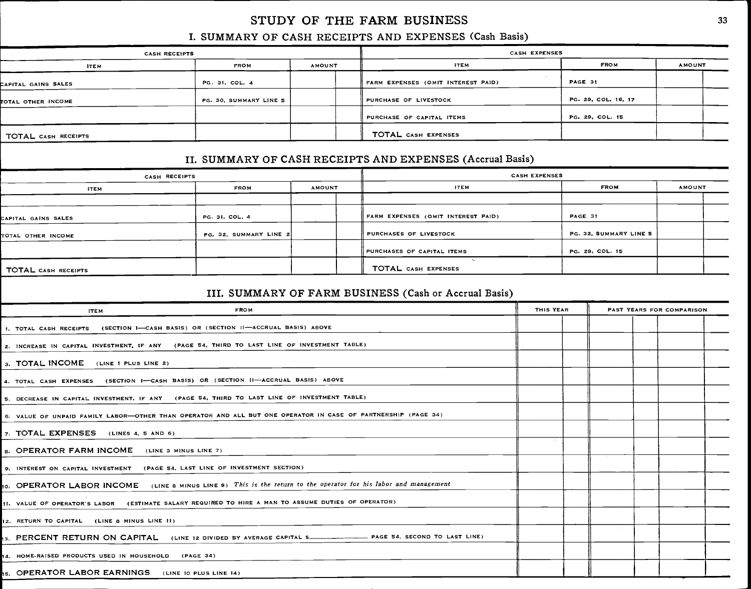#### STUDY OF THE FARM BUSINESS

#### I. SUMMARY OF CASH RECEIPTS AND EXPENSES (Cash Basis)

|                     | <b>CASH RECEIPTS</b>   |               | CASH EXPENSES                      |                     |               |  |  |  |  |  |  |  |
|---------------------|------------------------|---------------|------------------------------------|---------------------|---------------|--|--|--|--|--|--|--|
| <b>ITEM</b>         | <b>FROM</b>            | <b>AMOUNT</b> | <b>ITEM</b>                        | <b>FROM</b>         | <b>AMOUNT</b> |  |  |  |  |  |  |  |
| CAPITAL GAINS SALES | PG. 31, COL. 4         |               | FARM EXPENSES (OMIT INTEREST PAID) | PAGE 31             |               |  |  |  |  |  |  |  |
| TOTAL OTHER INCOME  | PG. 30, SUMMARY LINE 5 |               | PURCHASE OF LIVESTOCK              | PG. 29, COL. 16, 17 |               |  |  |  |  |  |  |  |
|                     |                        |               | PURCHASE OF CAPITAL ITEMS          | PG. 29, COL. 15     |               |  |  |  |  |  |  |  |
| TOTAL CASH RECEIPTS |                        |               | TOTAL CASH EXPENSES                |                     |               |  |  |  |  |  |  |  |

#### II. SUMMARY OF CASH RECEIPTS AND EXPENSES (Accrual Basis)

| CASH RECEIPTS              |                        |               | <b>CASH EXPENSES</b>               |                        |               |  |  |  |  |  |  |
|----------------------------|------------------------|---------------|------------------------------------|------------------------|---------------|--|--|--|--|--|--|
| <b>ITEM</b>                | <b>FROM</b>            | <b>AMOUNT</b> | <b>ITEM</b>                        | <b>FROM</b>            | <b>AMOUNT</b> |  |  |  |  |  |  |
|                            |                        |               |                                    |                        |               |  |  |  |  |  |  |
| CAPITAL GAINS SALES        | PG. 31, COL. 4         |               | FARM EXPENSES (OMIT INTEREST PAID) | PAGE 31                |               |  |  |  |  |  |  |
| TOTAL OTHER INCOME         | PG. 32, SUMMARY LINE 2 |               | PURCHASES OF LIVESTOCK             | PG. 32, SUMMARY LINE 5 |               |  |  |  |  |  |  |
|                            |                        |               | PURCHASES OF CAPITAL ITEMS         | PG. 29, COL. 15        |               |  |  |  |  |  |  |
| <b>TOTAL CASH RECEIPTS</b> |                        |               | TOTAL CASH EXPENSES                |                        |               |  |  |  |  |  |  |

#### III. SUMMARY OF FARM BUSINESS (Cash or Accrual Basis)

| <b>FROM</b><br><b>ITEM</b>                                                                                      | <b>THIS YEAR</b> | PAST YEARS FOR COMPARISON |  |  |  |  |  |  |
|-----------------------------------------------------------------------------------------------------------------|------------------|---------------------------|--|--|--|--|--|--|
| 1. TOTAL CASH RECEIPTS (SECTION 1-CASH BASIS) OR (SECTION II-ACCRUAL BASIS) ABOVE                               |                  |                           |  |  |  |  |  |  |
| 2. INCREASE IN CAPITAL INVESTMENT, IF ANY (PAGE 54, THIRD TO LAST LINE OF INVESTMENT TABLE)                     |                  |                           |  |  |  |  |  |  |
| 3. TOTAL INCOME (LINE 1 PLUS LINE 2)                                                                            |                  |                           |  |  |  |  |  |  |
| 4. TOTAL CASH EXPENSES (SECTION I-CASH BASIS) OR (SECTION II-ACCRUAL BASIS) ABOVE                               |                  |                           |  |  |  |  |  |  |
| 5. DECREASE IN CAPITAL INVESTMENT, IF ANY (PAGE 54, THIRD TO LAST LINE OF INVESTMENT TABLE)                     |                  |                           |  |  |  |  |  |  |
| 6. VALUE OF UNPAID FAMILY LABOR—OTHER THAN OPERATOR AND ALL BUT ONE OPERATOR IN CASE OF PARTNERSHIP (PAGE 34)   |                  |                           |  |  |  |  |  |  |
| 7. TOTAL EXPENSES (LINES 4, 5 AND 6)                                                                            |                  |                           |  |  |  |  |  |  |
| 8. OPERATOR FARM INCOME (LINE 3 MINUS LINE 7)                                                                   |                  |                           |  |  |  |  |  |  |
| 9. INTEREST ON CAPITAL INVESTMENT (PAGE 54, LAST LINE OF INVESTMENT SECTION)                                    |                  |                           |  |  |  |  |  |  |
| 10. OPERATOR LABOR INCOME (LINE 8 MINUS LINE 9) This is the return to the operator for his labor and management |                  |                           |  |  |  |  |  |  |
| 11. VALUE OF OPERATOR'S LABOR (ESTIMATE SALARY REQUIRED TO HIRE A MAN TO ASSUME DUTIES OF OPERATOR)             |                  |                           |  |  |  |  |  |  |
| 12. RETURN TO CAPITAL (LINE 8 MINUS LINE 11)                                                                    |                  |                           |  |  |  |  |  |  |
| 13. PERCENT RETURN ON CAPITAL (LINE 12 DIVIDED BY AVERAGE CAPITAL S______________ PAGE 54, SECOND TO LAST LINE) |                  |                           |  |  |  |  |  |  |
| 14. HOME-RAISED PRODUCTS USED IN HOUSEHOLD (PAGE 34)                                                            |                  |                           |  |  |  |  |  |  |
| IS. OPERATOR LABOR EARNINGS (LINE 10 PLUS LINE 14)                                                              |                  |                           |  |  |  |  |  |  |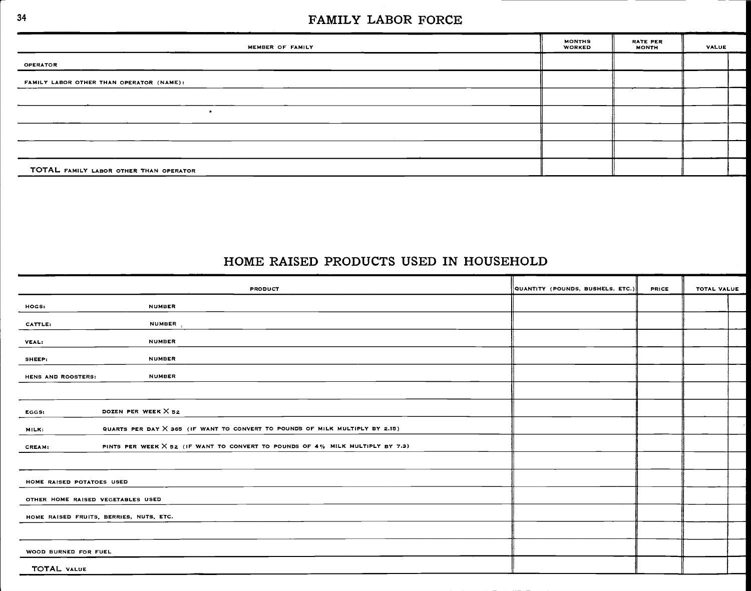#### <sup>34</sup> FAMILY LABOR FORCE

| MEMBER OF FAMILY                         | <b>MONTHS</b><br><b>WORKED</b> | RATE PER<br><b>MONTH</b> | VALUE |  |
|------------------------------------------|--------------------------------|--------------------------|-------|--|
| <b>OPERATOR</b>                          |                                |                          |       |  |
| FAMILY LABOR OTHER THAN OPERATOR (NAME): |                                |                          |       |  |
|                                          |                                |                          |       |  |
|                                          |                                |                          |       |  |
|                                          |                                |                          |       |  |
|                                          |                                |                          |       |  |
| TOTAL FAMILY LABOR OTHER THAN OPERATOR   |                                |                          |       |  |

#### HOME RAISED PRODUCTS USED IN HOUSEHOLD

| <b>PRODUCT</b>                                                                                 | QUANTITY (POUNDS, BUSHELS, ETC.) | <b>PRICE</b> | TOTAL VALUE |
|------------------------------------------------------------------------------------------------|----------------------------------|--------------|-------------|
| <b>NUMBER</b><br>HOGS:                                                                         |                                  |              |             |
| NUMBER,<br>CATTLE:                                                                             |                                  |              |             |
| <b>NUMBER</b><br>VEAL:                                                                         |                                  |              |             |
| <b>NUMBER</b><br>SHEEP:                                                                        |                                  |              |             |
| <b>NUMBER</b><br>HENS AND ROOSTERS:                                                            |                                  |              |             |
|                                                                                                |                                  |              |             |
| DOZEN PER WEEK $\times$ 52<br>EGGS:                                                            |                                  |              |             |
| QUARTS PER DAY X 365 (IF WANT TO CONVERT TO POUNDS OF MILK MULTIPLY BY 2.15)<br>MILK:          |                                  |              |             |
| PINTS PER WEEK X 52 (IF WANT TO CONVERT TO POUNDS OF 4% MILK MULTIPLY BY 7.3)<br><b>CREAM:</b> |                                  |              |             |
|                                                                                                |                                  |              |             |
| HOME RAISED POTATOES USED                                                                      |                                  |              |             |
| OTHER HOME RAISED VEGETABLES USED                                                              |                                  |              |             |
| HOME RAISED FRUITS, BERRIES, NUTS, ETC.                                                        |                                  |              |             |
|                                                                                                |                                  |              |             |
| WOOD BURNED FOR FUEL                                                                           |                                  |              |             |
| <b>TOTAL VALUE</b>                                                                             |                                  |              |             |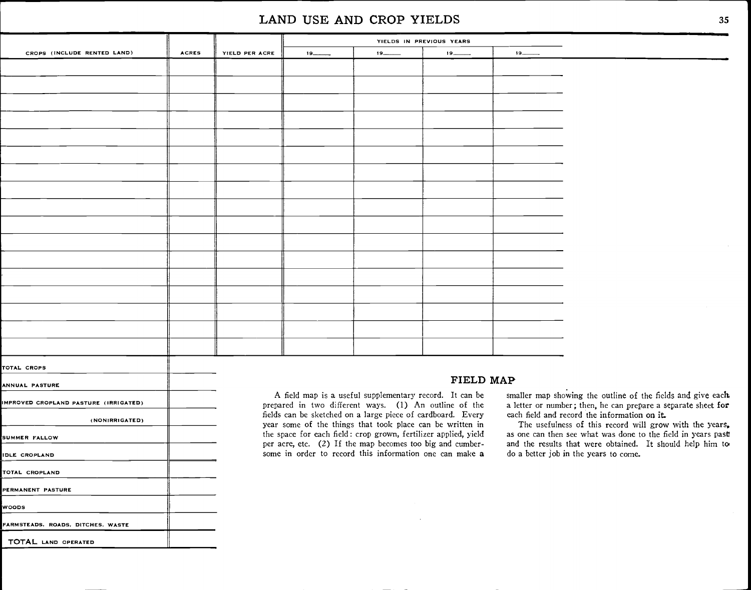#### LAND USE AND CROP YIELDS

| CROPS (INCLUDE RENTED LAND) | <b>ACRES</b> | YIELD PER ACRE | 19                                                                                                                             | $19$ $\longrightarrow$ | $19$ and $\overline{ }$ |                                                                                                                                                                                                                                |
|-----------------------------|--------------|----------------|--------------------------------------------------------------------------------------------------------------------------------|------------------------|-------------------------|--------------------------------------------------------------------------------------------------------------------------------------------------------------------------------------------------------------------------------|
|                             |              |                |                                                                                                                                |                        |                         |                                                                                                                                                                                                                                |
|                             |              |                |                                                                                                                                |                        |                         |                                                                                                                                                                                                                                |
|                             |              |                |                                                                                                                                |                        |                         |                                                                                                                                                                                                                                |
|                             |              |                |                                                                                                                                |                        |                         |                                                                                                                                                                                                                                |
|                             |              |                |                                                                                                                                |                        |                         |                                                                                                                                                                                                                                |
|                             |              |                |                                                                                                                                |                        |                         |                                                                                                                                                                                                                                |
|                             |              |                |                                                                                                                                |                        |                         |                                                                                                                                                                                                                                |
|                             |              |                |                                                                                                                                |                        |                         |                                                                                                                                                                                                                                |
|                             |              |                |                                                                                                                                |                        |                         |                                                                                                                                                                                                                                |
|                             |              |                |                                                                                                                                |                        |                         |                                                                                                                                                                                                                                |
|                             |              |                |                                                                                                                                |                        |                         |                                                                                                                                                                                                                                |
|                             |              |                |                                                                                                                                |                        |                         |                                                                                                                                                                                                                                |
|                             |              |                |                                                                                                                                |                        |                         |                                                                                                                                                                                                                                |
|                             |              |                |                                                                                                                                |                        |                         |                                                                                                                                                                                                                                |
|                             |              |                |                                                                                                                                |                        |                         |                                                                                                                                                                                                                                |
|                             |              |                |                                                                                                                                |                        |                         |                                                                                                                                                                                                                                |
|                             |              |                |                                                                                                                                |                        |                         |                                                                                                                                                                                                                                |
|                             |              |                |                                                                                                                                |                        |                         |                                                                                                                                                                                                                                |
|                             |              |                |                                                                                                                                |                        |                         |                                                                                                                                                                                                                                |
| TOTAL CROPS                 |              |                |                                                                                                                                |                        |                         |                                                                                                                                                                                                                                |
| ANNUAL PASTURE              |              |                | $\mathbf{r}$ , and $\mathbf{r}$ , and $\mathbf{r}$ , and $\mathbf{r}$ , and $\mathbf{r}$ , and $\mathbf{r}$ , and $\mathbf{r}$ | FIELD MAP              |                         | المقاطر المتحدث والمستنقل والمتحاول والمستنقل والمتحال والمستنقل والمتحال والمستنقل والمتحال والمتحال والمتحال والمتحال والمتحال والمتحال والمتحال والمتحال والمتحال والمتحال والمتحال والمتحال والمتحال والمتحال والمتحال وال |

IMPROVED CROPLAND PASTURE (IRRIGATED) (NONIRRIGATED) SUMMER FALLOW IDLE CROPLAND TOTAL CROPLANO PERMANENT PASTURE WOODS FARMSTEADS, ROADS. DITCHES. WASTE TOTAL LAND OPERATED

A field map is a useful supplementary record. It can be prepared in two different ways. (1) An outline of the fields can be sketched on a large piece of cardboard. Every year some of the things that took place can be written in the space for each field: crop grown, fertilizer applied, yield per acre, etc. (2) If the map becomes too big and cumbersome in order to record this information one can make a

smaller map showing the outline of the fields and give each. a letter or number; then, he can prepare a separate sheet for each field and record the information or it.

The usefulness of this record will grow with the years, as one can then see what was done to the field in years past and the results that were obtained. It should help him to do a better job in the years to come.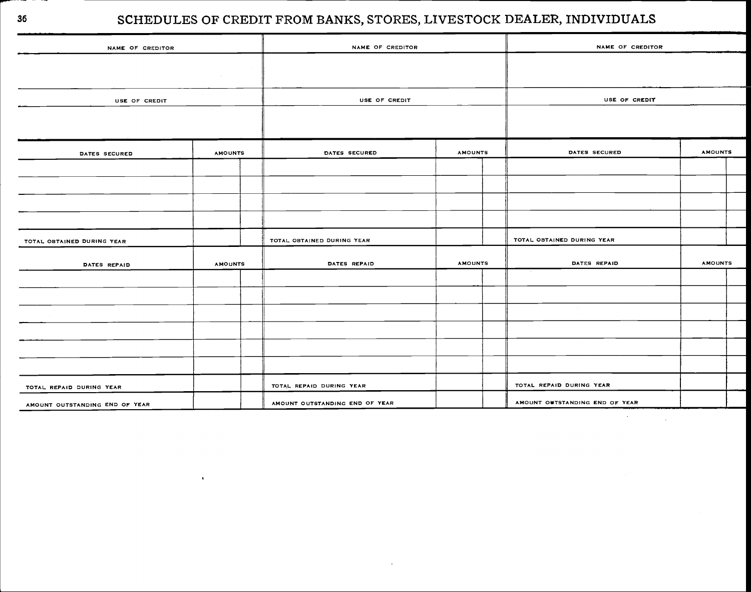# <sup>36</sup> SCHEDULES OF CREDIT FROM BANKS, STORES, LIVESTOCK DEALER, INDIVIDUALS

| NAME OF CREDITOR               | NAME OF CREDITOR |  | NAME OF CREDITOR               |                |  |                                |                |  |  |  |  |
|--------------------------------|------------------|--|--------------------------------|----------------|--|--------------------------------|----------------|--|--|--|--|
|                                |                  |  |                                |                |  |                                |                |  |  |  |  |
|                                |                  |  |                                |                |  |                                |                |  |  |  |  |
| USE OF CREDIT                  |                  |  | USE OF CREDIT                  |                |  | USE OF CREDIT                  |                |  |  |  |  |
|                                |                  |  |                                |                |  |                                |                |  |  |  |  |
|                                |                  |  | DATES SECURED                  | <b>AMOUNTS</b> |  | DATES SECURED                  | <b>AMOUNTS</b> |  |  |  |  |
| DATES SECURED                  | <b>AMOUNTS</b>   |  |                                |                |  |                                |                |  |  |  |  |
|                                |                  |  |                                |                |  |                                |                |  |  |  |  |
|                                |                  |  |                                |                |  |                                |                |  |  |  |  |
|                                |                  |  |                                |                |  |                                |                |  |  |  |  |
|                                |                  |  |                                |                |  |                                |                |  |  |  |  |
| TOTAL OBTAINED DURING YEAR     |                  |  | TOTAL OBTAINED DURING YEAR     |                |  | TOTAL OBTAINED DURING YEAR     |                |  |  |  |  |
| DATES REPAID                   | <b>AMOUNTS</b>   |  | DATES REPAID                   | <b>AMOUNTS</b> |  | DATES REPAID                   | <b>AMOUNTS</b> |  |  |  |  |
|                                |                  |  |                                |                |  |                                |                |  |  |  |  |
|                                |                  |  |                                |                |  |                                |                |  |  |  |  |
|                                |                  |  |                                |                |  |                                |                |  |  |  |  |
|                                |                  |  |                                |                |  |                                |                |  |  |  |  |
|                                |                  |  |                                |                |  |                                |                |  |  |  |  |
|                                |                  |  |                                |                |  |                                |                |  |  |  |  |
| TOTAL REPAID DURING YEAR       |                  |  | TOTAL REPAID DURING YEAR       |                |  | TOTAL REPAID DURING YEAR       |                |  |  |  |  |
| AMOUNT OUTSTANDING END OF YEAR |                  |  | AMOUNT OUTSTANDING END OF YEAR |                |  | AMOUNT OUTSTANDING END OF YEAR |                |  |  |  |  |

 $\hat{\textbf{r}}$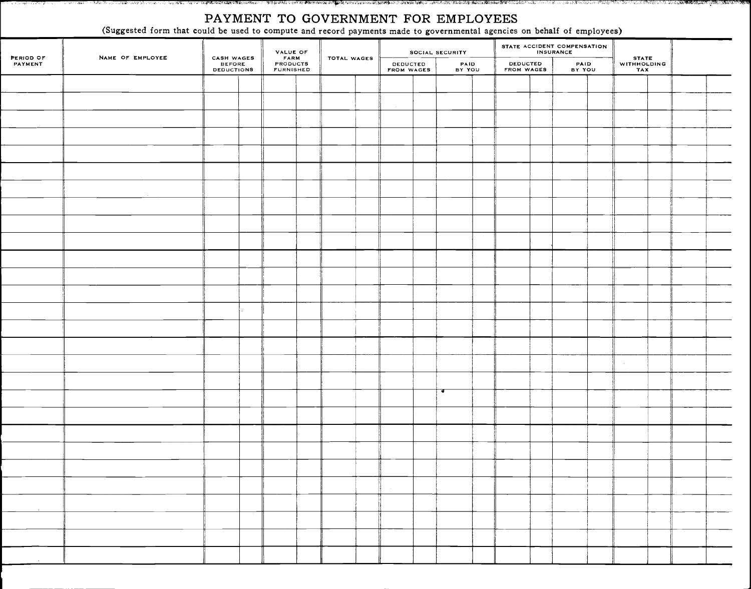#### PAYMENT TO GOVERNMENT FOR EMPLOYEES

(Suggested form that could be used to compute and record payments made to governmental agencies on behalf of employees)

|                      | --               |                                    | $\sim$                                              |  | . .         | $\sim$<br>$\overline{\phantom{a}}$ |  |                 |  |                        | $\sim$ $\sim$ | $\overline{\phantom{a}}$    |  |                             |  |  |  |
|----------------------|------------------|------------------------------------|-----------------------------------------------------|--|-------------|------------------------------------|--|-----------------|--|------------------------|---------------|-----------------------------|--|-----------------------------|--|--|--|
|                      |                  |                                    |                                                     |  |             |                                    |  | SOCIAL SECURITY |  |                        |               | STATE ACCIDENT COMPENSATION |  |                             |  |  |  |
| PERIOD OF<br>PAYMENT | NAME OF EMPLOYEE | CASH WAGES<br>BEFORE<br>DEDUCTIONS | <b>VALUE OF<br/>FARM<br/>PRODUCTS<br/>FURNISHED</b> |  | TOTAL WAGES | <b>DEDUCTED</b><br>FROM WAGES      |  | PAID<br>BY YOU  |  | DEDUCTED<br>FROM WAGES |               | PAID<br>BY YOU              |  | STATE<br>WITHHOLDING<br>TAX |  |  |  |
|                      |                  |                                    |                                                     |  |             |                                    |  |                 |  |                        |               |                             |  |                             |  |  |  |
|                      |                  |                                    |                                                     |  |             |                                    |  |                 |  |                        |               |                             |  |                             |  |  |  |
|                      |                  |                                    |                                                     |  |             |                                    |  |                 |  |                        |               |                             |  |                             |  |  |  |
|                      |                  |                                    |                                                     |  |             |                                    |  |                 |  |                        |               |                             |  |                             |  |  |  |
|                      |                  |                                    |                                                     |  |             |                                    |  |                 |  |                        |               |                             |  |                             |  |  |  |
|                      |                  |                                    |                                                     |  |             |                                    |  |                 |  |                        |               |                             |  |                             |  |  |  |
|                      |                  |                                    |                                                     |  |             |                                    |  |                 |  |                        |               |                             |  |                             |  |  |  |
|                      |                  |                                    |                                                     |  |             |                                    |  |                 |  |                        |               |                             |  |                             |  |  |  |
|                      |                  |                                    |                                                     |  |             |                                    |  |                 |  |                        |               |                             |  |                             |  |  |  |
|                      |                  |                                    |                                                     |  |             |                                    |  |                 |  |                        |               |                             |  |                             |  |  |  |
|                      |                  |                                    |                                                     |  |             |                                    |  |                 |  |                        |               |                             |  |                             |  |  |  |
|                      |                  |                                    |                                                     |  |             |                                    |  |                 |  |                        |               |                             |  |                             |  |  |  |
|                      |                  |                                    |                                                     |  |             |                                    |  |                 |  |                        |               |                             |  |                             |  |  |  |
|                      |                  |                                    |                                                     |  |             |                                    |  |                 |  |                        |               |                             |  |                             |  |  |  |
|                      |                  |                                    |                                                     |  |             |                                    |  |                 |  |                        |               |                             |  |                             |  |  |  |
|                      |                  |                                    |                                                     |  |             |                                    |  |                 |  |                        |               |                             |  |                             |  |  |  |
|                      |                  |                                    |                                                     |  |             |                                    |  |                 |  |                        |               |                             |  |                             |  |  |  |
|                      |                  |                                    |                                                     |  |             |                                    |  | ਚ               |  |                        |               |                             |  |                             |  |  |  |
|                      |                  |                                    |                                                     |  |             |                                    |  |                 |  |                        |               |                             |  |                             |  |  |  |
|                      |                  |                                    |                                                     |  |             |                                    |  |                 |  |                        |               |                             |  |                             |  |  |  |
|                      |                  |                                    |                                                     |  |             |                                    |  |                 |  |                        |               |                             |  |                             |  |  |  |
|                      |                  |                                    |                                                     |  |             |                                    |  |                 |  |                        |               |                             |  |                             |  |  |  |
|                      |                  |                                    |                                                     |  |             |                                    |  |                 |  |                        |               |                             |  |                             |  |  |  |
|                      |                  |                                    |                                                     |  |             |                                    |  |                 |  |                        |               |                             |  |                             |  |  |  |
|                      |                  |                                    |                                                     |  |             |                                    |  |                 |  |                        |               |                             |  |                             |  |  |  |
|                      |                  |                                    |                                                     |  |             |                                    |  |                 |  |                        |               |                             |  |                             |  |  |  |
|                      |                  |                                    |                                                     |  |             |                                    |  |                 |  |                        |               |                             |  |                             |  |  |  |
|                      |                  |                                    |                                                     |  |             |                                    |  |                 |  |                        |               |                             |  |                             |  |  |  |